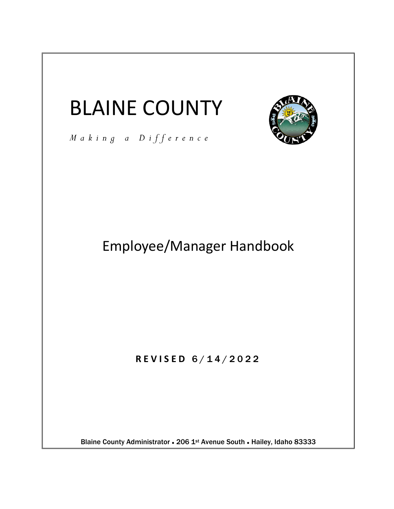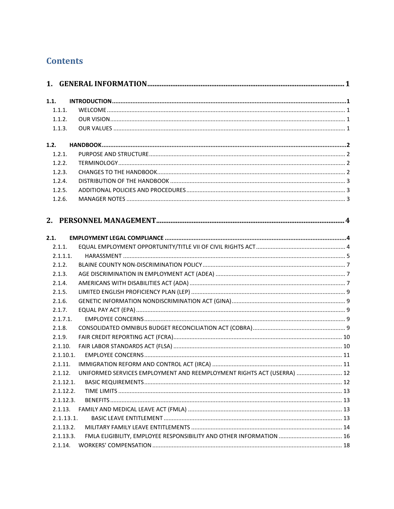# **Contents**

| 1.1.   |           |                                                                        |  |
|--------|-----------|------------------------------------------------------------------------|--|
| 1.1.1. |           |                                                                        |  |
| 1.1.2. |           |                                                                        |  |
|        | 1.1.3.    |                                                                        |  |
|        |           |                                                                        |  |
| 1.2.   |           |                                                                        |  |
| 1.2.1. |           |                                                                        |  |
|        | 1.2.2.    |                                                                        |  |
| 1.2.3. |           |                                                                        |  |
|        | 1.2.4.    |                                                                        |  |
| 1.2.5. |           |                                                                        |  |
| 1.2.6. |           |                                                                        |  |
|        |           |                                                                        |  |
|        |           |                                                                        |  |
|        |           |                                                                        |  |
| 2.1.   |           |                                                                        |  |
| 2.1.1. |           |                                                                        |  |
|        | 2.1.1.1.  |                                                                        |  |
| 2.1.2. |           |                                                                        |  |
| 2.1.3. |           |                                                                        |  |
| 2.1.4. |           |                                                                        |  |
| 2.1.5. |           |                                                                        |  |
| 2.1.6. |           |                                                                        |  |
| 2.1.7. |           |                                                                        |  |
|        | 2.1.7.1.  |                                                                        |  |
| 2.1.8. |           |                                                                        |  |
| 2.1.9. |           |                                                                        |  |
|        | 2.1.10.   |                                                                        |  |
|        | 2.1.10.1. |                                                                        |  |
|        | 2.1.11.   |                                                                        |  |
|        | 2.1.12.   | UNIFORMED SERVICES EMPLOYMENT AND REEMPLOYMENT RIGHTS ACT (USERRA)  12 |  |
|        | 2.1.12.1. |                                                                        |  |
|        | 2.1.12.2. |                                                                        |  |
|        | 2.1.12.3. |                                                                        |  |
|        | 2.1.13.   |                                                                        |  |
|        | 2.1.13.1. |                                                                        |  |
|        | 2.1.13.2. |                                                                        |  |
|        | 2.1.13.3. |                                                                        |  |
|        | 2.1.14.   |                                                                        |  |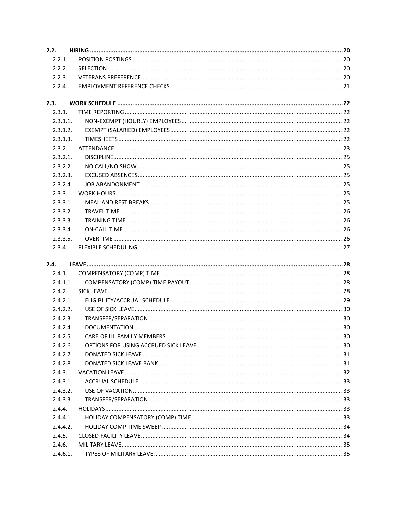| 2.2.     |  |  |  |  |  |
|----------|--|--|--|--|--|
| 2.2.1.   |  |  |  |  |  |
| 2.2.2.   |  |  |  |  |  |
| 2.2.3.   |  |  |  |  |  |
| 2.2.4.   |  |  |  |  |  |
| 2.3.     |  |  |  |  |  |
| 2.3.1.   |  |  |  |  |  |
| 2.3.1.1. |  |  |  |  |  |
| 2.3.1.2. |  |  |  |  |  |
| 2.3.1.3. |  |  |  |  |  |
| 2.3.2.   |  |  |  |  |  |
| 2.3.2.1. |  |  |  |  |  |
| 2.3.2.2. |  |  |  |  |  |
| 2.3.2.3. |  |  |  |  |  |
| 2.3.2.4. |  |  |  |  |  |
| 2.3.3.   |  |  |  |  |  |
| 2.3.3.1. |  |  |  |  |  |
| 2.3.3.2. |  |  |  |  |  |
| 2.3.3.3. |  |  |  |  |  |
| 2.3.3.4. |  |  |  |  |  |
| 2.3.3.5. |  |  |  |  |  |
| 2.3.4.   |  |  |  |  |  |
|          |  |  |  |  |  |
| 2.4.     |  |  |  |  |  |
| 2.4.1.   |  |  |  |  |  |
| 2.4.1.1. |  |  |  |  |  |
| 2.4.2.   |  |  |  |  |  |
| 2.4.2.1  |  |  |  |  |  |
| 2.4.2.2. |  |  |  |  |  |
| 2.4.2.3. |  |  |  |  |  |
| 2.4.2.4. |  |  |  |  |  |
| 2.4.2.5. |  |  |  |  |  |
| 2.4.2.6. |  |  |  |  |  |
| 2.4.2.7. |  |  |  |  |  |
| 2.4.2.8. |  |  |  |  |  |
| 2.4.3.   |  |  |  |  |  |
| 2.4.3.1. |  |  |  |  |  |
| 2.4.3.2. |  |  |  |  |  |
| 2.4.3.3. |  |  |  |  |  |
| 2.4.4.   |  |  |  |  |  |
| 2.4.4.1. |  |  |  |  |  |
| 2.4.4.2. |  |  |  |  |  |
| 2.4.5.   |  |  |  |  |  |
| 2.4.6.   |  |  |  |  |  |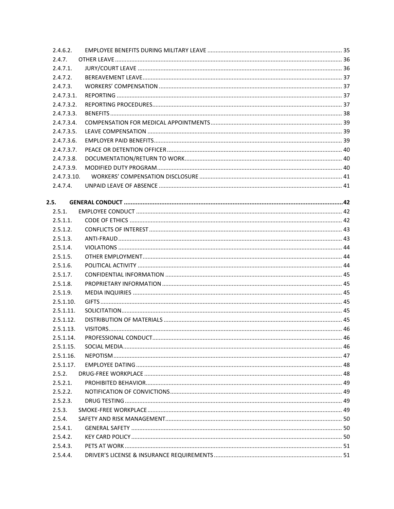| 2.4.6.2.    |  |
|-------------|--|
| 2.4.7.      |  |
| 2.4.7.1.    |  |
| 2.4.7.2.    |  |
| 2.4.7.3.    |  |
| 2.4.7.3.1.  |  |
| 2.4.7.3.2.  |  |
| 2.4.7.3.3.  |  |
| 2.4.7.3.4.  |  |
| 2.4.7.3.5.  |  |
| 2.4.7.3.6.  |  |
| 2.4.7.3.7.  |  |
| 2.4.7.3.8.  |  |
| 2.4.7.3.9.  |  |
| 2.4.7.3.10. |  |
| 2.4.7.4.    |  |
|             |  |
| 2.5.        |  |
| 2.5.1.      |  |
| 2.5.1.1.    |  |
| 2.5.1.2.    |  |
| 2.5.1.3.    |  |
| 2.5.1.4.    |  |
| 2.5.1.5.    |  |
| 2.5.1.6.    |  |
| 2.5.1.7.    |  |
| 2.5.1.8.    |  |
| 2.5.1.9.    |  |
| 2.5.1.10.   |  |
| 2.5.1.11.   |  |
| 2.5.1.12.   |  |
| 2.5.1.13.   |  |
| 2.5.1.14.   |  |
| 2.5.1.15.   |  |
| 2.5.1.16.   |  |
| 2.5.1.17.   |  |
| 2.5.2.      |  |
| 2.5.2.1.    |  |
| 2.5.2.2.    |  |
| 2.5.2.3.    |  |
| 2.5.3.      |  |
| 2.5.4.      |  |
| $2.5.4.1$ . |  |
| 2.5.4.2.    |  |
| 2.5.4.3.    |  |
| 2.5.4.4.    |  |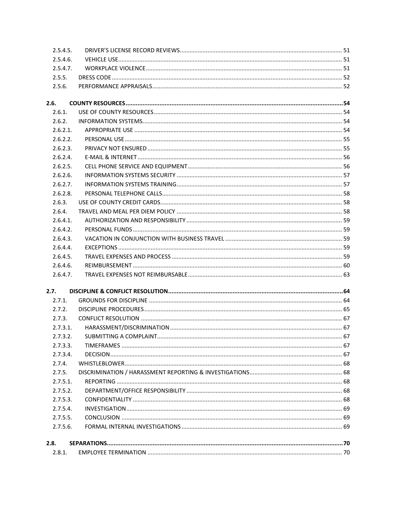| 2.8.1.   |          |  |  |  |
|----------|----------|--|--|--|
| 2.8.     |          |  |  |  |
|          |          |  |  |  |
| 2.7.5.6. |          |  |  |  |
| 2.7.5.5. |          |  |  |  |
| 2.7.5.4. |          |  |  |  |
| 2.7.5.3. |          |  |  |  |
| 2.7.5.2. |          |  |  |  |
| 2.7.5.1. |          |  |  |  |
| 2.7.5.   |          |  |  |  |
| 2.7.4.   |          |  |  |  |
| 2.7.3.4. |          |  |  |  |
| 2.7.3.3. |          |  |  |  |
| 2.7.3.2. |          |  |  |  |
| 2.7.3.1. |          |  |  |  |
| 2.7.3.   |          |  |  |  |
| 2.7.2.   |          |  |  |  |
| 2.7.1.   |          |  |  |  |
| 2.7.     |          |  |  |  |
|          |          |  |  |  |
|          | 2.6.4.7. |  |  |  |
| 2.6.4.6. |          |  |  |  |
| 2.6.4.5. |          |  |  |  |
| 2.6.4.4. |          |  |  |  |
|          | 2.6.4.3. |  |  |  |
|          | 2.6.4.2. |  |  |  |
| 2.6.4.1. |          |  |  |  |
| 2.6.4.   |          |  |  |  |
| 2.6.3.   |          |  |  |  |
| 2.6.2.8. |          |  |  |  |
| 2.6.2.7. |          |  |  |  |
| 2.6.2.6. |          |  |  |  |
| 2.6.2.5. |          |  |  |  |
| 2.6.2.4. |          |  |  |  |
| 2.6.2.3. |          |  |  |  |
| 2.6.2.2. |          |  |  |  |
| 2.6.2.1. |          |  |  |  |
| 2.6.2.   |          |  |  |  |
| 2.6.1.   |          |  |  |  |
| 2.6.     |          |  |  |  |
|          |          |  |  |  |
| 2.5.6.   |          |  |  |  |
| 2.5.5.   |          |  |  |  |
| 2.5.4.7. |          |  |  |  |
| 2.5.4.6. |          |  |  |  |
| 2.5.4.5. |          |  |  |  |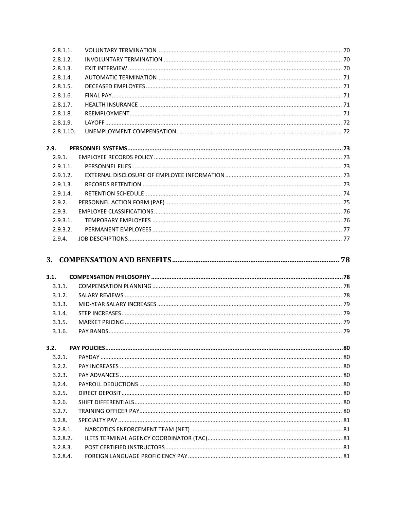| 2.8.1.1.             |  |
|----------------------|--|
| 2.8.1.2.             |  |
| 2.8.1.3.             |  |
| 2.8.1.4.             |  |
| 2.8.1.5.             |  |
| 2.8.1.6.             |  |
| 2.8.1.7.             |  |
| 2.8.1.8.             |  |
| 2.8.1.9.             |  |
| 2.8.1.10.            |  |
| 2.9.                 |  |
| 2.9.1.               |  |
| $2.9.1.1$ .          |  |
| 2.9.1.2.             |  |
| 2.9.1.3.             |  |
| 2.9.1.4.             |  |
| 2.9.2.               |  |
| 2.9.3.               |  |
| 2.9.3.1.             |  |
| 2.9.3.2.             |  |
| 2.9.4.               |  |
|                      |  |
|                      |  |
| 3.1.                 |  |
| 3.1.1.               |  |
| 3.1.2.               |  |
| 3.1.3.               |  |
| 3.1.4.               |  |
| 3.1.5.<br>3.1.6.     |  |
|                      |  |
| 3.2.                 |  |
| 3.2.1.               |  |
| 3.2.2.               |  |
| 3.2.3.               |  |
| 3.2.4.               |  |
| 3.2.5.               |  |
| 3.2.6.               |  |
| 3.2.7.               |  |
| 3.2.8.               |  |
| 3.2.8.1.             |  |
| 3.2.8.2.             |  |
| 3.2.8.3.<br>3.2.8.4. |  |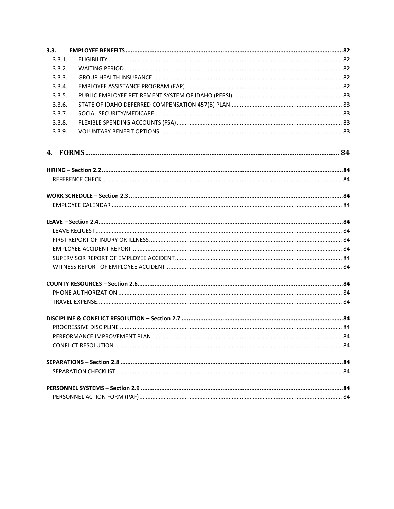| 3.3.   |  |  |  |  |
|--------|--|--|--|--|
| 3.3.1. |  |  |  |  |
| 3.3.2. |  |  |  |  |
| 3.3.3. |  |  |  |  |
| 3.3.4. |  |  |  |  |
| 3.3.5. |  |  |  |  |
| 3.3.6. |  |  |  |  |
| 3.3.7. |  |  |  |  |
| 3.3.8. |  |  |  |  |
| 3.3.9. |  |  |  |  |
|        |  |  |  |  |
|        |  |  |  |  |
|        |  |  |  |  |
|        |  |  |  |  |
|        |  |  |  |  |
|        |  |  |  |  |
|        |  |  |  |  |
|        |  |  |  |  |
|        |  |  |  |  |
|        |  |  |  |  |
|        |  |  |  |  |
|        |  |  |  |  |
|        |  |  |  |  |
|        |  |  |  |  |
|        |  |  |  |  |
|        |  |  |  |  |
|        |  |  |  |  |
|        |  |  |  |  |
|        |  |  |  |  |
|        |  |  |  |  |
|        |  |  |  |  |
|        |  |  |  |  |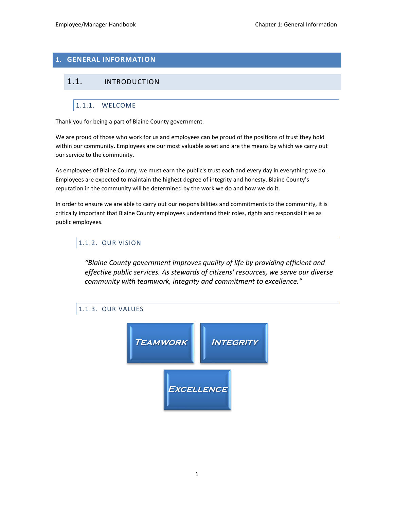## <span id="page-7-0"></span>**1. GENERAL INFORMATION**

## <span id="page-7-2"></span><span id="page-7-1"></span>1.1. INTRODUCTION

## 1.1.1. WELCOME

Thank you for being a part of Blaine County government.

We are proud of those who work for us and employees can be proud of the positions of trust they hold within our community. Employees are our most valuable asset and are the means by which we carry out our service to the community.

As employees of Blaine County, we must earn the public's trust each and every day in everything we do. Employees are expected to maintain the highest degree of integrity and honesty. Blaine County's reputation in the community will be determined by the work we do and how we do it.

In order to ensure we are able to carry out our responsibilities and commitments to the community, it is critically important that Blaine County employees understand their roles, rights and responsibilities as public employees.

### <span id="page-7-3"></span>1.1.2. OUR VISION

*"Blaine County government improves quality of life by providing efficient and effective public services. As stewards of citizens' resources, we serve our diverse community with teamwork, integrity and commitment to excellence."*

## <span id="page-7-4"></span>1.1.3. OUR VALUES

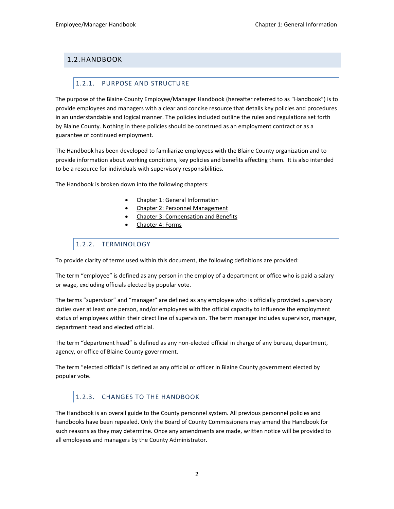## <span id="page-8-1"></span><span id="page-8-0"></span>1.2.HANDBOOK

### 1.2.1. PURPOSE AND STRUCTURE

The purpose of the Blaine County Employee/Manager Handbook (hereafter referred to as "Handbook") is to provide employees and managers with a clear and concise resource that details key policies and procedures in an understandable and logical manner. The policies included outline the rules and regulations set forth by Blaine County. Nothing in these policies should be construed as an employment contract or as a guarantee of continued employment.

The Handbook has been developed to familiarize employees with the Blaine County organization and to provide information about working conditions, key policies and benefits affecting them. It is also intended to be a resource for individuals with supervisory responsibilities.

The Handbook is broken down into the following chapters:

- Chapter 1: General Information
- Chapter 2: Personnel Management
- Chapter 3: Compensation and Benefits
- Chapter 4: Forms

## <span id="page-8-2"></span>1.2.2. TERMINOLOGY

To provide clarity of terms used within this document, the following definitions are provided:

The term "employee" is defined as any person in the employ of a department or office who is paid a salary or wage, excluding officials elected by popular vote.

The terms "supervisor" and "manager" are defined as any employee who is officially provided supervisory duties over at least one person, and/or employees with the official capacity to influence the employment status of employees within their direct line of supervision. The term manager includes supervisor, manager, department head and elected official.

The term "department head" is defined as any non-elected official in charge of any bureau, department, agency, or office of Blaine County government.

The term "elected official" is defined as any official or officer in Blaine County government elected by popular vote.

## <span id="page-8-3"></span>1.2.3. CHANGES TO THE HANDBOOK

The Handbook is an overall guide to the County personnel system. All previous personnel policies and handbooks have been repealed. Only the Board of County Commissioners may amend the Handbook for such reasons as they may determine. Once any amendments are made, written notice will be provided to all employees and managers by the County Administrator.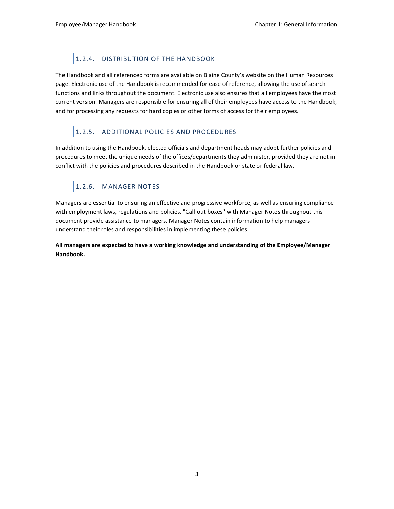## 1.2.4. DISTRIBUTION OF THE HANDBOOK

<span id="page-9-0"></span>The Handbook and all referenced forms are available on Blaine County's website on the Human Resources page. Electronic use of the Handbook is recommended for ease of reference, allowing the use of search functions and links throughout the document. Electronic use also ensures that all employees have the most current version. Managers are responsible for ensuring all of their employees have access to the Handbook, and for processing any requests for hard copies or other forms of access for their employees.

### <span id="page-9-1"></span>1.2.5. ADDITIONAL POLICIES AND PROCEDURES

In addition to using the Handbook, elected officials and department heads may adopt further policies and procedures to meet the unique needs of the offices/departments they administer, provided they are not in conflict with the policies and procedures described in the Handbook or state or federal law.

## <span id="page-9-2"></span>1.2.6. MANAGER NOTES

Managers are essential to ensuring an effective and progressive workforce, as well as ensuring compliance with employment laws, regulations and policies. "Call-out boxes" with Manager Notes throughout this document provide assistance to managers. Manager Notes contain information to help managers understand their roles and responsibilities in implementing these policies.

**All managers are expected to have a working knowledge and understanding of the Employee/Manager Handbook.**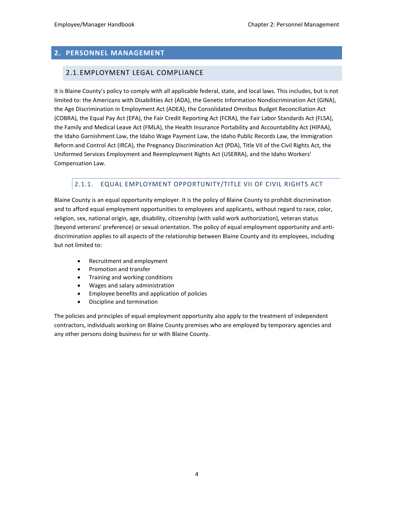### <span id="page-10-1"></span><span id="page-10-0"></span>**2. PERSONNEL MANAGEMENT**

### 2.1.EMPLOYMENT LEGAL COMPLIANCE

It is Blaine County's policy to comply with all applicable federal, state, and local laws. This includes, but is not limited to: the Americans with Disabilities Act (ADA), the Genetic Information Nondiscrimination Act (GINA), the Age Discrimination in Employment Act (ADEA), the Consolidated Omnibus Budget Reconciliation Act (COBRA), the Equal Pay Act (EPA), the Fair Credit Reporting Act (FCRA), the Fair Labor Standards Act (FLSA), the Family and Medical Leave Act (FMLA), the Health Insurance Portability and Accountability Act (HIPAA), the Idaho Garnishment Law, the Idaho Wage Payment Law, the Idaho Public Records Law, the Immigration Reform and Control Act (IRCA), the Pregnancy Discrimination Act (PDA), Title VII of the Civil Rights Act, the Uniformed Services Employment and Reemployment Rights Act (USERRA), and the Idaho Workers' Compensation Law.

## <span id="page-10-2"></span>2.1.1. EQUAL EMPLOYMENT OPPORTUNITY/TITLE VII OF CIVIL RIGHTS ACT

Blaine County is an equal opportunity employer. It is the policy of Blaine County to prohibit discrimination and to afford equal employment opportunities to employees and applicants, without regard to race, color, religion, sex, national origin, age, disability, citizenship (with valid work authorization), veteran status (beyond veterans' preference) or sexual orientation. The policy of equal employment opportunity and antidiscrimination applies to all aspects of the relationship between Blaine County and its employees, including but not limited to:

- Recruitment and employment
- Promotion and transfer
- Training and working conditions
- Wages and salary administration
- Employee benefits and application of policies
- Discipline and termination

The policies and principles of equal employment opportunity also apply to the treatment of independent contractors, individuals working on Blaine County premises who are employed by temporary agencies and any other persons doing business for or with Blaine County.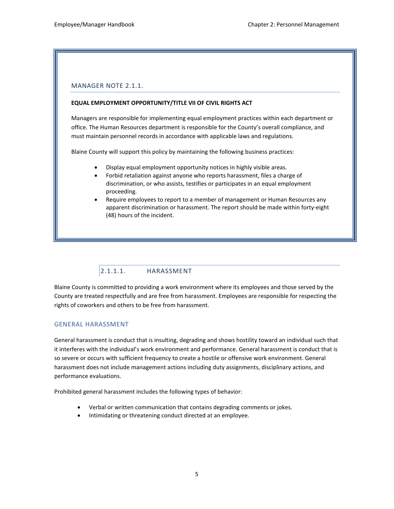#### MANAGER NOTE 2.1.1.

#### **EQUAL EMPLOYMENT OPPORTUNITY/TITLE VII OF CIVIL RIGHTS ACT**

Managers are responsible for implementing equal employment practices within each department or office. The Human Resources department is responsible for the County's overall compliance, and must maintain personnel records in accordance with applicable laws and regulations.

Blaine County will support this policy by maintaining the following business practices:

- Display equal employment opportunity notices in highly visible areas.
- Forbid retaliation against anyone who reports harassment, files a charge of discrimination, or who assists, testifies or participates in an equal employment proceeding.
- Require employees to report to a member of management or Human Resources any apparent discrimination or harassment. The report should be made within forty-eight (48) hours of the incident.

## 2.1.1.1. HARASSMENT

<span id="page-11-0"></span>Blaine County is committed to providing a work environment where its employees and those served by the County are treated respectfully and are free from harassment. Employees are responsible for respecting the rights of coworkers and others to be free from harassment.

#### GENERAL HARASSMENT

General harassment is conduct that is insulting, degrading and shows hostility toward an individual such that it interferes with the individual's work environment and performance. General harassment is conduct that is so severe or occurs with sufficient frequency to create a hostile or offensive work environment. General harassment does not include management actions including duty assignments, disciplinary actions, and performance evaluations.

Prohibited general harassment includes the following types of behavior:

- Verbal or written communication that contains degrading comments or jokes.
- Intimidating or threatening conduct directed at an employee.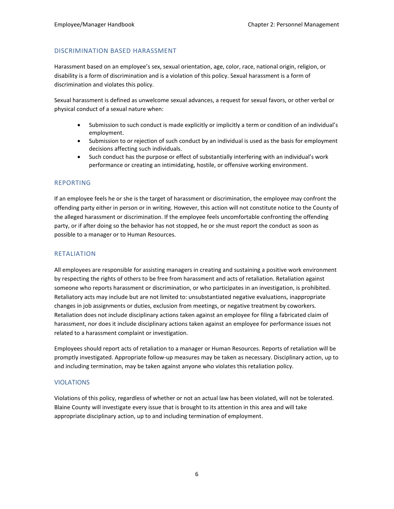### DISCRIMINATION BASED HARASSMENT

Harassment based on an employee's sex, sexual orientation, age, color, race, national origin, religion, or disability is a form of discrimination and is a violation of this policy. Sexual harassment is a form of discrimination and violates this policy.

Sexual harassment is defined as unwelcome sexual advances, a request for sexual favors, or other verbal or physical conduct of a sexual nature when:

- Submission to such conduct is made explicitly or implicitly a term or condition of an individual's employment.
- Submission to or rejection of such conduct by an individual is used as the basis for employment decisions affecting such individuals.
- Such conduct has the purpose or effect of substantially interfering with an individual's work performance or creating an intimidating, hostile, or offensive working environment.

#### REPORTING

If an employee feels he or she is the target of harassment or discrimination, the employee may confront the offending party either in person or in writing. However, this action will not constitute notice to the County of the alleged harassment or discrimination. If the employee feels uncomfortable confronting the offending party, or if after doing so the behavior has not stopped, he or she must report the conduct as soon as possible to a manager or to Human Resources.

### RETALIATION

All employees are responsible for assisting managers in creating and sustaining a positive work environment by respecting the rights of others to be free from harassment and acts of retaliation. Retaliation against someone who reports harassment or discrimination, or who participates in an investigation, is prohibited. Retaliatory acts may include but are not limited to: unsubstantiated negative evaluations, inappropriate changes in job assignments or duties, exclusion from meetings, or negative treatment by coworkers. Retaliation does not include disciplinary actions taken against an employee for filing a fabricated claim of harassment, nor does it include disciplinary actions taken against an employee for performance issues not related to a harassment complaint or investigation.

Employees should report acts of retaliation to a manager or Human Resources. Reports of retaliation will be promptly investigated. Appropriate follow-up measures may be taken as necessary. Disciplinary action, up to and including termination, may be taken against anyone who violates this retaliation policy.

#### VIOLATIONS

Violations of this policy, regardless of whether or not an actual law has been violated, will not be tolerated. Blaine County will investigate every issue that is brought to its attention in this area and will take appropriate disciplinary action, up to and including termination of employment.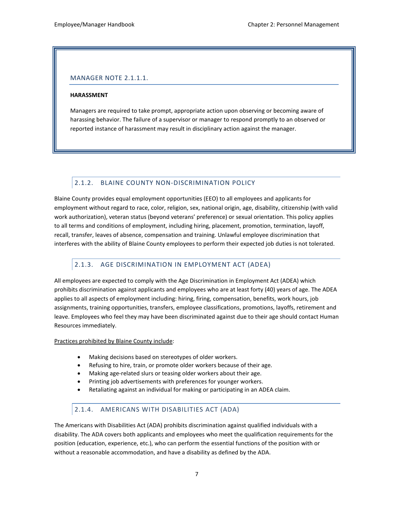### MANAGER NOTE 2.1.1.1.

#### **HARASSMENT**

Managers are required to take prompt, appropriate action upon observing or becoming aware of harassing behavior. The failure of a supervisor or manager to respond promptly to an observed or reported instance of harassment may result in disciplinary action against the manager.

### <span id="page-13-0"></span>2.1.2. BLAINE COUNTY NON-DISCRIMINATION POLICY

Blaine County provides equal employment opportunities (EEO) to all employees and applicants for employment without regard to race, color, religion, sex, national origin, age, disability, citizenship (with valid work authorization), veteran status (beyond veterans' preference) or sexual orientation. This policy applies to all terms and conditions of employment, including hiring, placement, promotion, termination, layoff, recall, transfer, leaves of absence, compensation and training. Unlawful employee discrimination that interferes with the ability of Blaine County employees to perform their expected job duties is not tolerated.

### <span id="page-13-1"></span>2.1.3. AGE DISCRIMINATION IN EMPLOYMENT ACT (ADEA)

All employees are expected to comply with the Age Discrimination in Employment Act (ADEA) which prohibits discrimination against applicants and employees who are at least forty (40) years of age. The ADEA applies to all aspects of employment including: hiring, firing, compensation, benefits, work hours, job assignments, training opportunities, transfers, employee classifications, promotions, layoffs, retirement and leave. Employees who feel they may have been discriminated against due to their age should contact Human Resources immediately.

Practices prohibited by Blaine County include:

- Making decisions based on stereotypes of older workers.
- Refusing to hire, train, or promote older workers because of their age.
- Making age-related slurs or teasing older workers about their age.
- Printing job advertisements with preferences for younger workers.
- Retaliating against an individual for making or participating in an ADEA claim.

#### <span id="page-13-2"></span>2.1.4. AMERICANS WITH DISABILITIES ACT (ADA)

The Americans with Disabilities Act (ADA) prohibits discrimination against qualified individuals with a disability. The ADA covers both applicants and employees who meet the qualification requirements for the position (education, experience, etc.), who can perform the essential functions of the position with or without a reasonable accommodation, and have a disability as defined by the ADA.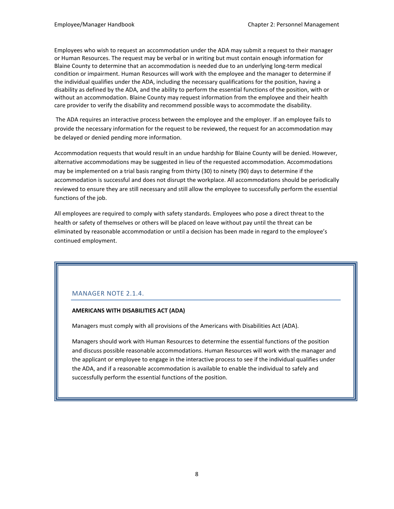Employees who wish to request an accommodation under the ADA may submit a request to their manager or Human Resources. The request may be verbal or in writing but must contain enough information for Blaine County to determine that an accommodation is needed due to an underlying long-term medical condition or impairment. Human Resources will work with the employee and the manager to determine if the individual qualifies under the ADA, including the necessary qualifications for the position, having a disability as defined by the ADA, and the ability to perform the essential functions of the position, with or without an accommodation. Blaine County may request information from the employee and their health care provider to verify the disability and recommend possible ways to accommodate the disability.

The ADA requires an interactive process between the employee and the employer. If an employee fails to provide the necessary information for the request to be reviewed, the request for an accommodation may be delayed or denied pending more information.

Accommodation requests that would result in an undue hardship for Blaine County will be denied. However, alternative accommodations may be suggested in lieu of the requested accommodation. Accommodations may be implemented on a trial basis ranging from thirty (30) to ninety (90) days to determine if the accommodation is successful and does not disrupt the workplace. All accommodations should be periodically reviewed to ensure they are still necessary and still allow the employee to successfully perform the essential functions of the job.

All employees are required to comply with safety standards. Employees who pose a direct threat to the health or safety of themselves or others will be placed on leave without pay until the threat can be eliminated by reasonable accommodation or until a decision has been made in regard to the employee's continued employment.

## MANAGER NOTE 2.1.4.

### **AMERICANS WITH DISABILITIES ACT (ADA)**

Managers must comply with all provisions of the Americans with Disabilities Act (ADA).

Managers should work with Human Resources to determine the essential functions of the position and discuss possible reasonable accommodations. Human Resources will work with the manager and the applicant or employee to engage in the interactive process to see if the individual qualifies under the ADA, and if a reasonable accommodation is available to enable the individual to safely and successfully perform the essential functions of the position.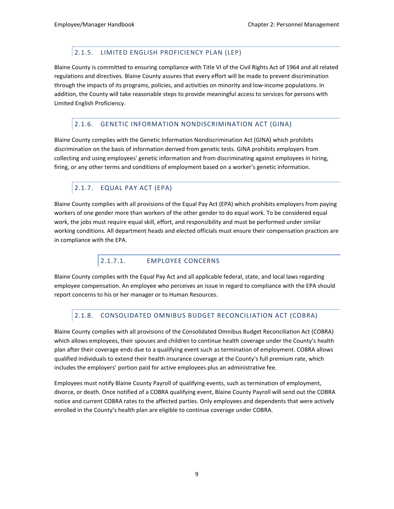## 2.1.5. LIMITED ENGLISH PROFICIENCY PLAN (LEP)

<span id="page-15-0"></span>Blaine County is committed to ensuring compliance with Title VI of the Civil Rights Act of 1964 and all related regulations and directives. Blaine County assures that every effort will be made to prevent discrimination through the impacts of its programs, policies, and activities on minority and low-income populations. In addition, the County will take reasonable steps to provide meaningful access to services for persons with Limited English Proficiency.

## <span id="page-15-1"></span>2.1.6. GENETIC INFORMATION NONDISCRIMINATION ACT (GINA)

Blaine County complies with the Genetic Information Nondiscrimination Act (GINA) which prohibits discrimination on the basis of information derived from genetic tests. GINA prohibits employers from collecting and using employees' genetic information and from discriminating against employees in hiring, firing, or any other terms and conditions of employment based on a worker's genetic information.

## <span id="page-15-2"></span>2.1.7. EQUAL PAY ACT (EPA)

Blaine County complies with all provisions of the Equal Pay Act (EPA) which prohibits employers from paying workers of one gender more than workers of the other gender to do equal work. To be considered equal work, the jobs must require equal skill, effort, and responsibility and must be performed under similar working conditions. All department heads and elected officials must ensure their compensation practices are in compliance with the EPA.

## 2.1.7.1. EMPLOYEE CONCERNS

<span id="page-15-3"></span>Blaine County complies with the Equal Pay Act and all applicable federal, state, and local laws regarding employee compensation. An employee who perceives an issue in regard to compliance with the EPA should report concerns to his or her manager or to Human Resources.

## <span id="page-15-4"></span>2.1.8. CONSOLIDATED OMNIBUS BUDGET RECONCILIATION ACT (COBRA)

Blaine County complies with all provisions of the Consolidated Omnibus Budget Reconciliation Act (COBRA) which allows employees, their spouses and children to continue health coverage under the County's health plan after their coverage ends due to a qualifying event such as termination of employment. COBRA allows qualified individuals to extend their health insurance coverage at the County's full premium rate, which includes the employers' portion paid for active employees plus an administrative fee.

Employees must notify Blaine County Payroll of qualifying events, such as termination of employment, divorce, or death. Once notified of a COBRA qualifying event, Blaine County Payroll will send out the COBRA notice and current COBRA rates to the affected parties. Only employees and dependents that were actively enrolled in the County's health plan are eligible to continue coverage under COBRA.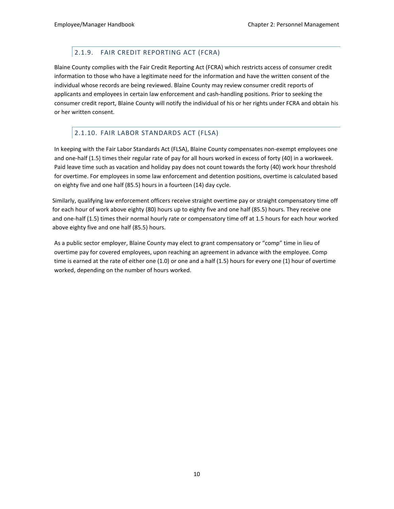## 2.1.9. FAIR CREDIT REPORTING ACT (FCRA)

<span id="page-16-0"></span>Blaine County complies with the Fair Credit Reporting Act (FCRA) which restricts access of consumer credit information to those who have a legitimate need for the information and have the written consent of the individual whose records are being reviewed. Blaine County may review consumer credit reports of applicants and employees in certain law enforcement and cash-handling positions. Prior to seeking the consumer credit report, Blaine County will notify the individual of his or her rights under FCRA and obtain his or her written consent.

## <span id="page-16-1"></span>2.1.10. FAIR LABOR STANDARDS ACT (FLSA)

In keeping with the Fair Labor Standards Act (FLSA), Blaine County compensates non-exempt employees one and one-half (1.5) times their regular rate of pay for all hours worked in excess of forty (40) in a workweek. Paid leave time such as vacation and holiday pay does not count towards the forty (40) work hour threshold for overtime. For employees in some law enforcement and detention positions, overtime is calculated based on eighty five and one half (85.5) hours in a fourteen (14) day cycle.

Similarly, qualifying law enforcement officers receive straight overtime pay or straight compensatory time off for each hour of work above eighty (80) hours up to eighty five and one half (85.5) hours. They receive one and one-half (1.5) times their normal hourly rate or compensatory time off at 1.5 hours for each hour worked above eighty five and one half (85.5) hours.

As a public sector employer, Blaine County may elect to grant compensatory or "comp" time in lieu of overtime pay for covered employees, upon reaching an agreement in advance with the employee. Comp time is earned at the rate of either one (1.0) or one and a half (1.5) hours for every one (1) hour of overtime worked, depending on the number of hours worked.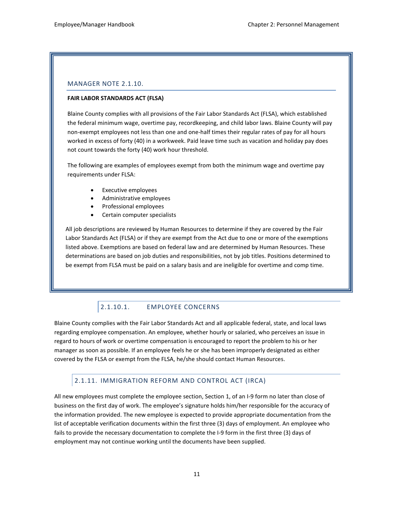### <span id="page-17-0"></span>MANAGER NOTE 2.1.10.

#### **FAIR LABOR STANDARDS ACT (FLSA)**

Blaine County complies with all provisions of the Fair Labor Standards Act (FLSA), which established the federal minimum wage, overtime pay, recordkeeping, and child labor laws. Blaine County will pay non-exempt employees not less than one and one-half times their regular rates of pay for all hours worked in excess of forty (40) in a workweek. Paid leave time such as vacation and holiday pay does not count towards the forty (40) work hour threshold.

The following are examples of employees exempt from both the minimum wage and overtime pay requirements under FLSA:

- Executive employees
- Administrative employees
- Professional employees
- Certain computer specialists

All job descriptions are reviewed by Human Resources to determine if they are covered by the Fair Labor Standards Act (FLSA) or if they are exempt from the Act due to one or more of the exemptions listed above. Exemptions are based on federal law and are determined by Human Resources. These determinations are based on job duties and responsibilities, not by job titles. Positions determined to be exempt from FLSA must be paid on a salary basis and are ineligible for overtime and comp time.

## 2.1.10.1. EMPLOYEE CONCERNS

Blaine County complies with the Fair Labor Standards Act and all applicable federal, state, and local laws regarding employee compensation. An employee, whether hourly or salaried, who perceives an issue in regard to hours of work or overtime compensation is encouraged to report the problem to his or her manager as soon as possible. If an employee feels he or she has been improperly designated as either covered by the FLSA or exempt from the FLSA, he/she should contact Human Resources.

### <span id="page-17-1"></span>2.1.11. IMMIGRATION REFORM AND CONTROL ACT (IRCA)

All new employees must complete the employee section, Section 1, of an I-9 form no later than close of business on the first day of work. The employee's signature holds him/her responsible for the accuracy of the information provided. The new employee is expected to provide appropriate documentation from the list of acceptable verification documents within the first three (3) days of employment. An employee who fails to provide the necessary documentation to complete the I-9 form in the first three (3) days of employment may not continue working until the documents have been supplied.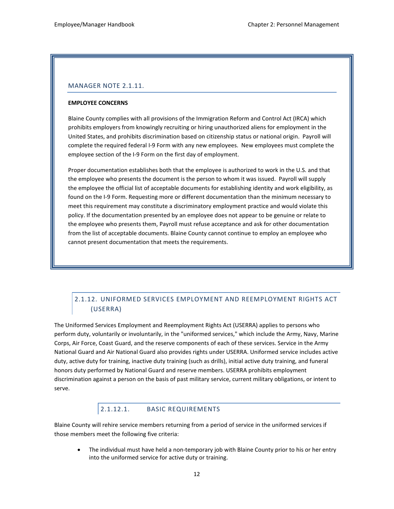### MANAGER NOTE 2.1.11.

#### **EMPLOYEE CONCERNS**

Blaine County complies with all provisions of the Immigration Reform and Control Act (IRCA) which prohibits employers from knowingly recruiting or hiring unauthorized aliens for employment in the United States, and prohibits discrimination based on citizenship status or national origin. Payroll will complete the required federal I-9 Form with any new employees. New employees must complete the employee section of the I-9 Form on the first day of employment.

Proper documentation establishes both that the employee is authorized to work in the U.S. and that the employee who presents the document is the person to whom it was issued. Payroll will supply the employee the official list of acceptable documents for establishing identity and work eligibility, as found on the I-9 Form. Requesting more or different documentation than the minimum necessary to meet this requirement may constitute a discriminatory employment practice and would violate this policy. If the documentation presented by an employee does not appear to be genuine or relate to the employee who presents them, Payroll must refuse acceptance and ask for other documentation from the list of acceptable documents. Blaine County cannot continue to employ an employee who cannot present documentation that meets the requirements.

## <span id="page-18-0"></span>2.1.12. UNIFORMED SERVICES EMPLOYMENT AND REEMPLOYMENT RIGHTS ACT (USERRA)

The Uniformed Services Employment and Reemployment Rights Act (USERRA) applies to persons who perform duty, voluntarily or involuntarily, in the "uniformed services," which include the Army, Navy, Marine Corps, Air Force, Coast Guard, and the reserve components of each of these services. Service in the Army National Guard and Air National Guard also provides rights under USERRA. Uniformed service includes active duty, active duty for training, inactive duty training (such as drills), initial active duty training, and funeral honors duty performed by National Guard and reserve members. USERRA prohibits employment discrimination against a person on the basis of past military service, current military obligations, or intent to serve.

## 2.1.12.1. BASIC REQUIREMENTS

<span id="page-18-1"></span>Blaine County will rehire service members returning from a period of service in the uniformed services if those members meet the following five criteria:

• The individual must have held a non-temporary job with Blaine County prior to his or her entry into the uniformed service for active duty or training.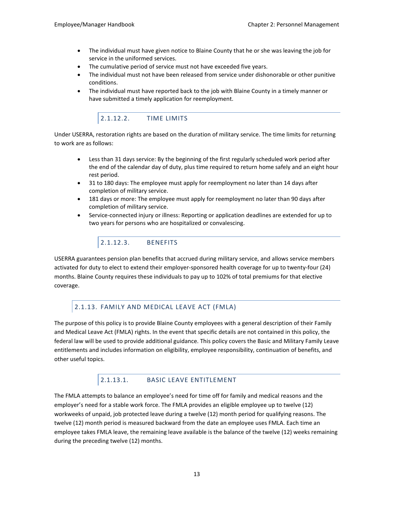- The individual must have given notice to Blaine County that he or she was leaving the job for service in the uniformed services.
- The cumulative period of service must not have exceeded five years.
- The individual must not have been released from service under dishonorable or other punitive conditions.
- <span id="page-19-0"></span>• The individual must have reported back to the job with Blaine County in a timely manner or have submitted a timely application for reemployment.

## 2.1.12.2. TIME LIMITS

Under USERRA, restoration rights are based on the duration of military service. The time limits for returning to work are as follows:

- Less than 31 days service: By the beginning of the first regularly scheduled work period after the end of the calendar day of duty, plus time required to return home safely and an eight hour rest period.
- 31 to 180 days: The employee must apply for reemployment no later than 14 days after completion of military service.
- 181 days or more: The employee must apply for reemployment no later than 90 days after completion of military service.
- <span id="page-19-1"></span>• Service-connected injury or illness: Reporting or application deadlines are extended for up to two years for persons who are hospitalized or convalescing.

## 2.1.12.3. BENEFITS

USERRA guarantees pension plan benefits that accrued during military service, and allows service members activated for duty to elect to extend their employer-sponsored health coverage for up to twenty-four (24) months. Blaine County requires these individuals to pay up to 102% of total premiums for that elective coverage.

## <span id="page-19-2"></span>2.1.13. FAMILY AND MEDICAL LEAVE ACT (FMLA)

The purpose of this policy is to provide Blaine County employees with a general description of their Family and Medical Leave Act (FMLA) rights. In the event that specific details are not contained in this policy, the federal law will be used to provide additional guidance. This policy covers the Basic and Military Family Leave entitlements and includes information on eligibility, employee responsibility, continuation of benefits, and other useful topics.

### 2.1.13.1. BASIC LEAVE ENTITLEMENT

<span id="page-19-3"></span>The FMLA attempts to balance an employee's need for time off for family and medical reasons and the employer's need for a stable work force. The FMLA provides an eligible employee up to twelve (12) workweeks of unpaid, job protected leave during a twelve (12) month period for qualifying reasons. The twelve (12) month period is measured backward from the date an employee uses FMLA. Each time an employee takes FMLA leave, the remaining leave available is the balance of the twelve (12) weeks remaining during the preceding twelve (12) months.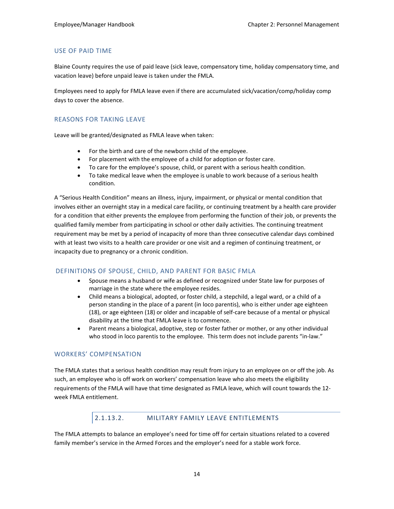### USE OF PAID TIME

Blaine County requires the use of paid leave (sick leave, compensatory time, holiday compensatory time, and vacation leave) before unpaid leave is taken under the FMLA.

Employees need to apply for FMLA leave even if there are accumulated sick/vacation/comp/holiday comp days to cover the absence.

#### REASONS FOR TAKING LEAVE

Leave will be granted/designated as FMLA leave when taken:

- For the birth and care of the newborn child of the employee.
- For placement with the employee of a child for adoption or foster care.
- To care for the employee's spouse, child, or parent with a serious health condition.
- To take medical leave when the employee is unable to work because of a serious health condition.

A "Serious Health Condition" means an illness, injury, impairment, or physical or mental condition that involves either an overnight stay in a medical care facility, or continuing treatment by a health care provider for a condition that either prevents the employee from performing the function of their job, or prevents the qualified family member from participating in school or other daily activities. The continuing treatment requirement may be met by a period of incapacity of more than three consecutive calendar days combined with at least two visits to a health care provider or one visit and a regimen of continuing treatment, or incapacity due to pregnancy or a chronic condition.

#### DEFINITIONS OF SPOUSE, CHILD, AND PARENT FOR BASIC FMLA

- Spouse means a husband or wife as defined or recognized under State law for purposes of marriage in the state where the employee resides.
- Child means a biological, adopted, or foster child, a stepchild, a legal ward, or a child of a person standing in the place of a parent (in loco parentis), who is either under age eighteen (18), or age eighteen (18) or older and incapable of self-care because of a mental or physical disability at the time that FMLA leave is to commence.
- Parent means a biological, adoptive, step or foster father or mother, or any other individual who stood in loco parentis to the employee. This term does not include parents "in-law."

#### WORKERS' COMPENSATION

The FMLA states that a serious health condition may result from injury to an employee on or off the job. As such, an employee who is off work on workers' compensation leave who also meets the eligibility requirements of the FMLA will have that time designated as FMLA leave, which will count towards the 12 week FMLA entitlement.

### 2.1.13.2. MILITARY FAMILY LEAVE ENTITLEMENTS

<span id="page-20-0"></span>The FMLA attempts to balance an employee's need for time off for certain situations related to a covered family member's service in the Armed Forces and the employer's need for a stable work force.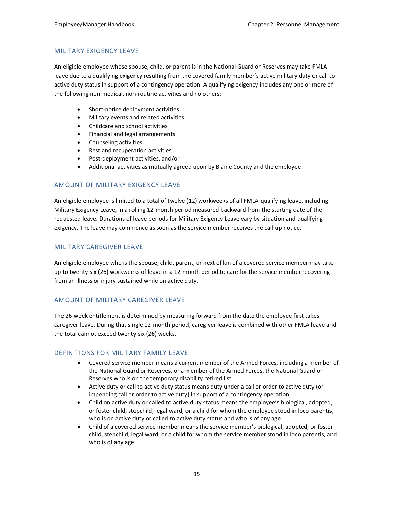### MILITARY EXIGENCY LEAVE

An eligible employee whose spouse, child, or parent is in the National Guard or Reserves may take FMLA leave due to a qualifying exigency resulting from the covered family member's active military duty or call to active duty status in support of a contingency operation. A qualifying exigency includes any one or more of the following non-medical, non-routine activities and no others:

- Short-notice deployment activities
- Military events and related activities
- Childcare and school activities
- Financial and legal arrangements
- Counseling activities
- Rest and recuperation activities
- Post-deployment activities, and/or
- Additional activities as mutually agreed upon by Blaine County and the employee

### AMOUNT OF MILITARY EXIGENCY LEAVE

An eligible employee is limited to a total of twelve (12) workweeks of all FMLA-qualifying leave, including Military Exigency Leave, in a rolling 12-month period measured backward from the starting date of the requested leave. Durations of leave periods for Military Exigency Leave vary by situation and qualifying exigency. The leave may commence as soon as the service member receives the call-up notice.

#### MILITARY CAREGIVER LEAVE

An eligible employee who is the spouse, child, parent, or next of kin of a covered service member may take up to twenty-six (26) workweeks of leave in a 12-month period to care for the service member recovering from an illness or injury sustained while on active duty.

#### AMOUNT OF MILITARY CAREGIVER LEAVE

The 26-week entitlement is determined by measuring forward from the date the employee first takes caregiver leave. During that single 12-month period, caregiver leave is combined with other FMLA leave and the total cannot exceed twenty-six (26) weeks.

#### DEFINITIONS FOR MILITARY FAMILY LEAVE

- Covered service member means a current member of the Armed Forces, including a member of the National Guard or Reserves, or a member of the Armed Forces, the National Guard or Reserves who is on the temporary disability retired list.
- Active duty or call to active duty status means duty under a call or order to active duty (or impending call or order to active duty) in support of a contingency operation.
- Child on active duty or called to active duty status means the employee's biological, adopted, or foster child, stepchild, legal ward, or a child for whom the employee stood in loco parentis, who is on active duty or called to active duty status and who is of any age.
- Child of a covered service member means the service member's biological, adopted, or foster child, stepchild, legal ward, or a child for whom the service member stood in loco parentis, and who is of any age.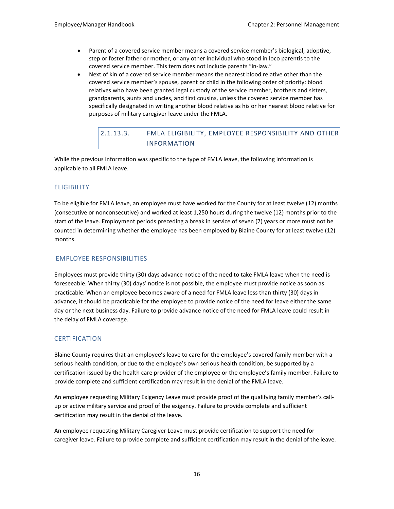- Parent of a covered service member means a covered service member's biological, adoptive, step or foster father or mother, or any other individual who stood in loco parentis to the covered service member. This term does not include parents "in-law."
- Next of kin of a covered service member means the nearest blood relative other than the covered service member's spouse, parent or child in the following order of priority: blood relatives who have been granted legal custody of the service member, brothers and sisters, grandparents, aunts and uncles, and first cousins, unless the covered service member has specifically designated in writing another blood relative as his or her nearest blood relative for purposes of military caregiver leave under the FMLA.

## 2.1.13.3. FMLA ELIGIBILITY, EMPLOYEE RESPONSIBILITY AND OTHER INFORMATION

<span id="page-22-0"></span>While the previous information was specific to the type of FMLA leave, the following information is applicable to all FMLA leave.

### **ELIGIBILITY**

To be eligible for FMLA leave, an employee must have worked for the County for at least twelve (12) months (consecutive or nonconsecutive) and worked at least 1,250 hours during the twelve (12) months prior to the start of the leave. Employment periods preceding a break in service of seven (7) years or more must not be counted in determining whether the employee has been employed by Blaine County for at least twelve (12) months.

### EMPLOYEE RESPONSIBILITIES

Employees must provide thirty (30) days advance notice of the need to take FMLA leave when the need is foreseeable. When thirty (30) days' notice is not possible, the employee must provide notice as soon as practicable. When an employee becomes aware of a need for FMLA leave less than thirty (30) days in advance, it should be practicable for the employee to provide notice of the need for leave either the same day or the next business day. Failure to provide advance notice of the need for FMLA leave could result in the delay of FMLA coverage.

### **CERTIFICATION**

Blaine County requires that an employee's leave to care for the employee's covered family member with a serious health condition, or due to the employee's own serious health condition, be supported by a certification issued by the health care provider of the employee or the employee's family member. Failure to provide complete and sufficient certification may result in the denial of the FMLA leave.

An employee requesting Military Exigency Leave must provide proof of the qualifying family member's callup or active military service and proof of the exigency. Failure to provide complete and sufficient certification may result in the denial of the leave.

An employee requesting Military Caregiver Leave must provide certification to support the need for caregiver leave. Failure to provide complete and sufficient certification may result in the denial of the leave.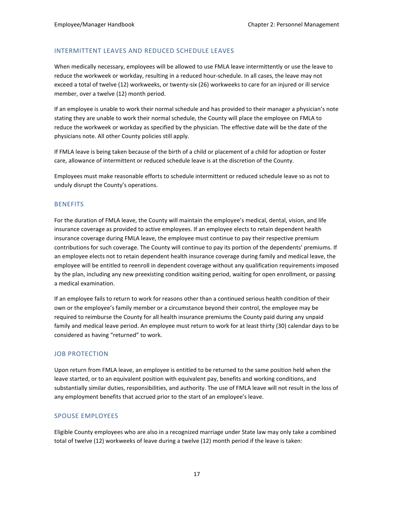#### INTERMITTENT LEAVES AND REDUCED SCHEDULE LEAVES

When medically necessary, employees will be allowed to use FMLA leave intermittently or use the leave to reduce the workweek or workday, resulting in a reduced hour-schedule. In all cases, the leave may not exceed a total of twelve (12) workweeks, or twenty-six (26) workweeks to care for an injured or ill service member, over a twelve (12) month period.

If an employee is unable to work their normal schedule and has provided to their manager a physician's note stating they are unable to work their normal schedule, the County will place the employee on FMLA to reduce the workweek or workday as specified by the physician. The effective date will be the date of the physicians note. All other County policies still apply.

If FMLA leave is being taken because of the birth of a child or placement of a child for adoption or foster care, allowance of intermittent or reduced schedule leave is at the discretion of the County.

Employees must make reasonable efforts to schedule intermittent or reduced schedule leave so as not to unduly disrupt the County's operations.

#### **BENEFITS**

For the duration of FMLA leave, the County will maintain the employee's medical, dental, vision, and life insurance coverage as provided to active employees. If an employee elects to retain dependent health insurance coverage during FMLA leave, the employee must continue to pay their respective premium contributions for such coverage. The County will continue to pay its portion of the dependents' premiums. If an employee elects not to retain dependent health insurance coverage during family and medical leave, the employee will be entitled to reenroll in dependent coverage without any qualification requirements imposed by the plan, including any new preexisting condition waiting period, waiting for open enrollment, or passing a medical examination.

If an employee fails to return to work for reasons other than a continued serious health condition of their own or the employee's family member or a circumstance beyond their control, the employee may be required to reimburse the County for all health insurance premiums the County paid during any unpaid family and medical leave period. An employee must return to work for at least thirty (30) calendar days to be considered as having "returned" to work.

#### JOB PROTECTION

Upon return from FMLA leave, an employee is entitled to be returned to the same position held when the leave started, or to an equivalent position with equivalent pay, benefits and working conditions, and substantially similar duties, responsibilities, and authority. The use of FMLA leave will not result in the loss of any employment benefits that accrued prior to the start of an employee's leave.

#### SPOUSE EMPLOYEES

Eligible County employees who are also in a recognized marriage under State law may only take a combined total of twelve (12) workweeks of leave during a twelve (12) month period if the leave is taken: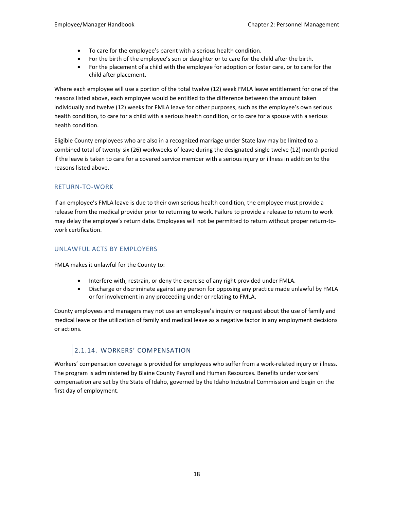- To care for the employee's parent with a serious health condition.
- For the birth of the employee's son or daughter or to care for the child after the birth.
- For the placement of a child with the employee for adoption or foster care, or to care for the child after placement.

Where each employee will use a portion of the total twelve (12) week FMLA leave entitlement for one of the reasons listed above, each employee would be entitled to the difference between the amount taken individually and twelve (12) weeks for FMLA leave for other purposes, such as the employee's own serious health condition, to care for a child with a serious health condition, or to care for a spouse with a serious health condition.

Eligible County employees who are also in a recognized marriage under State law may be limited to a combined total of twenty-six (26) workweeks of leave during the designated single twelve (12) month period if the leave is taken to care for a covered service member with a serious injury or illness in addition to the reasons listed above.

### RETURN-TO-WORK

If an employee's FMLA leave is due to their own serious health condition, the employee must provide a release from the medical provider prior to returning to work. Failure to provide a release to return to work may delay the employee's return date. Employees will not be permitted to return without proper return-towork certification.

### UNLAWFUL ACTS BY EMPLOYERS

FMLA makes it unlawful for the County to:

- Interfere with, restrain, or deny the exercise of any right provided under FMLA.
- Discharge or discriminate against any person for opposing any practice made unlawful by FMLA or for involvement in any proceeding under or relating to FMLA.

County employees and managers may not use an employee's inquiry or request about the use of family and medical leave or the utilization of family and medical leave as a negative factor in any employment decisions or actions.

### 2.1.14. WORKERS' COMPENSATION

<span id="page-24-0"></span>Workers' compensation coverage is provided for employees who suffer from a work-related injury or illness. The program is administered by Blaine County Payroll and Human Resources. Benefits under workers' compensation are set by the State of Idaho, governed by the Idaho Industrial Commission and begin on the first day of employment.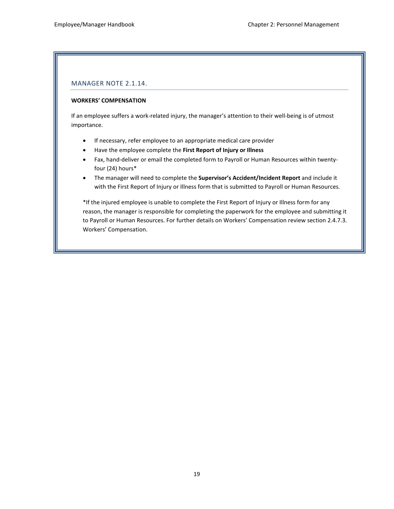### MANAGER NOTE 2.1.14.

#### **WORKERS' COMPENSATION**

If an employee suffers a work-related injury, the manager's attention to their well-being is of utmost importance.

- If necessary, refer employee to an appropriate medical care provider
- Have the employee complete the **First Report of Injury or Illness**
- Fax, hand-deliver or email the completed form to Payroll or Human Resources within twentyfour (24) hours\*
- The manager will need to complete the **Supervisor's Accident/Incident Report** and include it with the First Report of Injury or Illness form that is submitted to Payroll or Human Resources.

\*If the injured employee is unable to complete the First Report of Injury or Illness form for any reason, the manager is responsible for completing the paperwork for the employee and submitting it to Payroll or Human Resources. For further details on Workers' Compensation review section 2.4.7.3. Workers' Compensation.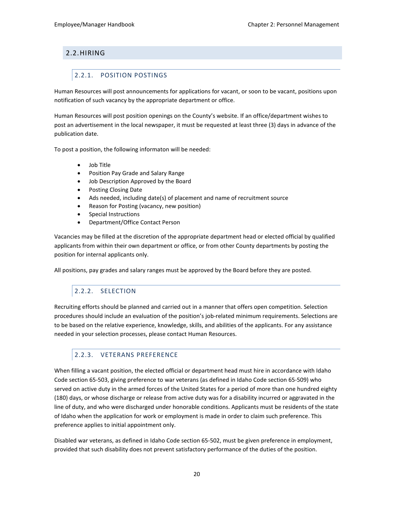## <span id="page-26-1"></span><span id="page-26-0"></span>2.2.HIRING

## 2.2.1. POSITION POSTINGS

Human Resources will post announcements for applications for vacant, or soon to be vacant, positions upon notification of such vacancy by the appropriate department or office.

Human Resources will post position openings on the County's website. If an office/department wishes to post an advertisement in the local newspaper, it must be requested at least three (3) days in advance of the publication date.

To post a position, the following informaton will be needed:

- Job Title
- Position Pay Grade and Salary Range
- Job Description Approved by the Board
- Posting Closing Date
- Ads needed, including date(s) of placement and name of recruitment source
- Reason for Posting (vacancy, new position)
- Special Instructions
- Department/Office Contact Person

Vacancies may be filled at the discretion of the appropriate department head or elected official by qualified applicants from within their own department or office, or from other County departments by posting the position for internal applicants only.

<span id="page-26-2"></span>All positions, pay grades and salary ranges must be approved by the Board before they are posted.

## 2.2.2. SELECTION

Recruiting efforts should be planned and carried out in a manner that offers open competition. Selection procedures should include an evaluation of the position's job-related minimum requirements. Selections are to be based on the relative experience, knowledge, skills, and abilities of the applicants. For any assistance needed in your selection processes, please contact Human Resources.

## <span id="page-26-3"></span>2.2.3. VETERANS PREFERENCE

When filling a vacant position, the elected official or department head must hire in accordance with Idaho Code section 65-503, giving preference to war veterans (as defined in Idaho Code section 65-509) who served on active duty in the armed forces of the United States for a period of more than one hundred eighty (180) days, or whose discharge or release from active duty was for a disability incurred or aggravated in the line of duty, and who were discharged under honorable conditions. Applicants must be residents of the state of Idaho when the application for work or employment is made in order to claim such preference. This preference applies to initial appointment only.

Disabled war veterans, as defined in Idaho Code section 65-502, must be given preference in employment, provided that such disability does not prevent satisfactory performance of the duties of the position.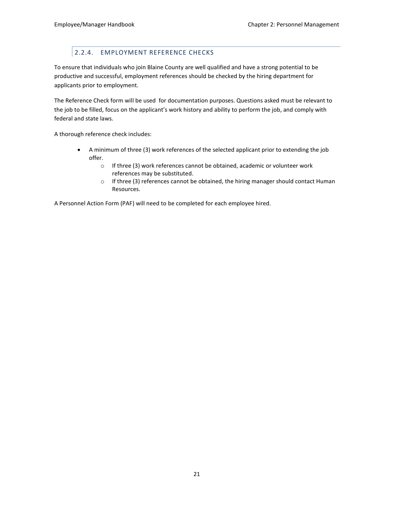## 2.2.4. EMPLOYMENT REFERENCE CHECKS

<span id="page-27-0"></span>To ensure that individuals who join Blaine County are well qualified and have a strong potential to be productive and successful, employment references should be checked by the hiring department for applicants prior to employment.

The Reference Check form will be used for documentation purposes. Questions asked must be relevant to the job to be filled, focus on the applicant's work history and ability to perform the job, and comply with federal and state laws.

A thorough reference check includes:

- A minimum of three (3) work references of the selected applicant prior to extending the job offer.
	- o If three (3) work references cannot be obtained, academic or volunteer work references may be substituted.
	- $\circ$  If three (3) references cannot be obtained, the hiring manager should contact Human Resources.

A Personnel Action Form (PAF) will need to be completed for each employee hired.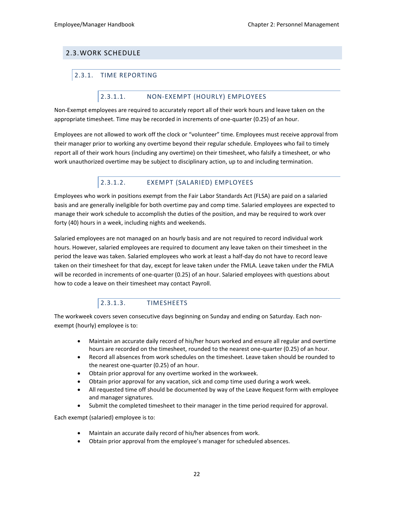## <span id="page-28-1"></span><span id="page-28-0"></span>2.3.WORK SCHEDULE

## <span id="page-28-2"></span>2.3.1. TIME REPORTING

### 2.3.1.1. NON-EXEMPT (HOURLY) EMPLOYEES

Non-Exempt employees are required to accurately report all of their work hours and leave taken on the appropriate timesheet. Time may be recorded in increments of one-quarter (0.25) of an hour.

Employees are not allowed to work off the clock or "volunteer" time. Employees must receive approval from their manager prior to working any overtime beyond their regular schedule. Employees who fail to timely report all of their work hours (including any overtime) on their timesheet, who falsify a timesheet, or who work unauthorized overtime may be subject to disciplinary action, up to and including termination.

## 2.3.1.2. EXEMPT (SALARIED) EMPLOYEES

<span id="page-28-3"></span>Employees who work in positions exempt from the Fair Labor Standards Act (FLSA) are paid on a salaried basis and are generally ineligible for both overtime pay and comp time. Salaried employees are expected to manage their work schedule to accomplish the duties of the position, and may be required to work over forty (40) hours in a week, including nights and weekends.

Salaried employees are not managed on an hourly basis and are not required to record individual work hours. However, salaried employees are required to document any leave taken on their timesheet in the period the leave was taken. Salaried employees who work at least a half-day do not have to record leave taken on their timesheet for that day, except for leave taken under the FMLA. Leave taken under the FMLA will be recorded in increments of one-quarter (0.25) of an hour. Salaried employees with questions about how to code a leave on their timesheet may contact Payroll.

## 2.3.1.3. TIMESHEETS

<span id="page-28-4"></span>The workweek covers seven consecutive days beginning on Sunday and ending on Saturday. Each nonexempt (hourly) employee is to:

- Maintain an accurate daily record of his/her hours worked and ensure all regular and overtime hours are recorded on the timesheet, rounded to the nearest one-quarter (0.25) of an hour.
- Record all absences from work schedules on the timesheet. Leave taken should be rounded to the nearest one-quarter (0.25) of an hour.
- Obtain prior approval for any overtime worked in the workweek.
- Obtain prior approval for any vacation, sick and comp time used during a work week.
- All requested time off should be documented by way of the Leave Request form with employee and manager signatures.
- Submit the completed timesheet to their manager in the time period required for approval.

Each exempt (salaried) employee is to:

- Maintain an accurate daily record of his/her absences from work.
- Obtain prior approval from the employee's manager for scheduled absences.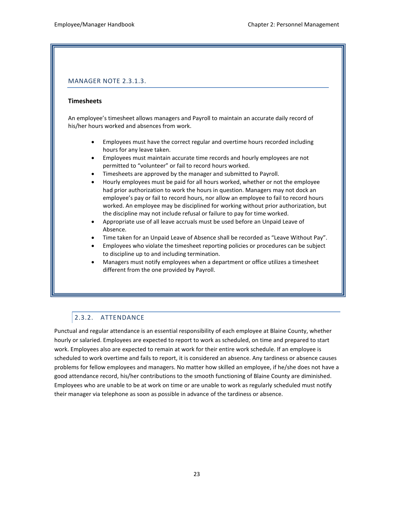### MANAGER NOTE 2.3.1.3.

#### **Timesheets**

An employee's timesheet allows managers and Payroll to maintain an accurate daily record of his/her hours worked and absences from work.

- Employees must have the correct regular and overtime hours recorded including hours for any leave taken.
- Employees must maintain accurate time records and hourly employees are not permitted to "volunteer" or fail to record hours worked.
- Timesheets are approved by the manager and submitted to Payroll.
- Hourly employees must be paid for all hours worked, whether or not the employee had prior authorization to work the hours in question. Managers may not dock an employee's pay or fail to record hours, nor allow an employee to fail to record hours worked. An employee may be disciplined for working without prior authorization, but the discipline may not include refusal or failure to pay for time worked.
- Appropriate use of all leave accruals must be used before an Unpaid Leave of Absence.
- Time taken for an Unpaid Leave of Absence shall be recorded as "Leave Without Pay".
- Employees who violate the timesheet reporting policies or procedures can be subject to discipline up to and including termination.
- Managers must notify employees when a department or office utilizes a timesheet different from the one provided by Payroll.

## <span id="page-29-0"></span>2.3.2. ATTENDANCE

Punctual and regular attendance is an essential responsibility of each employee at Blaine County, whether hourly or salaried. Employees are expected to report to work as scheduled, on time and prepared to start work. Employees also are expected to remain at work for their entire work schedule. If an employee is scheduled to work overtime and fails to report, it is considered an absence. Any tardiness or absence causes problems for fellow employees and managers. No matter how skilled an employee, if he/she does not have a good attendance record, his/her contributions to the smooth functioning of Blaine County are diminished. Employees who are unable to be at work on time or are unable to work as regularly scheduled must notify their manager via telephone as soon as possible in advance of the tardiness or absence.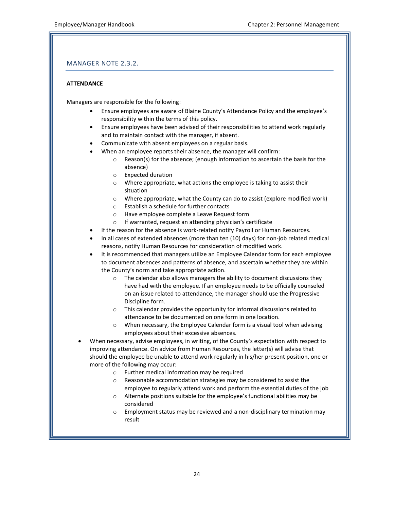### MANAGER NOTE 2.3.2.

#### **ATTENDANCE**

Managers are responsible for the following:

- Ensure employees are aware of Blaine County's Attendance Policy and the employee's responsibility within the terms of this policy.
- Ensure employees have been advised of their responsibilities to attend work regularly and to maintain contact with the manager, if absent.
- Communicate with absent employees on a regular basis.
- When an employee reports their absence, the manager will confirm:
	- o Reason(s) for the absence; (enough information to ascertain the basis for the absence)
	- o Expected duration
	- o Where appropriate, what actions the employee is taking to assist their situation
	- o Where appropriate, what the County can do to assist (explore modified work)
	- o Establish a schedule for further contacts
	- o Have employee complete a Leave Request form
	- o If warranted, request an attending physician's certificate
- If the reason for the absence is work-related notify Payroll or Human Resources.
- In all cases of extended absences (more than ten (10) days) for non-job related medical reasons, notify Human Resources for consideration of modified work.
- It is recommended that managers utilize an Employee Calendar form for each employee to document absences and patterns of absence, and ascertain whether they are within the County's norm and take appropriate action.
	- $\circ$  The calendar also allows managers the ability to document discussions they have had with the employee. If an employee needs to be officially counseled on an issue related to attendance, the manager should use the Progressive Discipline form.
	- o This calendar provides the opportunity for informal discussions related to attendance to be documented on one form in one location.
	- o When necessary, the Employee Calendar form is a visual tool when advising employees about their excessive absences.

• When necessary, advise employees, in writing, of the County's expectation with respect to improving attendance. On advice from Human Resources, the letter(s) will advise that should the employee be unable to attend work regularly in his/her present position, one or more of the following may occur:

- o Further medical information may be required
- o Reasonable accommodation strategies may be considered to assist the employee to regularly attend work and perform the essential duties of the job
- o Alternate positions suitable for the employee's functional abilities may be considered
- $\circ$  Employment status may be reviewed and a non-disciplinary termination may result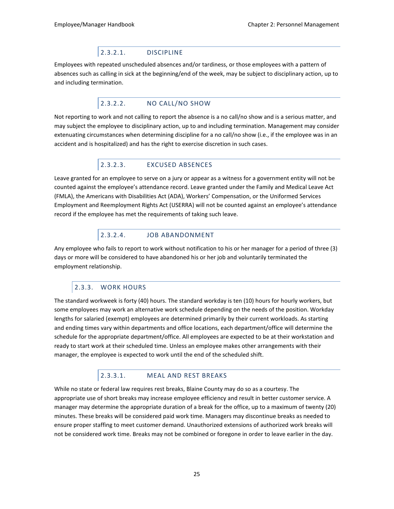### 2.3.2.1. DISCIPLINE

<span id="page-31-0"></span>Employees with repeated unscheduled absences and/or tardiness, or those employees with a pattern of absences such as calling in sick at the beginning/end of the week, may be subject to disciplinary action, up to and including termination.

## 2.3.2.2. NO CALL/NO SHOW

<span id="page-31-1"></span>Not reporting to work and not calling to report the absence is a no call/no show and is a serious matter, and may subject the employee to disciplinary action, up to and including termination. Management may consider extenuating circumstances when determining discipline for a no call/no show (i.e., if the employee was in an accident and is hospitalized) and has the right to exercise discretion in such cases.

## 2.3.2.3. EXCUSED ABSENCES

<span id="page-31-2"></span>Leave granted for an employee to serve on a jury or appear as a witness for a government entity will not be counted against the employee's attendance record. Leave granted under the Family and Medical Leave Act (FMLA), the Americans with Disabilities Act (ADA), Workers' Compensation, or the Uniformed Services Employment and Reemployment Rights Act (USERRA) will not be counted against an employee's attendance record if the employee has met the requirements of taking such leave.

## <span id="page-31-3"></span>2.3.2.4. JOB ABANDONMENT

Any employee who fails to report to work without notification to his or her manager for a period of three (3) days or more will be considered to have abandoned his or her job and voluntarily terminated the employment relationship.

## 2.3.3. WORK HOURS

<span id="page-31-4"></span>The standard workweek is forty (40) hours. The standard workday is ten (10) hours for hourly workers, but some employees may work an alternative work schedule depending on the needs of the position. Workday lengths for salaried (exempt) employees are determined primarily by their current workloads. As starting and ending times vary within departments and office locations, each department/office will determine the schedule for the appropriate department/office. All employees are expected to be at their workstation and ready to start work at their scheduled time. Unless an employee makes other arrangements with their manager, the employee is expected to work until the end of the scheduled shift.

### 2.3.3.1. MEAL AND REST BREAKS

<span id="page-31-5"></span>While no state or federal law requires rest breaks, Blaine County may do so as a courtesy. The appropriate use of short breaks may increase employee efficiency and result in better customer service. A manager may determine the appropriate duration of a break for the office, up to a maximum of twenty (20) minutes. These breaks will be considered paid work time. Managers may discontinue breaks as needed to ensure proper staffing to meet customer demand. Unauthorized extensions of authorized work breaks will not be considered work time. Breaks may not be combined or foregone in order to leave earlier in the day.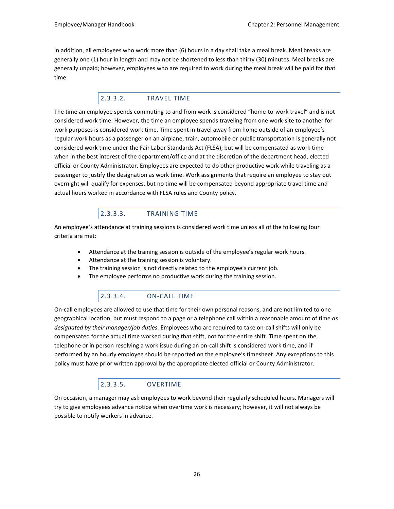In addition, all employees who work more than (6) hours in a day shall take a meal break. Meal breaks are generally one (1) hour in length and may not be shortened to less than thirty (30) minutes. Meal breaks are generally unpaid; however, employees who are required to work during the meal break will be paid for that time.

### 2.3.3.2. TRAVEL TIME

<span id="page-32-0"></span>The time an employee spends commuting to and from work is considered "home-to-work travel" and is not considered work time. However, the time an employee spends traveling from one work-site to another for work purposes is considered work time. Time spent in travel away from home outside of an employee's regular work hours as a passenger on an airplane, train, automobile or public transportation is generally not considered work time under the Fair Labor Standards Act (FLSA), but will be compensated as work time when in the best interest of the department/office and at the discretion of the department head, elected official or County Administrator. Employees are expected to do other productive work while traveling as a passenger to justify the designation as work time. Work assignments that require an employee to stay out overnight will qualify for expenses, but no time will be compensated beyond appropriate travel time and actual hours worked in accordance with FLSA rules and County policy.

## 2.3.3.3. TRAINING TIME

<span id="page-32-1"></span>An employee's attendance at training sessions is considered work time unless all of the following four criteria are met:

- Attendance at the training session is outside of the employee's regular work hours.
- Attendance at the training session is voluntary.
- The training session is not directly related to the employee's current job.
- The employee performs no productive work during the training session.

## 2.3.3.4. ON-CALL TIME

<span id="page-32-2"></span>On-call employees are allowed to use that time for their own personal reasons, and are not limited to one geographical location, but must respond to a page or a telephone call within a reasonable amount of time *as designated by their manager/job duties*. Employees who are required to take on-call shifts will only be compensated for the actual time worked during that shift, not for the entire shift. Time spent on the telephone or in person resolving a work issue during an on-call shift is considered work time, and if performed by an hourly employee should be reported on the employee's timesheet. Any exceptions to this policy must have prior written approval by the appropriate elected official or County Administrator.

## 2.3.3.5. OVERTIME

<span id="page-32-3"></span>On occasion, a manager may ask employees to work beyond their regularly scheduled hours. Managers will try to give employees advance notice when overtime work is necessary; however, it will not always be possible to notify workers in advance.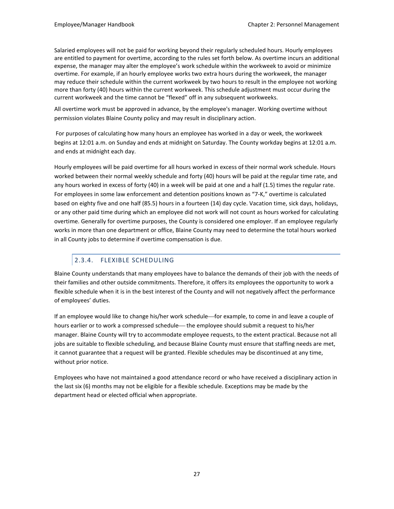Salaried employees will not be paid for working beyond their regularly scheduled hours. Hourly employees are entitled to payment for overtime, according to the rules set forth below. As overtime incurs an additional expense, the manager may alter the employee's work schedule within the workweek to avoid or minimize overtime. For example, if an hourly employee works two extra hours during the workweek, the manager may reduce their schedule within the current workweek by two hours to result in the employee not working more than forty (40) hours within the current workweek. This schedule adjustment must occur during the current workweek and the time cannot be "flexed" off in any subsequent workweeks.

All overtime work must be approved in advance, by the employee's manager. Working overtime without permission violates Blaine County policy and may result in disciplinary action.

For purposes of calculating how many hours an employee has worked in a day or week, the workweek begins at 12:01 a.m. on Sunday and ends at midnight on Saturday. The County workday begins at 12:01 a.m. and ends at midnight each day.

Hourly employees will be paid overtime for all hours worked in excess of their normal work schedule. Hours worked between their normal weekly schedule and forty (40) hours will be paid at the regular time rate, and any hours worked in excess of forty (40) in a week will be paid at one and a half (1.5) times the regular rate. For employees in some law enforcement and detention positions known as "7-K," overtime is calculated based on eighty five and one half (85.5) hours in a fourteen (14) day cycle. Vacation time, sick days, holidays, or any other paid time during which an employee did not work will not count as hours worked for calculating overtime. Generally for overtime purposes, the County is considered one employer. If an employee regularly works in more than one department or office, Blaine County may need to determine the total hours worked in all County jobs to determine if overtime compensation is due.

## 2.3.4. FLEXIBLE SCHEDULING

<span id="page-33-0"></span>Blaine County understands that many employees have to balance the demands of their job with the needs of their families and other outside commitments. Therefore, it offers its employees the opportunity to work a flexible schedule when it is in the best interest of the County and will not negatively affect the performance of employees' duties.

If an employee would like to change his/her work schedule—for example, to come in and leave a couple of hours earlier or to work a compressed schedule— the employee should submit a request to his/her manager. Blaine County will try to accommodate employee requests, to the extent practical. Because not all jobs are suitable to flexible scheduling, and because Blaine County must ensure that staffing needs are met, it cannot guarantee that a request will be granted. Flexible schedules may be discontinued at any time, without prior notice.

Employees who have not maintained a good attendance record or who have received a disciplinary action in the last six (6) months may not be eligible for a flexible schedule. Exceptions may be made by the department head or elected official when appropriate.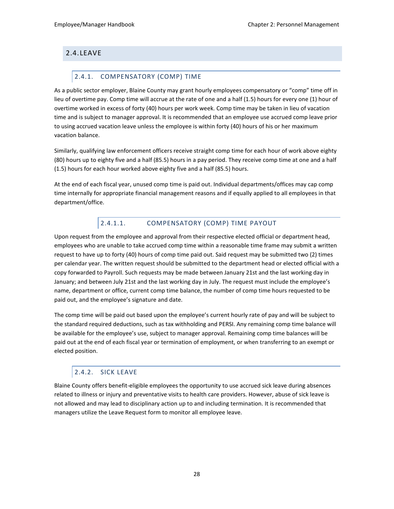## <span id="page-34-1"></span><span id="page-34-0"></span>2.4.LEAVE

### 2.4.1. COMPENSATORY (COMP) TIME

As a public sector employer, Blaine County may grant hourly employees compensatory or "comp" time off in lieu of overtime pay. Comp time will accrue at the rate of one and a half (1.5) hours for every one (1) hour of overtime worked in excess of forty (40) hours per work week. Comp time may be taken in lieu of vacation time and is subject to manager approval. It is recommended that an employee use accrued comp leave prior to using accrued vacation leave unless the employee is within forty (40) hours of his or her maximum vacation balance.

Similarly, qualifying law enforcement officers receive straight comp time for each hour of work above eighty (80) hours up to eighty five and a half (85.5) hours in a pay period. They receive comp time at one and a half (1.5) hours for each hour worked above eighty five and a half (85.5) hours.

At the end of each fiscal year, unused comp time is paid out. Individual departments/offices may cap comp time internally for appropriate financial management reasons and if equally applied to all employees in that department/office.

## 2.4.1.1. COMPENSATORY (COMP) TIME PAYOUT

<span id="page-34-2"></span>Upon request from the employee and approval from their respective elected official or department head, employees who are unable to take accrued comp time within a reasonable time frame may submit a written request to have up to forty (40) hours of comp time paid out. Said request may be submitted two (2) times per calendar year. The written request should be submitted to the department head or elected official with a copy forwarded to Payroll. Such requests may be made between January 21st and the last working day in January; and between July 21st and the last working day in July. The request must include the employee's name, department or office, current comp time balance, the number of comp time hours requested to be paid out, and the employee's signature and date.

The comp time will be paid out based upon the employee's current hourly rate of pay and will be subject to the standard required deductions, such as tax withholding and PERSI. Any remaining comp time balance will be available for the employee's use, subject to manager approval. Remaining comp time balances will be paid out at the end of each fiscal year or termination of employment, or when transferring to an exempt or elected position.

## 2.4.2. SICK LEAVE

<span id="page-34-3"></span>Blaine County offers benefit-eligible employees the opportunity to use accrued sick leave during absences related to illness or injury and preventative visits to health care providers. However, abuse of sick leave is not allowed and may lead to disciplinary action up to and including termination. It is recommended that managers utilize the Leave Request form to monitor all employee leave.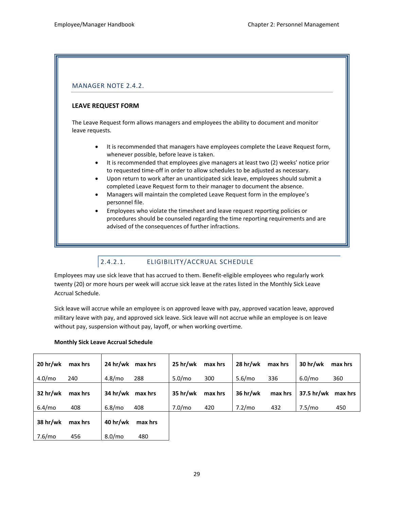### MANAGER NOTE 2.4.2.

### **LEAVE REQUEST FORM**

The Leave Request form allows managers and employees the ability to document and monitor leave requests.

- It is recommended that managers have employees complete the Leave Request form, whenever possible, before leave is taken.
- It is recommended that employees give managers at least two (2) weeks' notice prior to requested time-off in order to allow schedules to be adjusted as necessary.
- Upon return to work after an unanticipated sick leave, employees should submit a completed Leave Request form to their manager to document the absence.
- Managers will maintain the completed Leave Request form in the employee's personnel file.
- Employees who violate the timesheet and leave request reporting policies or procedures should be counseled regarding the time reporting requirements and are advised of the consequences of further infractions.

## <span id="page-35-0"></span>2.4.2.1. ELIGIBILITY/ACCRUAL SCHEDULE

Employees may use sick leave that has accrued to them. Benefit-eligible employees who regularly work twenty (20) or more hours per week will accrue sick leave at the rates listed in the Monthly Sick Leave Accrual Schedule.

Sick leave will accrue while an employee is on approved leave with pay, approved vacation leave, approved military leave with pay, and approved sick leave. Sick leave will not accrue while an employee is on leave without pay, suspension without pay, layoff, or when working overtime.

| 20 <sub>hr</sub> /wk | max hrs | 24 hr/wk<br>max hrs       | $25$ hr/wk | max hrs | 28 hr/wk | max hrs | 30 <sub>hr</sub> /wk | max hrs |
|----------------------|---------|---------------------------|------------|---------|----------|---------|----------------------|---------|
| 4.0/mo               | 240     | 4.8/m <sub>o</sub><br>288 | 5.0/mo     | 300     | 5.6/mo   | 336     | 6.0/mo               | 360     |
| 32 hr/wk             | max hrs | 34 hr/wk<br>max hrs       | 35 hr/wk   | max hrs | 36 hr/wk | max hrs | 37.5 hr/wk           | max hrs |
| 6.4/mo               | 408     | 6.8/mo<br>408             | 7.0/mo     | 420     | 7.2/mo   | 432     | 7.5/mo               | 450     |
| 38 hr/wk             | max hrs | 40 hr/wk<br>max hrs       |            |         |          |         |                      |         |
| 7.6/mo               | 456     | 8.0/mo<br>480             |            |         |          |         |                      |         |

#### **Monthly Sick Leave Accrual Schedule**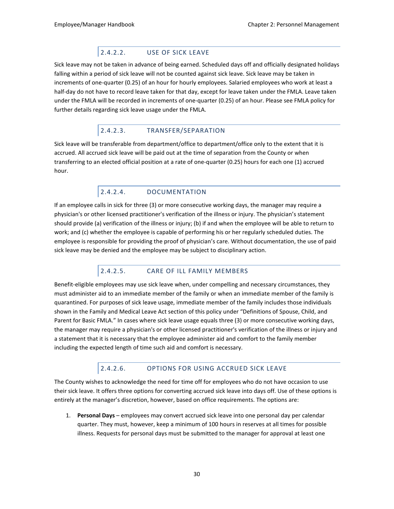# 2.4.2.2. USE OF SICK LEAVE

Sick leave may not be taken in advance of being earned. Scheduled days off and officially designated holidays falling within a period of sick leave will not be counted against sick leave. Sick leave may be taken in increments of one-quarter (0.25) of an hour for hourly employees. Salaried employees who work at least a half-day do not have to record leave taken for that day, except for leave taken under the FMLA. Leave taken under the FMLA will be recorded in increments of one-quarter (0.25) of an hour. Please se[e FMLA policy f](#page-19-0)or further details regarding sick leave usage under the FMLA.

# 2.4.2.3. TRANSFER/SEPARATION

Sick leave will be transferable from department/office to department/office only to the extent that it is accrued. All accrued sick leave will be paid out at the time of separation from the County or when transferring to an elected official position at a rate of one-quarter (0.25) hours for each one (1) accrued hour.

# 2.4.2.4. DOCUMENTATION

If an employee calls in sick for three (3) or more consecutive working days, the manager may require a physician's or other licensed practitioner's verification of the illness or injury. The physician's statement should provide (a) verification of the illness or injury; (b) if and when the employee will be able to return to work; and (c) whether the employee is capable of performing his or her regularly scheduled duties. The employee is responsible for providing the proof of physician's care. Without documentation, the use of paid sick leave may be denied and the employee may be subject to disciplinary action.

# 2.4.2.5. CARE OF ILL FAMILY MEMBERS

Benefit-eligible employees may use sick leave when, under compelling and necessary circumstances, they must administer aid to an immediate member of the family or when an immediate member of the family is quarantined. For purposes of sick leave usage, immediate member of the family includes those individuals shown in the Family and Medical Leave Act section of this policy under "Definitions of Spouse, Child, and Parent for Basic FMLA." In cases where sick leave usage equals three (3) or more consecutive working days, the manager may require a physician's or other licensed practitioner's verification of the illness or injury and a statement that it is necessary that the employee administer aid and comfort to the family member including the expected length of time such aid and comfort is necessary.

# 2.4.2.6. OPTIONS FOR USING ACCRUED SICK LEAVE

The County wishes to acknowledge the need for time off for employees who do not have occasion to use their sick leave. It offers three options for converting accrued sick leave into days off. Use of these options is entirely at the manager's discretion, however, based on office requirements. The options are:

1. **Personal Days** – employees may convert accrued sick leave into one personal day per calendar quarter. They must, however, keep a minimum of 100 hours in reserves at all times for possible illness. Requests for personal days must be submitted to the manager for approval at least one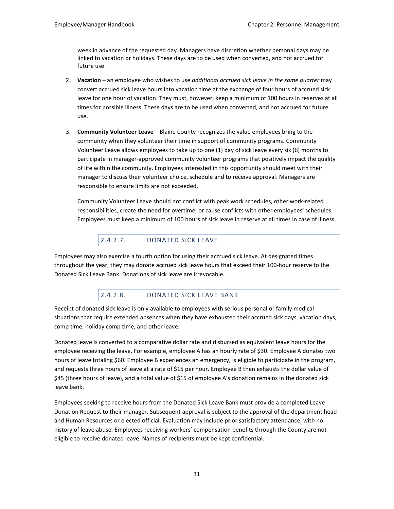week in advance of the requested day. Managers have discretion whether personal days may be linked to vacation or holidays. These days are to be used when converted, and not accrued for future use.

- 2. **Vacation** an employee who wishes to use *additional accrued sick leave in the same quarter* may convert accrued sick leave hours into vacation time at the exchange of four hours of accrued sick leave for one hour of vacation. They must, however, keep a minimum of 100 hours in reserves at all times for possible illness. These days are to be used when converted, and not accrued for future use.
- 3. **Community Volunteer Leave** Blaine County recognizes the value employees bring to the community when they volunteer their time in support of community programs. Community Volunteer Leave allows employees to take up to one (1) day of sick leave every six (6) months to participate in manager-approved community volunteer programs that positively impact the quality of life within the community. Employees interested in this opportunity should meet with their manager to discuss their volunteer choice, schedule and to receive approval. Managers are responsible to ensure limits are not exceeded.

Community Volunteer Leave should not conflict with peak work schedules, other work-related responsibilities, create the need for overtime, or cause conflicts with other employees' schedules. Employees must keep a minimum of 100 hours of sick leave in reserve at all times in case of illness.

# 2.4.2.7. DONATED SICK LEAVE

Employees may also exercise a fourth option for using their accrued sick leave. At designated times throughout the year, they may donate accrued sick leave hours that exceed their 100-hour reserve to the Donated Sick Leave Bank. Donations of sick leave are irrevocable.

# 2.4.2.8. DONATED SICK LEAVE BANK

Receipt of donated sick leave is only available to employees with serious personal or family medical situations that require extended absences when they have exhausted their accrued sick days, vacation days, comp time, holiday comp time, and other leave.

Donated leave is converted to a comparative dollar rate and disbursed as equivalent leave hours for the employee receiving the leave. For example, employee A has an hourly rate of \$30. Employee A donates two hours of leave totaling \$60. Employee B experiences an emergency, is eligible to participate in the program, and requests three hours of leave at a rate of \$15 per hour. Employee B then exhausts the dollar value of \$45 (three hours of leave), and a total value of \$15 of employee A's donation remains in the donated sick leave bank.

Employees seeking to receive hours from the Donated Sick Leave Bank must provide a completed Leave Donation Request to their manager. Subsequent approval is subject to the approval of the department head and Human Resources or elected official. Evaluation may include prior satisfactory attendance, with no history of leave abuse. Employees receiving workers' compensation benefits through the County are not eligible to receive donated leave. Names of recipients must be kept confidential.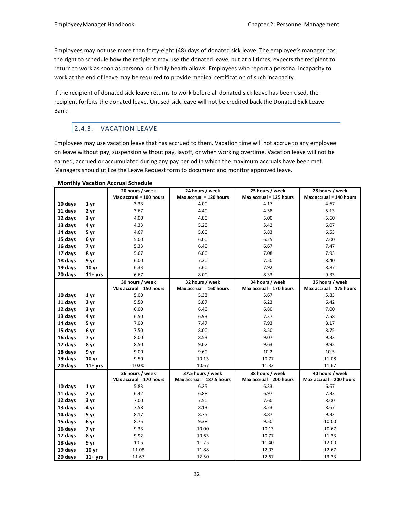Employees may not use more than forty-eight (48) days of donated sick leave. The employee's manager has the right to schedule how the recipient may use the donated leave, but at all times, expects the recipient to return to work as soon as personal or family health allows. Employees who report a personal incapacity to work at the end of leave may be required to provide medical certification of such incapacity.

If the recipient of donated sick leave returns to work before all donated sick leave has been used, the recipient forfeits the donated leave. Unused sick leave will not be credited back the Donated Sick Leave Bank.

# 2.4.3. VACATION LEAVE

Employees may use vacation leave that has accrued to them. Vacation time will not accrue to any employee on leave without pay, suspension without pay, layoff, or when working overtime. Vacation leave will not be earned, accrued or accumulated during any pay period in which the maximum accruals have been met. Managers should utilize the Leave Request form to document and monitor approved leave.

|         |                  | 20 hours / week         | 24 hours / week           | 25 hours / week         | 28 hours / week         |
|---------|------------------|-------------------------|---------------------------|-------------------------|-------------------------|
|         |                  | Max accrual = 100 hours | Max accrual = 120 hours   | Max accrual = 125 hours | Max accrual = 140 hours |
| 10 days | 1 yr             | 3.33                    | 4.00                      | 4.17                    | 4.67                    |
| 11 days | 2 yr             | 3.67                    | 4.40                      | 4.58                    | 5.13                    |
| 12 days | 3 yr             | 4.00                    | 4.80                      | 5.00                    | 5.60                    |
| 13 days | 4 yr             | 4.33                    | 5.20                      | 5.42                    | 6.07                    |
| 14 days | 5 yr             | 4.67                    | 5.60                      | 5.83                    | 6.53                    |
| 15 days | 6 yr             | 5.00                    | 6.00                      | 6.25                    | 7.00                    |
| 16 days | 7 yr             | 5.33                    | 6.40                      | 6.67                    | 7.47                    |
| 17 days | 8 yr             | 5.67                    | 6.80                      | 7.08                    | 7.93                    |
| 18 days | 9 yr             | 6.00                    | 7.20                      | 7.50                    | 8.40                    |
| 19 days | 10 <sub>vr</sub> | 6.33                    | 7.60                      | 7.92                    | 8.87                    |
| 20 days | $11+$ yrs        | 6.67                    | 8.00                      | 8.33                    | 9.33                    |
|         |                  | 30 hours / week         | 32 hours / week           | 34 hours / week         | 35 hours / week         |
|         |                  | Max accrual = 150 hours | Max accrual = 160 hours   | Max accrual = 170 hours | Max accrual = 175 hours |
| 10 days | 1 <sub>yr</sub>  | 5.00                    | 5.33                      | 5.67                    | 5.83                    |
| 11 days | 2 yr             | 5.50                    | 5.87                      | 6.23                    | 6.42                    |
| 12 days | 3 yr             | 6.00                    | 6.40                      | 6.80                    | 7.00                    |
| 13 days | 4 yr             | 6.50                    | 6.93                      | 7.37                    | 7.58                    |
| 14 days | 5 yr             | 7.00                    | 7.47                      | 7.93                    | 8.17                    |
| 15 days | 6 yr             | 7.50                    | 8.00                      | 8.50                    | 8.75                    |
| 16 days | 7 yr             | 8.00                    | 8.53                      | 9.07                    | 9.33                    |
| 17 days | 8 yr             | 8.50                    | 9.07                      | 9.63                    | 9.92                    |
| 18 days | 9 yr             | 9.00                    | 9.60                      | 10.2                    | 10.5                    |
| 19 days | 10 <sub>vr</sub> | 9.50                    | 10.13                     | 10.77                   | 11.08                   |
| 20 days | $11+$ yrs        | 10.00                   | 10.67                     | 11.33                   | 11.67                   |
|         |                  | 36 hours / week         | 37.5 hours / week         | 38 hours / week         | 40 hours / week         |
|         |                  | Max accrual = 170 hours | Max accrual = 187.5 hours | Max accrual = 200 hours | Max accrual = 200 hours |
| 10 days | 1 <sub>yr</sub>  | 5.83                    | 6.25                      | 6.33                    | 6.67                    |
| 11 days | 2 yr             | 6.42                    | 6.88                      | 6.97                    | 7.33                    |
| 12 days | 3 yr             | 7.00                    | 7.50                      | 7.60                    | 8.00                    |
| 13 days | 4 yr             | 7.58                    | 8.13                      | 8.23                    | 8.67                    |
| 14 days | 5 yr             | 8.17                    | 8.75                      | 8.87                    | 9.33                    |
| 15 days | 6 yr             | 8.75                    | 9.38                      | 9.50                    | 10.00                   |
| 16 days | 7 yr             | 9.33                    | 10.00                     | 10.13                   | 10.67                   |
| 17 days | 8 yr             | 9.92                    | 10.63                     | 10.77                   | 11.33                   |
| 18 days | 9 yr             | 10.5                    | 11.25                     | 11.40                   | 12.00                   |
| 19 days | 10 <sub>vr</sub> | 11.08                   | 11.88                     | 12.03                   | 12.67                   |
| 20 days | $11+$ yrs        | 11.67                   | 12.50                     | 12.67                   | 13.33                   |

**Monthly Vacation Accrual Schedule**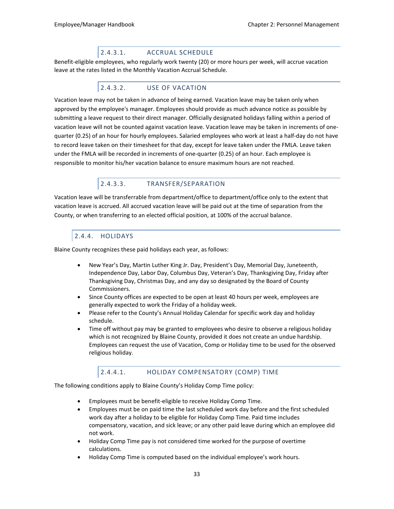# 2.4.3.1. ACCRUAL SCHEDULE

Benefit-eligible employees, who regularly work twenty (20) or more hours per week, will accrue vacation leave at the rates listed in the Monthly Vacation Accrual Schedule.

# 2.4.3.2. USE OF VACATION

Vacation leave may not be taken in advance of being earned. Vacation leave may be taken only when approved by the employee's manager. Employees should provide as much advance notice as possible by submitting a leave request to their direct manager. Officially designated holidays falling within a period of vacation leave will not be counted against vacation leave. Vacation leave may be taken in increments of onequarter (0.25) of an hour for hourly employees. Salaried employees who work at least a half-day do not have to record leave taken on their timesheet for that day, except for leave taken under the FMLA. Leave taken under the FMLA will be recorded in increments of one-quarter (0.25) of an hour. Each employee is responsible to monitor his/her vacation balance to ensure maximum hours are not reached.

# 2.4.3.3. TRANSFER/SEPARATION

Vacation leave will be transferrable from department/office to department/office only to the extent that vacation leave is accrued. All accrued vacation leave will be paid out at the time of separation from the County, or when transferring to an elected official position, at 100% of the accrual balance.

# 2.4.4. HOLIDAYS

Blaine County recognizes these paid holidays each year, as follows:

- New Year's Day, Martin Luther King Jr. Day, President's Day, Memorial Day, Juneteenth, Independence Day, Labor Day, Columbus Day, Veteran's Day, Thanksgiving Day, Friday after Thanksgiving Day, Christmas Day, and any day so designated by the Board of County Commissioners.
- Since County offices are expected to be open at least 40 hours per week, employees are generally expected to work the Friday of a holiday week.
- Please refer to the County's Annual Holiday Calendar for specific work day and holiday schedule.
- Time off without pay may be granted to employees who desire to observe a religious holiday which is not recognized by Blaine County, provided it does not create an undue hardship. Employees can request the use of Vacation, Comp or Holiday time to be used for the observed religious holiday.

### 2.4.4.1. HOLIDAY COMPENSATORY (COMP) TIME

The following conditions apply to Blaine County's Holiday Comp Time policy:

- Employees must be benefit-eligible to receive Holiday Comp Time.
- Employees must be on paid time the last scheduled work day before and the first scheduled work day after a holiday to be eligible for Holiday Comp Time. Paid time includes compensatory, vacation, and sick leave; or any other paid leave during which an employee did not work.
- Holiday Comp Time pay is not considered time worked for the purpose of overtime calculations.
- Holiday Comp Time is computed based on the individual employee's work hours.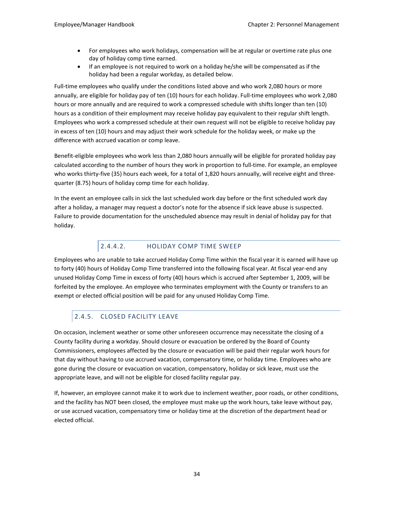- For employees who work holidays, compensation will be at regular or overtime rate plus one day of holiday comp time earned.
- If an employee is not required to work on a holiday he/she will be compensated as if the holiday had been a regular workday, as detailed below.

Full-time employees who qualify under the conditions listed above and who work 2,080 hours or more annually, are eligible for holiday pay of ten (10) hours for each holiday. Full-time employees who work 2,080 hours or more annually and are required to work a compressed schedule with shifts longer than ten (10) hours as a condition of their employment may receive holiday pay equivalent to their regular shift length. Employees who work a compressed schedule at their own request will not be eligible to receive holiday pay in excess of ten (10) hours and may adjust their work schedule for the holiday week, or make up the difference with accrued vacation or comp leave.

Benefit-eligible employees who work less than 2,080 hours annually will be eligible for prorated holiday pay calculated according to the number of hours they work in proportion to full-time. For example, an employee who works thirty-five (35) hours each week, for a total of 1,820 hours annually, will receive eight and threequarter (8.75) hours of holiday comp time for each holiday.

In the event an employee calls in sick the last scheduled work day before or the first scheduled work day after a holiday, a manager may request a doctor's note for the absence if sick leave abuse is suspected. Failure to provide documentation for the unscheduled absence may result in denial of holiday pay for that holiday.

# 2.4.4.2. HOLIDAY COMP TIME SWEEP

Employees who are unable to take accrued Holiday Comp Time within the fiscal year it is earned will have up to forty (40) hours of Holiday Comp Time transferred into the following fiscal year. At fiscal year-end any unused Holiday Comp Time in excess of forty (40) hours which is accrued after September 1, 2009, will be forfeited by the employee. An employee who terminates employment with the County or transfers to an exempt or elected official position will be paid for any unused Holiday Comp Time.

# 2.4.5. CLOSED FACILITY LEAVE

On occasion, inclement weather or some other unforeseen occurrence may necessitate the closing of a County facility during a workday. Should closure or evacuation be ordered by the Board of County Commissioners, employees affected by the closure or evacuation will be paid their regular work hours for that day without having to use accrued vacation, compensatory time, or holiday time. Employees who are gone during the closure or evacuation on vacation, compensatory, holiday or sick leave, must use the appropriate leave, and will not be eligible for closed facility regular pay.

If, however, an employee cannot make it to work due to inclement weather, poor roads, or other conditions, and the facility has NOT been closed, the employee must make up the work hours, take leave without pay, or use accrued vacation, compensatory time or holiday time at the discretion of the department head or elected official.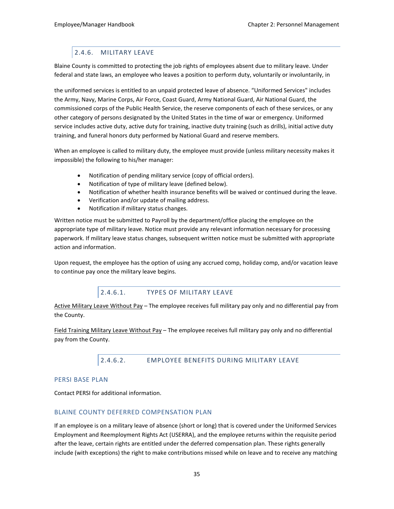# 2.4.6. MILITARY LEAVE

Blaine County is committed to protecting the job rights of employees absent due to military leave. Under federal and state laws, an employee who leaves a position to perform duty, voluntarily or involuntarily, in

the uniformed services is entitled to an unpaid protected leave of absence. "Uniformed Services" includes the Army, Navy, Marine Corps, Air Force, Coast Guard, Army National Guard, Air National Guard, the commissioned corps of the Public Health Service, the reserve components of each of these services, or any other category of persons designated by the United States in the time of war or emergency. Uniformed service includes active duty, active duty for training, inactive duty training (such as drills), initial active duty training, and funeral honors duty performed by National Guard and reserve members.

When an employee is called to military duty, the employee must provide (unless military necessity makes it impossible) the following to his/her manager:

- Notification of pending military service (copy of official orders).
- Notification of type of military leave (defined below).
- Notification of whether health insurance benefits will be waived or continued during the leave.
- Verification and/or update of mailing address.
- Notification if military status changes.

Written notice must be submitted to Payroll by the department/office placing the employee on the appropriate type of military leave. Notice must provide any relevant information necessary for processing paperwork. If military leave status changes, subsequent written notice must be submitted with appropriate action and information.

Upon request, the employee has the option of using any accrued comp, holiday comp, and/or vacation leave to continue pay once the military leave begins.

### 2.4.6.1. TYPES OF MILITARY LEAVE

Active Military Leave Without Pay – The employee receives full military pay only and no differential pay from the County.

Field Training Military Leave Without Pay – The employee receives full military pay only and no differential pay from the County.

2.4.6.2. EMPLOYEE BENEFITS DURING MILITARY LEAVE

#### PERSI BASE PLAN

Contact PERSI for additional information.

#### BLAINE COUNTY DEFERRED COMPENSATION PLAN

If an employee is on a military leave of absence (short or long) that is covered under the Uniformed Services Employment and Reemployment Rights Act (USERRA), and the employee returns within the requisite period after the leave, certain rights are entitled under the deferred compensation plan. These rights generally include (with exceptions) the right to make contributions missed while on leave and to receive any matching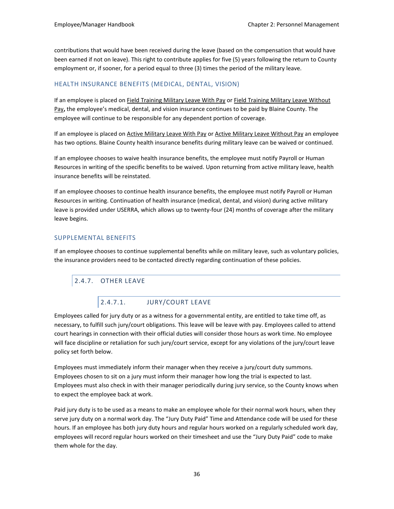contributions that would have been received during the leave (based on the compensation that would have been earned if not on leave). This right to contribute applies for five (5) years following the return to County employment or, if sooner, for a period equal to three (3) times the period of the military leave.

### HEALTH INSURANCE BENEFITS (MEDICAL, DENTAL, VISION)

If an employee is placed on Field Training Military Leave With Pay or Field Training Military Leave Without Pay**,** the employee's medical, dental, and vision insurance continues to be paid by Blaine County. The employee will continue to be responsible for any dependent portion of coverage.

If an employee is placed on Active Military Leave With Pay or Active Military Leave Without Pay an employee has two options. Blaine County health insurance benefits during military leave can be waived or continued.

If an employee chooses to waive health insurance benefits, the employee must notify Payroll or Human Resources in writing of the specific benefits to be waived. Upon returning from active military leave, health insurance benefits will be reinstated.

If an employee chooses to continue health insurance benefits, the employee must notify Payroll or Human Resources in writing. Continuation of health insurance (medical, dental, and vision) during active military leave is provided under USERRA, which allows up to twenty-four (24) months of coverage after the military leave begins.

### SUPPLEMENTAL BENEFITS

If an employee chooses to continue supplemental benefits while on military leave, such as voluntary policies, the insurance providers need to be contacted directly regarding continuation of these policies.

# 2.4.7. OTHER LEAVE

# 2.4.7.1. JURY/COURT LEAVE

Employees called for jury duty or as a witness for a governmental entity, are entitled to take time off, as necessary, to fulfill such jury/court obligations. This leave will be leave with pay. Employees called to attend court hearings in connection with their official duties will consider those hours as work time. No employee will face discipline or retaliation for such jury/court service, except for any violations of the jury/court leave policy set forth below.

Employees must immediately inform their manager when they receive a jury/court duty summons. Employees chosen to sit on a jury must inform their manager how long the trial is expected to last. Employees must also check in with their manager periodically during jury service, so the County knows when to expect the employee back at work.

Paid jury duty is to be used as a means to make an employee whole for their normal work hours, when they serve jury duty on a normal work day. The "Jury Duty Paid" Time and Attendance code will be used for these hours. If an employee has both jury duty hours and regular hours worked on a regularly scheduled work day, employees will record regular hours worked on their timesheet and use the "Jury Duty Paid" code to make them whole for the day.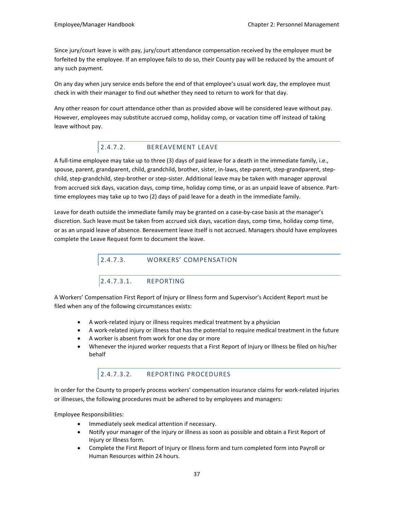Since jury/court leave is with pay, jury/court attendance compensation received by the employee must be forfeited by the employee. If an employee fails to do so, their County pay will be reduced by the amount of any such payment.

On any day when jury service ends before the end of that employee's usual work day, the employee must check in with their manager to find out whether they need to return to work for that day.

Any other reason for court attendance other than as provided above will be considered leave without pay. However, employees may substitute accrued comp, holiday comp, or vacation time off instead of taking leave without pay.

# 2.4.7.2. BEREAVEMENT LEAVE

A full-time employee may take up to three (3) days of paid leave for a death in the immediate family, i.e., spouse, parent, grandparent, child, grandchild, brother, sister, in-laws, step-parent, step-grandparent, stepchild, step-grandchild, step-brother or step-sister. Additional leave may be taken with manager approval from accrued sick days, vacation days, comp time, holiday comp time, or as an unpaid leave of absence. Parttime employees may take up to two (2) days of paid leave for a death in the immediate family.

Leave for death outside the immediate family may be granted on a case-by-case basis at the manager's discretion. Such leave must be taken from accrued sick days, vacation days, comp time, holiday comp time, or as an unpaid leave of absence. Bereavement leave itself is not accrued. Managers should have employees complete the Leave Request form to document the leave.

2.4.7.3. WORKERS' COMPENSATION

# 2.4.7.3.1. REPORTING

A Workers' Compensation First Report of Injury or Illness form and Supervisor's Accident Report must be filed when any of the following circumstances exists:

- A work-related injury or illness requires medical treatment by a physician
- A work-related injury or illness that has the potential to require medical treatment in the future
- A worker is absent from work for one day or more
- Whenever the injured worker requests that a First Report of Injury or Illness be filed on his/her behalf

# 2.4.7.3.2. REPORTING PROCEDURES

In order for the County to properly process workers' compensation insurance claims for work-related injuries or illnesses, the following procedures must be adhered to by employees and managers:

Employee Responsibilities:

- Immediately seek medical attention if necessary.
- Notify your manager of the injury or illness as soon as possible and obtain a First Report of Injury or Illness form.
- Complete the First Report of Injury or Illness form and turn completed form into Payroll or Human Resources within 24 hours.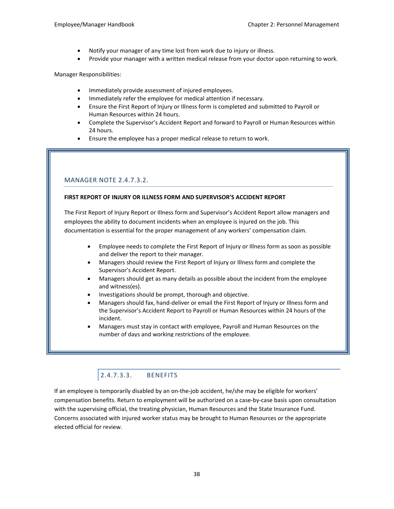- Notify your manager of any time lost from work due to injury or illness.
- Provide your manager with a written medical release from your doctor upon returning to work.

Manager Responsibilities:

- Immediately provide assessment of injured employees.
- Immediately refer the employee for medical attention if necessary.
- Ensure the First Report of Injury or Illness form is completed and submitted to Payroll or Human Resources within 24 hours.
- Complete the Supervisor's Accident Report and forward to Payroll or Human Resources within 24 hours.
- Ensure the employee has a proper medical release to return to work.

# MANAGER NOTE 2.4.7.3.2.

#### **FIRST REPORT OF INJURY OR ILLNESS FORM AND SUPERVISOR'S ACCIDENT REPORT**

The First Report of Injury Report or Illness form and Supervisor's Accident Report allow managers and employees the ability to document incidents when an employee is injured on the job. This documentation is essential for the proper management of any workers' compensation claim.

- Employee needs to complete the First Report of Injury or Illness form as soon as possible and deliver the report to their manager.
- Managers should review the First Report of Injury or Illness form and complete the Supervisor's Accident Report.
- Managers should get as many details as possible about the incident from the employee and witness(es).
- Investigations should be prompt, thorough and objective.
- Managers should fax, hand-deliver or email the First Report of Injury or Illness form and the Supervisor's Accident Report to Payroll or Human Resources within 24 hours of the incident.
- Managers must stay in contact with employee, Payroll and Human Resources on the number of days and working restrictions of the employee.

# 2.4.7.3.3. BENEFITS

If an employee is temporarily disabled by an on-the-job accident, he/she may be eligible for workers' compensation benefits. Return to employment will be authorized on a case-by-case basis upon consultation with the supervising official, the treating physician, Human Resources and the State Insurance Fund. Concerns associated with injured worker status may be brought to Human Resources or the appropriate elected official for review.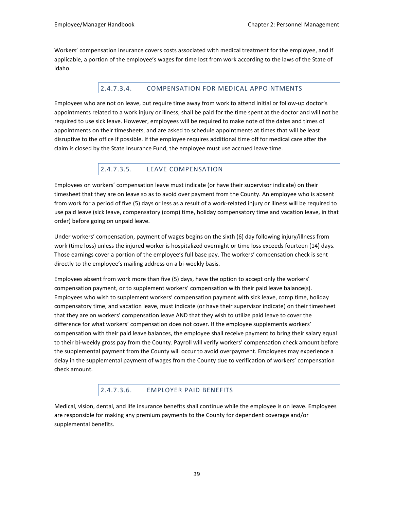Workers' compensation insurance covers costs associated with medical treatment for the employee, and if applicable, a portion of the employee's wages for time lost from work according to the laws of the State of Idaho.

# 2.4.7.3.4. COMPENSATION FOR MEDICAL APPOINTMENTS

Employees who are not on leave, but require time away from work to attend initial or follow-up doctor's appointments related to a work injury or illness, shall be paid for the time spent at the doctor and will not be required to use sick leave. However, employees will be required to make note of the dates and times of appointments on their timesheets, and are asked to schedule appointments at times that will be least disruptive to the office if possible. If the employee requires additional time off for medical care after the claim is closed by the State Insurance Fund, the employee must use accrued leave time.

# 2.4.7.3.5. LEAVE COMPENSATION

Employees on workers' compensation leave must indicate (or have their supervisor indicate) on their timesheet that they are on leave so as to avoid over payment from the County. An employee who is absent from work for a period of five (5) days or less as a result of a work-related injury or illness will be required to use paid leave (sick leave, compensatory (comp) time, holiday compensatory time and vacation leave, in that order) before going on unpaid leave.

Under workers' compensation, payment of wages begins on the sixth (6) day following injury/illness from work (time loss) unless the injured worker is hospitalized overnight or time loss exceeds fourteen (14) days. Those earnings cover a portion of the employee's full base pay. The workers' compensation check is sent directly to the employee's mailing address on a bi-weekly basis.

Employees absent from work more than five (5) days, have the option to accept only the workers' compensation payment, or to supplement workers' compensation with their paid leave balance(s). Employees who wish to supplement workers' compensation payment with sick leave, comp time, holiday compensatory time, and vacation leave, must indicate (or have their supervisor indicate) on their timesheet that they are on workers' compensation leave AND that they wish to utilize paid leave to cover the difference for what workers' compensation does not cover. If the employee supplements workers' compensation with their paid leave balances, the employee shall receive payment to bring their salary equal to their bi-weekly gross pay from the County. Payroll will verify workers' compensation check amount before the supplemental payment from the County will occur to avoid overpayment. Employees may experience a delay in the supplemental payment of wages from the County due to verification of workers' compensation check amount.

# 2.4.7.3.6. EMPLOYER PAID BENEFITS

Medical, vision, dental, and life insurance benefits shall continue while the employee is on leave. Employees are responsible for making any premium payments to the County for dependent coverage and/or supplemental benefits.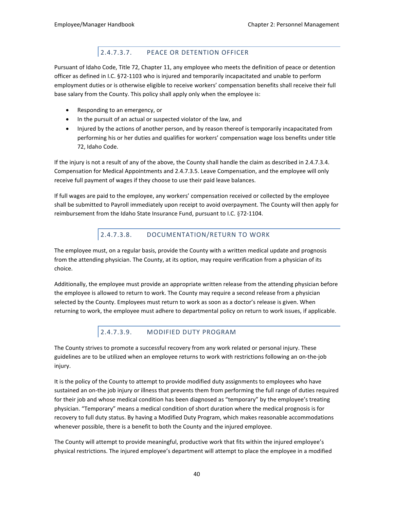# 2.4.7.3.7. PEACE OR DETENTION OFFICER

Pursuant of Idaho Code, Title 72, Chapter 11, any employee who meets the definition of peace or detention officer as defined in I.C. §72-1103 who is injured and temporarily incapacitated and unable to perform employment duties or is otherwise eligible to receive workers' compensation benefits shall receive their full base salary from the County. This policy shall apply only when the employee is:

- Responding to an emergency, or
- In the pursuit of an actual or suspected violator of the law, and
- Injured by the actions of another person, and by reason thereof is temporarily incapacitated from performing his or her duties and qualifies for workers' compensation wage loss benefits under title 72, Idaho Code.

If the injury is not a result of any of the above, the County shall handle the claim as described in 2.4.7.3.4. Compensation for Medical Appointments and 2.4.7.3.5. Leave Compensation, and the employee will only receive full payment of wages if they choose to use their paid leave balances.

If full wages are paid to the employee, any workers' compensation received or collected by the employee shall be submitted to Payroll immediately upon receipt to avoid overpayment. The County will then apply for reimbursement from the Idaho State Insurance Fund, pursuant to I.C. §72-1104.

# 2.4.7.3.8. DOCUMENTATION/RETURN TO WORK

The employee must, on a regular basis, provide the County with a written medical update and prognosis from the attending physician. The County, at its option, may require verification from a physician of its choice.

Additionally, the employee must provide an appropriate written release from the attending physician before the employee is allowed to return to work. The County may require a second release from a physician selected by the County. Employees must return to work as soon as a doctor's release is given. When returning to work, the employee must adhere to departmental policy on return to work issues, if applicable.

# 2.4.7.3.9. MODIFIED DUTY PROGRAM

The County strives to promote a successful recovery from any work related or personal injury. These guidelines are to be utilized when an employee returns to work with restrictions following an on-the-job injury.

It is the policy of the County to attempt to provide modified duty assignments to employees who have sustained an on-the job injury or illness that prevents them from performing the full range of duties required for their job and whose medical condition has been diagnosed as "temporary" by the employee's treating physician. "Temporary" means a medical condition of short duration where the medical prognosis is for recovery to full duty status. By having a Modified Duty Program, which makes reasonable accommodations whenever possible, there is a benefit to both the County and the injured employee.

The County will attempt to provide meaningful, productive work that fits within the injured employee's physical restrictions. The injured employee's department will attempt to place the employee in a modified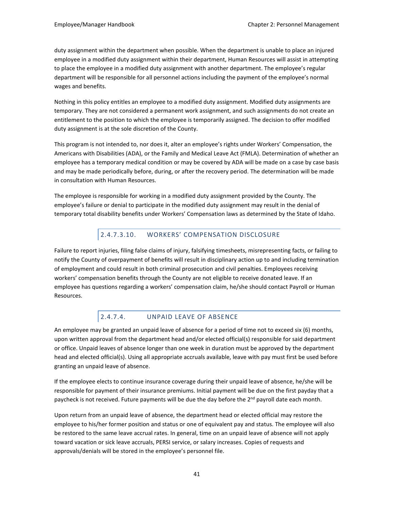duty assignment within the department when possible. When the department is unable to place an injured employee in a modified duty assignment within their department, Human Resources will assist in attempting to place the employee in a modified duty assignment with another department. The employee's regular department will be responsible for all personnel actions including the payment of the employee's normal wages and benefits.

Nothing in this policy entitles an employee to a modified duty assignment. Modified duty assignments are temporary. They are not considered a permanent work assignment, and such assignments do not create an entitlement to the position to which the employee is temporarily assigned. The decision to offer modified duty assignment is at the sole discretion of the County.

This program is not intended to, nor does it, alter an employee's rights under Workers' Compensation, the Americans with Disabilities (ADA), or the Family and Medical Leave Act (FMLA). Determination of whether an employee has a temporary medical condition or may be covered by ADA will be made on a case by case basis and may be made periodically before, during, or after the recovery period. The determination will be made in consultation with Human Resources.

The employee is responsible for working in a modified duty assignment provided by the County. The employee's failure or denial to participate in the modified duty assignment may result in the denial of temporary total disability benefits under Workers' Compensation laws as determined by the State of Idaho.

# 2.4.7.3.10. WORKERS' COMPENSATION DISCLOSURE

Failure to report injuries, filing false claims of injury, falsifying timesheets, misrepresenting facts, or failing to notify the County of overpayment of benefits will result in disciplinary action up to and including termination of employment and could result in both criminal prosecution and civil penalties. Employees receiving workers' compensation benefits through the County are not eligible to receive donated leave. If an employee has questions regarding a workers' compensation claim, he/she should contact Payroll or Human Resources.

# 2.4.7.4. UNPAID LEAVE OF ABSENCE

An employee may be granted an unpaid leave of absence for a period of time not to exceed six (6) months, upon written approval from the department head and/or elected official(s) responsible for said department or office. Unpaid leaves of absence longer than one week in duration must be approved by the department head and elected official(s). Using all appropriate accruals available, leave with pay must first be used before granting an unpaid leave of absence.

If the employee elects to continue insurance coverage during their unpaid leave of absence, he/she will be responsible for payment of their insurance premiums. Initial payment will be due on the first payday that a paycheck is not received. Future payments will be due the day before the 2<sup>nd</sup> payroll date each month.

Upon return from an unpaid leave of absence, the department head or elected official may restore the employee to his/her former position and status or one of equivalent pay and status. The employee will also be restored to the same leave accrual rates. In general, time on an unpaid leave of absence will not apply toward vacation or sick leave accruals, PERSI service, or salary increases. Copies of requests and approvals/denials will be stored in the employee's personnel file.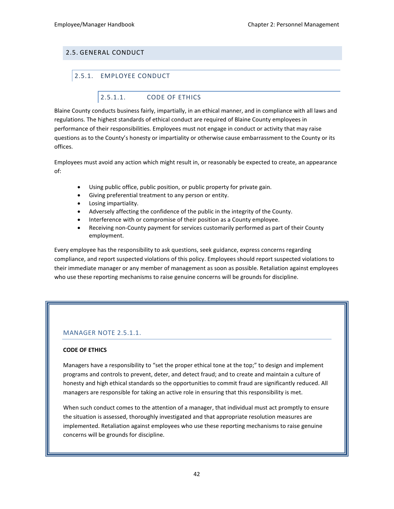# 2.5. GENERAL CONDUCT

# 2.5.1. EMPLOYEE CONDUCT

# 2.5.1.1. CODE OF ETHICS

Blaine County conducts business fairly, impartially, in an ethical manner, and in compliance with all laws and regulations. The highest standards of ethical conduct are required of Blaine County employees in performance of their responsibilities. Employees must not engage in conduct or activity that may raise questions as to the County's honesty or impartiality or otherwise cause embarrassment to the County or its offices.

Employees must avoid any action which might result in, or reasonably be expected to create, an appearance of:

- Using public office, public position, or public property for private gain.
- Giving preferential treatment to any person or entity.
- Losing impartiality.
- Adversely affecting the confidence of the public in the integrity of the County.
- Interference with or compromise of their position as a County employee.
- Receiving non-County payment for services customarily performed as part of their County employment.

Every employee has the responsibility to ask questions, seek guidance, express concerns regarding compliance, and report suspected violations of this policy. Employees should report suspected violations to their immediate manager or any member of management as soon as possible. Retaliation against employees who use these reporting mechanisms to raise genuine concerns will be grounds for discipline.

### MANAGER NOTE 2.5.1.1.

#### **CODE OF ETHICS**

Managers have a responsibility to "set the proper ethical tone at the top;" to design and implement programs and controls to prevent, deter, and detect fraud; and to create and maintain a culture of honesty and high ethical standards so the opportunities to commit fraud are significantly reduced. All managers are responsible for taking an active role in ensuring that this responsibility is met.

When such conduct comes to the attention of a manager, that individual must act promptly to ensure the situation is assessed, thoroughly investigated and that appropriate resolution measures are implemented. Retaliation against employees who use these reporting mechanisms to raise genuine concerns will be grounds for discipline.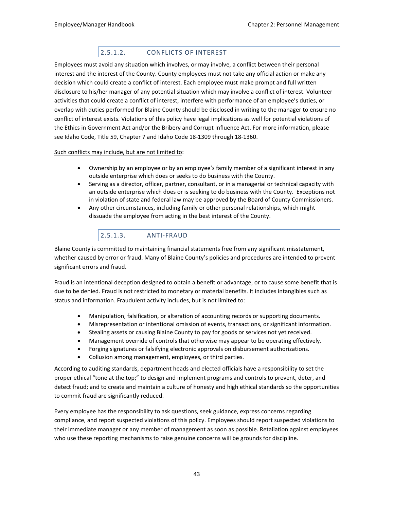# 2.5.1.2. CONFLICTS OF INTEREST

Employees must avoid any situation which involves, or may involve, a conflict between their personal interest and the interest of the County. County employees must not take any official action or make any decision which could create a conflict of interest. Each employee must make prompt and full written disclosure to his/her manager of any potential situation which may involve a conflict of interest. Volunteer activities that could create a conflict of interest, interfere with performance of an employee's duties, or overlap with duties performed for Blaine County should be disclosed in writing to the manager to ensure no conflict of interest exists. Violations of this policy have legal implications as well for potential violations of the Ethics in Government Act and/or the Bribery and Corrupt Influence Act. For more information, please see Idaho Code, Title 59, Chapter 7 and Idaho Code 18-1309 through 18-1360.

#### Such conflicts may include, but are not limited to:

- Ownership by an employee or by an employee's family member of a significant interest in any outside enterprise which does or seeks to do business with the County.
- Serving as a director, officer, partner, consultant, or in a managerial or technical capacity with an outside enterprise which does or is seeking to do business with the County. Exceptions not in violation of state and federal law may be approved by the Board of County Commissioners.
- Any other circumstances, including family or other personal relationships, which might dissuade the employee from acting in the best interest of the County.

# 2.5.1.3. ANTI-FRAUD

Blaine County is committed to maintaining financial statements free from any significant misstatement, whether caused by error or fraud. Many of Blaine County's policies and procedures are intended to prevent significant errors and fraud.

Fraud is an intentional deception designed to obtain a benefit or advantage, or to cause some benefit that is due to be denied. Fraud is not restricted to monetary or material benefits. It includes intangibles such as status and information. Fraudulent activity includes, but is not limited to:

- Manipulation, falsification, or alteration of accounting records or supporting documents.
- Misrepresentation or intentional omission of events, transactions, or significant information.
- Stealing assets or causing Blaine County to pay for goods or services not yet received.
- Management override of controls that otherwise may appear to be operating effectively.
- Forging signatures or falsifying electronic approvals on disbursement authorizations.
- Collusion among management, employees, or third parties.

According to auditing standards, department heads and elected officials have a responsibility to set the proper ethical "tone at the top;" to design and implement programs and controls to prevent, deter, and detect fraud; and to create and maintain a culture of honesty and high ethical standards so the opportunities to commit fraud are significantly reduced.

Every employee has the responsibility to ask questions, seek guidance, express concerns regarding compliance, and report suspected violations of this policy. Employees should report suspected violations to their immediate manager or any member of management as soon as possible. Retaliation against employees who use these reporting mechanisms to raise genuine concerns will be grounds for discipline.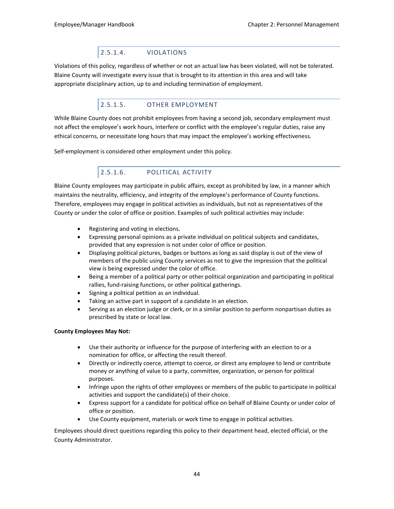# 2.5.1.4. VIOLATIONS

Violations of this policy, regardless of whether or not an actual law has been violated, will not be tolerated. Blaine County will investigate every issue that is brought to its attention in this area and will take appropriate disciplinary action, up to and including termination of employment.

# 2.5.1.5. OTHER EMPLOYMENT

While Blaine County does not prohibit employees from having a second job, secondary employment must not affect the employee's work hours, interfere or conflict with the employee's regular duties, raise any ethical concerns, or necessitate long hours that may impact the employee's working effectiveness.

Self-employment is considered other employment under this policy.

# 2.5.1.6. POLITICAL ACTIVITY

Blaine County employees may participate in public affairs, except as prohibited by law, in a manner which maintains the neutrality, efficiency, and integrity of the employee's performance of County functions. Therefore, employees may engage in political activities as individuals, but not as representatives of the County or under the color of office or position. Examples of such political activities may include:

- Registering and voting in elections.
- Expressing personal opinions as a private individual on political subjects and candidates, provided that any expression is not under color of office or position.
- Displaying political pictures, badges or buttons as long as said display is out of the view of members of the public using County services as not to give the impression that the political view is being expressed under the color of office.
- Being a member of a political party or other political organization and participating in political rallies, fund-raising functions, or other political gatherings.
- Signing a political petition as an individual.
- Taking an active part in support of a candidate in an election.
- Serving as an election judge or clerk, or in a similar position to perform nonpartisan duties as prescribed by state or local law.

#### **County Employees May Not:**

- Use their authority or influence for the purpose of interfering with an election to or a nomination for office, or affecting the result thereof.
- Directly or indirectly coerce, attempt to coerce, or direct any employee to lend or contribute money or anything of value to a party, committee, organization, or person for political purposes.
- Infringe upon the rights of other employees or members of the public to participate in political activities and support the candidate(s) of their choice.
- Express support for a candidate for political office on behalf of Blaine County or under color of office or position.
- Use County equipment, materials or work time to engage in political activities.

Employees should direct questions regarding this policy to their department head, elected official, or the County Administrator.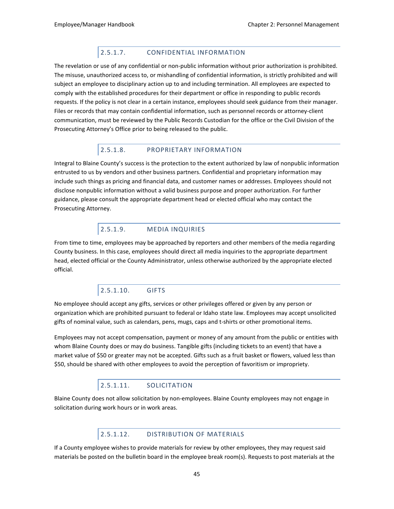# 2.5.1.7. CONFIDENTIAL INFORMATION

The revelation or use of any confidential or non-public information without prior authorization is prohibited. The misuse, unauthorized access to, or mishandling of confidential information, is strictly prohibited and will subject an employee to disciplinary action up to and including termination. All employees are expected to comply with the established procedures for their department or office in responding to public records requests. If the policy is not clear in a certain instance, employees should seek guidance from their manager. Files or records that may contain confidential information, such as personnel records or attorney-client communication, must be reviewed by the Public Records Custodian for the office or the Civil Division of the Prosecuting Attorney's Office prior to being released to the public.

# 2.5.1.8. PROPRIETARY INFORMATION

Integral to Blaine County's success is the protection to the extent authorized by law of nonpublic information entrusted to us by vendors and other business partners. Confidential and proprietary information may include such things as pricing and financial data, and customer names or addresses. Employees should not disclose nonpublic information without a valid business purpose and proper authorization. For further guidance, please consult the appropriate department head or elected official who may contact the Prosecuting Attorney.

# 2.5.1.9. MEDIA INQUIRIES

From time to time, employees may be approached by reporters and other members of the media regarding County business. In this case, employees should direct all media inquiries to the appropriate department head, elected official or the County Administrator, unless otherwise authorized by the appropriate elected official.

# 2.5.1.10. GIFTS

No employee should accept any gifts, services or other privileges offered or given by any person or organization which are prohibited pursuant to federal or Idaho state law. Employees may accept unsolicited gifts of nominal value, such as calendars, pens, mugs, caps and t-shirts or other promotional items.

Employees may not accept compensation, payment or money of any amount from the public or entities with whom Blaine County does or may do business. Tangible gifts (including tickets to an event) that have a market value of \$50 or greater may not be accepted. Gifts such as a fruit basket or flowers, valued less than \$50, should be shared with other employees to avoid the perception of favoritism or impropriety.

# 2.5.1.11. SOLICITATION

Blaine County does not allow solicitation by non-employees. Blaine County employees may not engage in solicitation during work hours or in work areas.

# 2.5.1.12. DISTRIBUTION OF MATERIALS

If a County employee wishes to provide materials for review by other employees, they may request said materials be posted on the bulletin board in the employee break room(s). Requests to post materials at the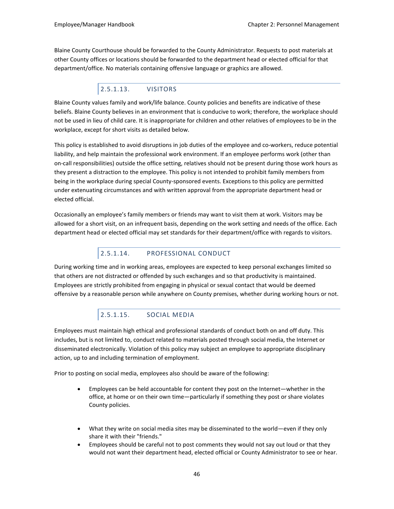Blaine County Courthouse should be forwarded to the County Administrator. Requests to post materials at other County offices or locations should be forwarded to the department head or elected official for that department/office. No materials containing offensive language or graphics are allowed.

# 2.5.1.13. VISITORS

Blaine County values family and work/life balance. County policies and benefits are indicative of these beliefs. Blaine County believes in an environment that is conducive to work; therefore, the workplace should not be used in lieu of child care. It is inappropriate for children and other relatives of employees to be in the workplace, except for short visits as detailed below.

This policy is established to avoid disruptions in job duties of the employee and co-workers, reduce potential liability, and help maintain the professional work environment. If an employee performs work (other than on-call responsibilities) outside the office setting, relatives should not be present during those work hours as they present a distraction to the employee. This policy is not intended to prohibit family members from being in the workplace during special County-sponsored events. Exceptions to this policy are permitted under extenuating circumstances and with written approval from the appropriate department head or elected official.

Occasionally an employee's family members or friends may want to visit them at work. Visitors may be allowed for a short visit, on an infrequent basis, depending on the work setting and needs of the office. Each department head or elected official may set standards for their department/office with regards to visitors.

# 2.5.1.14. PROFESSIONAL CONDUCT

During working time and in working areas, employees are expected to keep personal exchanges limited so that others are not distracted or offended by such exchanges and so that productivity is maintained. Employees are strictly prohibited from engaging in physical or sexual contact that would be deemed offensive by a reasonable person while anywhere on County premises, whether during working hours or not.

# 2.5.1.15. SOCIAL MEDIA

Employees must maintain high ethical and professional standards of conduct both on and off duty. This includes, but is not limited to, conduct related to materials posted through social media, the Internet or disseminated electronically. Violation of this policy may subject an employee to appropriate disciplinary action, up to and including termination of employment.

Prior to posting on social media, employees also should be aware of the following:

- Employees can be held accountable for content they post on the Internet—whether in the office, at home or on their own time—particularly if something they post or share violates County policies.
- What they write on social media sites may be disseminated to the world—even if they only share it with their "friends."
- Employees should be careful not to post comments they would not say out loud or that they would not want their department head, elected official or County Administrator to see or hear.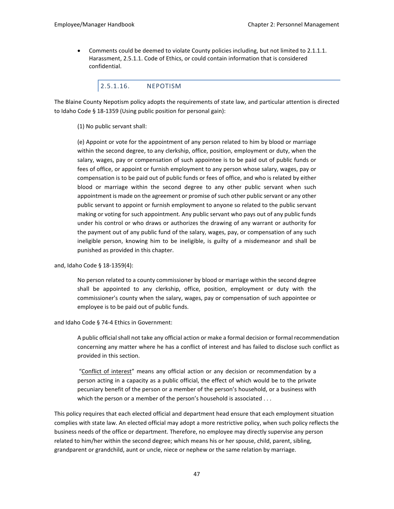• Comments could be deemed to violate County policies including, but not limited to 2.1.1.1. Harassment, 2.5.1.1. Code of Ethics, or could contain information that is considered confidential.

#### 2.5.1.16. NEPOTISM

The Blaine County Nepotism policy adopts the requirements of state law, and particular attention is directed to Idaho Code § 18-1359 (Using public position for personal gain):

#### (1) No public servant shall:

(e) Appoint or vote for the appointment of any person related to him by blood or marriage within the second degree, to any clerkship, office, position, employment or duty, when the salary, wages, pay or compensation of such appointee is to be paid out of public funds or fees of office, or appoint or furnish employment to any person whose salary, wages, pay or compensation is to be paid out of public funds or fees of office, and who is related by either blood or marriage within the second degree to any other public servant when such appointment is made on the agreement or promise of such other public servant or any other public servant to appoint or furnish employment to anyone so related to the public servant making or voting for such appointment. Any public servant who pays out of any public funds under his control or who draws or authorizes the drawing of any warrant or authority for the payment out of any public fund of the salary, wages, pay, or compensation of any such ineligible person, knowing him to be ineligible, is guilty of a misdemeanor and shall be punished as provided in this chapter.

#### and, Idaho Code § 18-1359(4):

No person related to a county commissioner by blood or marriage within the second degree shall be appointed to any clerkship, office, position, employment or duty with the commissioner's county when the salary, wages, pay or compensation of such appointee or employee is to be paid out of public funds.

#### and Idaho Code § 74-4 Ethics in Government:

A public official shall not take any official action or make a formal decision or formal recommendation concerning any matter where he has a conflict of interest and has failed to disclose such conflict as provided in this section.

 "Conflict of interest" means any official action or any decision or recommendation by a person acting in a capacity as a public official, the effect of which would be to the private pecuniary benefit of the person or a member of the person's household, or a business with which the person or a member of the person's household is associated . . .

This policy requires that each elected official and department head ensure that each employment situation complies with state law. An elected official may adopt a more restrictive policy, when such policy reflects the business needs of the office or department. Therefore, no employee may directly supervise any person related to him/her within the second degree; which means his or her spouse, child, parent, sibling, grandparent or grandchild, aunt or uncle, niece or nephew or the same relation by marriage.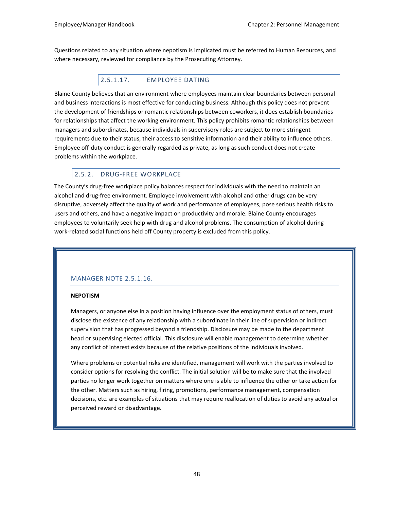Questions related to any situation where nepotism is implicated must be referred to Human Resources, and where necessary, reviewed for compliance by the Prosecuting Attorney.

# 2.5.1.17. EMPLOYEE DATING

Blaine County believes that an environment where employees maintain clear boundaries between personal and business interactions is most effective for conducting business. Although this policy does not prevent the development of friendships or romantic relationships between coworkers, it does establish boundaries for relationships that affect the working environment. This policy prohibits romantic relationships between managers and subordinates, because individuals in supervisory roles are subject to more stringent requirements due to their status, their access to sensitive information and their ability to influence others. Employee off-duty conduct is generally regarded as private, as long as such conduct does not create problems within the workplace.

# 2.5.2. DRUG-FREE WORKPLACE

The County's drug-free workplace policy balances respect for individuals with the need to maintain an alcohol and drug-free environment. Employee involvement with alcohol and other drugs can be very disruptive, adversely affect the quality of work and performance of employees, pose serious health risks to users and others, and have a negative impact on productivity and morale. Blaine County encourages employees to voluntarily seek help with drug and alcohol problems. The consumption of alcohol during work-related social functions held off County property is excluded from this policy.

# MANAGER NOTE 2.5.1.16.

#### **NEPOTISM**

Managers, or anyone else in a position having influence over the employment status of others, must disclose the existence of any relationship with a subordinate in their line of supervision or indirect supervision that has progressed beyond a friendship. Disclosure may be made to the department head or supervising elected official. This disclosure will enable management to determine whether any conflict of interest exists because of the relative positions of the individuals involved.

Where problems or potential risks are identified, management will work with the parties involved to consider options for resolving the conflict. The initial solution will be to make sure that the involved parties no longer work together on matters where one is able to influence the other or take action for the other. Matters such as hiring, firing, promotions, performance management, compensation decisions, etc. are examples of situations that may require reallocation of duties to avoid any actual or perceived reward or disadvantage.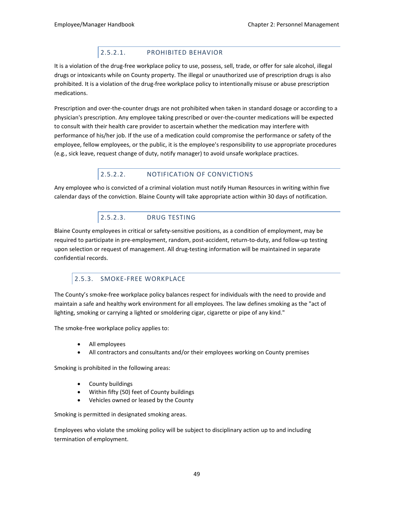# 2.5.2.1. PROHIBITED BEHAVIOR

It is a violation of the drug-free workplace policy to use, possess, sell, trade, or offer for sale alcohol, illegal drugs or intoxicants while on County property. The illegal or unauthorized use of prescription drugs is also prohibited. It is a violation of the drug-free workplace policy to intentionally misuse or abuse prescription medications.

Prescription and over-the-counter drugs are not prohibited when taken in standard dosage or according to a physician's prescription. Any employee taking prescribed or over-the-counter medications will be expected to consult with their health care provider to ascertain whether the medication may interfere with performance of his/her job. If the use of a medication could compromise the performance or safety of the employee, fellow employees, or the public, it is the employee's responsibility to use appropriate procedures (e.g., sick leave, request change of duty, notify manager) to avoid unsafe workplace practices.

# 2.5.2.2. NOTIFICATION OF CONVICTIONS

Any employee who is convicted of a criminal violation must notify Human Resources in writing within five calendar days of the conviction. Blaine County will take appropriate action within 30 days of notification.

# 2.5.2.3. DRUG TESTING

Blaine County employees in critical or safety-sensitive positions, as a condition of employment, may be required to participate in pre-employment, random, post-accident, return-to-duty, and follow-up testing upon selection or request of management. All drug-testing information will be maintained in separate confidential records.

# 2.5.3. SMOKE-FREE WORKPLACE

The County's smoke-free workplace policy balances respect for individuals with the need to provide and maintain a safe and healthy work environment for all employees. The law defines smoking as the "act of lighting, smoking or carrying a lighted or smoldering cigar, cigarette or pipe of any kind."

The smoke-free workplace policy applies to:

- All employees
- All contractors and consultants and/or their employees working on County premises

Smoking is prohibited in the following areas:

- County buildings
- Within fifty (50) feet of County buildings
- Vehicles owned or leased by the County

Smoking is permitted in designated smoking areas.

Employees who violate the smoking policy will be subject to disciplinary action up to and including termination of employment.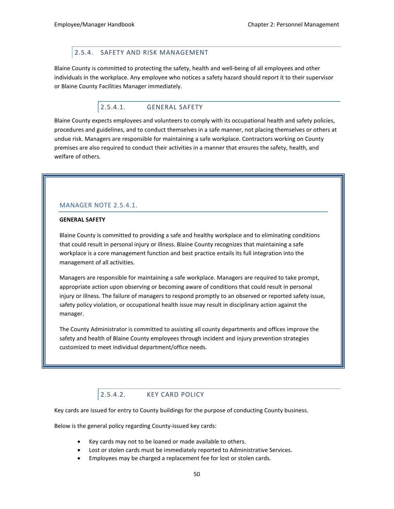### 2.5.4. SAFETY AND RISK MANAGEMENT

Blaine County is committed to protecting the safety, health and well-being of all employees and other individuals in the workplace. Any employee who notices a safety hazard should report it to their supervisor or Blaine County Facilities Manager immediately.

#### 2.5.4.1. GENERAL SAFETY

Blaine County expects employees and volunteers to comply with its occupational health and safety policies, procedures and guidelines, and to conduct themselves in a safe manner, not placing themselves or others at undue risk. Managers are responsible for maintaining a safe workplace. Contractors working on County premises are also required to conduct their activities in a manner that ensures the safety, health, and welfare of others.

#### MANAGER NOTE 2.5.4.1.

#### **GENERAL SAFETY**

Blaine County is committed to providing a safe and healthy workplace and to eliminating conditions that could result in personal injury or illness. Blaine County recognizes that maintaining a safe workplace is a core management function and best practice entails its full integration into the management of all activities.

Managers are responsible for maintaining a safe workplace. Managers are required to take prompt, appropriate action upon observing or becoming aware of conditions that could result in personal injury or illness. The failure of managers to respond promptly to an observed or reported safety issue, safety policy violation, or occupational health issue may result in disciplinary action against the manager.

The County Administrator is committed to assisting all county departments and offices improve the safety and health of Blaine County employees through incident and injury prevention strategies customized to meet individual department/office needs.

# 2.5.4.2. KEY CARD POLICY

Key cards are issued for entry to County buildings for the purpose of conducting County business.

Below is the general policy regarding County-issued key cards:

- Key cards may not to be loaned or made available to others.
- Lost or stolen cards must be immediately reported to Administrative Services.
- Employees may be charged a replacement fee for lost or stolen cards.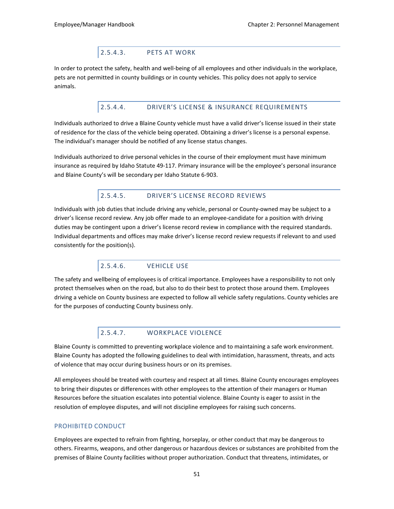# 2.5.4.3. PETS AT WORK

In order to protect the safety, health and well-being of all employees and other individuals in the workplace, pets are not permitted in county buildings or in county vehicles. This policy does not apply to service animals.

### 2.5.4.4. DRIVER'S LICENSE & INSURANCE REQUIREMENTS

Individuals authorized to drive a Blaine County vehicle must have a valid driver's license issued in their state of residence for the class of the vehicle being operated. Obtaining a driver's license is a personal expense. The individual's manager should be notified of any license status changes.

Individuals authorized to drive personal vehicles in the course of their employment must have minimum insurance as required by Idaho Statute 49-117. Primary insurance will be the employee's personal insurance and Blaine County's will be secondary per Idaho Statute 6-903.

# 2.5.4.5. DRIVER'S LICENSE RECORD REVIEWS

Individuals with job duties that include driving any vehicle, personal or County-owned may be subject to a driver's license record review. Any job offer made to an employee-candidate for a position with driving duties may be contingent upon a driver's license record review in compliance with the required standards. Individual departments and offices may make driver's license record review requests if relevant to and used consistently for the position(s).

# 2.5.4.6. VEHICLE USE

The safety and wellbeing of employees is of critical importance. Employees have a responsibility to not only protect themselves when on the road, but also to do their best to protect those around them. Employees driving a vehicle on County business are expected to follow all vehicle safety regulations. County vehicles are for the purposes of conducting County business only.

# 2.5.4.7. WORKPLACE VIOLENCE

Blaine County is committed to preventing workplace violence and to maintaining a safe work environment. Blaine County has adopted the following guidelines to deal with intimidation, harassment, threats, and acts of violence that may occur during business hours or on its premises.

All employees should be treated with courtesy and respect at all times. Blaine County encourages employees to bring their disputes or differences with other employees to the attention of their managers or Human Resources before the situation escalates into potential violence. Blaine County is eager to assist in the resolution of employee disputes, and will not discipline employees for raising such concerns.

### PROHIBITED CONDUCT

Employees are expected to refrain from fighting, horseplay, or other conduct that may be dangerous to others. Firearms, weapons, and other dangerous or hazardous devices or substances are prohibited from the premises of Blaine County facilities without proper authorization. Conduct that threatens, intimidates, or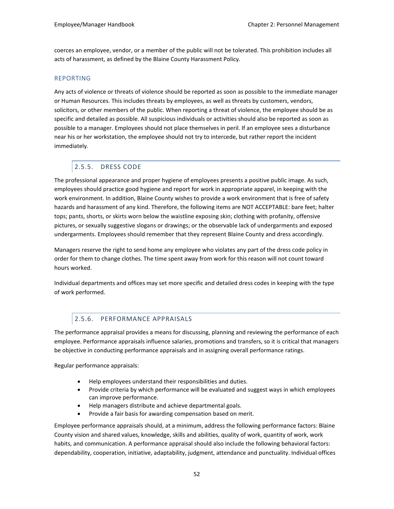coerces an employee, vendor, or a member of the public will not be tolerated. This prohibition includes all acts of harassment, as defined by the Blaine County Harassment Policy.

#### REPORTING

Any acts of violence or threats of violence should be reported as soon as possible to the immediate manager or Human Resources. This includes threats by employees, as well as threats by customers, vendors, solicitors, or other members of the public. When reporting a threat of violence, the employee should be as specific and detailed as possible. All suspicious individuals or activities should also be reported as soon as possible to a manager. Employees should not place themselves in peril. If an employee sees a disturbance near his or her workstation, the employee should not try to intercede, but rather report the incident immediately.

# 2.5.5. DRESS CODE

The professional appearance and proper hygiene of employees presents a positive public image. As such, employees should practice good hygiene and report for work in appropriate apparel, in keeping with the work environment. In addition, Blaine County wishes to provide a work environment that is free of safety hazards and harassment of any kind. Therefore, the following items are NOT ACCEPTABLE: bare feet; halter tops; pants, shorts, or skirts worn below the waistline exposing skin; clothing with profanity, offensive pictures, or sexually suggestive slogans or drawings; or the observable lack of undergarments and exposed undergarments. Employees should remember that they represent Blaine County and dress accordingly.

Managers reserve the right to send home any employee who violates any part of the dress code policy in order for them to change clothes. The time spent away from work for this reason will not count toward hours worked.

Individual departments and offices may set more specific and detailed dress codes in keeping with the type of work performed.

### 2.5.6. PERFORMANCE APPRAISALS

The performance appraisal provides a means for discussing, planning and reviewing the performance of each employee. Performance appraisals influence salaries, promotions and transfers, so it is critical that managers be objective in conducting performance appraisals and in assigning overall performance ratings.

Regular performance appraisals:

- Help employees understand their responsibilities and duties.
- Provide criteria by which performance will be evaluated and suggest ways in which employees can improve performance.
- Help managers distribute and achieve departmental goals.
- Provide a fair basis for awarding compensation based on merit.

Employee performance appraisals should, at a minimum, address the following performance factors: Blaine County vision and shared values, knowledge, skills and abilities, quality of work, quantity of work, work habits, and communication. A performance appraisal should also include the following behavioral factors: dependability, cooperation, initiative, adaptability, judgment, attendance and punctuality. Individual offices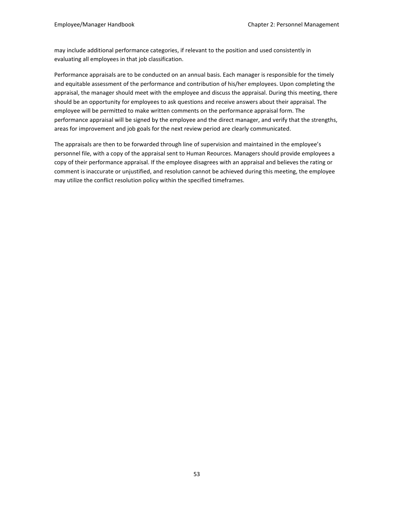may include additional performance categories, if relevant to the position and used consistently in evaluating all employees in that job classification.

Performance appraisals are to be conducted on an annual basis. Each manager is responsible for the timely and equitable assessment of the performance and contribution of his/her employees. Upon completing the appraisal, the manager should meet with the employee and discuss the appraisal. During this meeting, there should be an opportunity for employees to ask questions and receive answers about their appraisal. The employee will be permitted to make written comments on the performance appraisal form. The performance appraisal will be signed by the employee and the direct manager, and verify that the strengths, areas for improvement and job goals for the next review period are clearly communicated.

The appraisals are then to be forwarded through line of supervision and maintained in the employee's personnel file, with a copy of the appraisal sent to Human Reources. Managers should provide employees a copy of their performance appraisal. If the employee disagrees with an appraisal and believes the rating or comment is inaccurate or unjustified, and resolution cannot be achieved during this meeting, the employee may utilize the conflict resolution policy within the specified timeframes.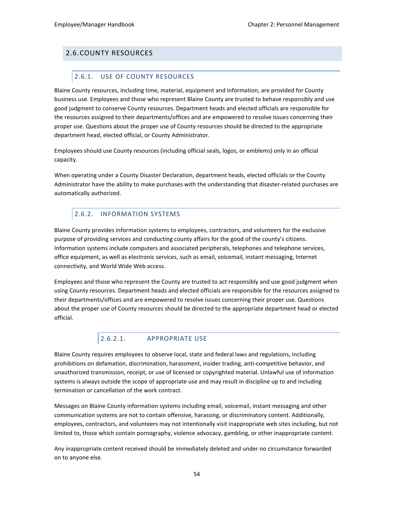# 2.6.COUNTY RESOURCES

# 2.6.1. USE OF COUNTY RESOURCES

Blaine County resources, including time, material, equipment and information, are provided for County business use. Employees and those who represent Blaine County are trusted to behave responsibly and use good judgment to conserve County resources. Department heads and elected officials are responsible for the resources assigned to their departments/offices and are empowered to resolve issues concerning their proper use. Questions about the proper use of County resources should be directed to the appropriate department head, elected official, or County Administrator.

Employees should use County resources (including official seals, logos, or emblems) only in an official capacity.

When operating under a County Disaster Declaration, department heads, elected officials or the County Administrator have the ability to make purchases with the understanding that disaster-related purchases are automatically authorized.

# 2.6.2. INFORMATION SYSTEMS

Blaine County provides information systems to employees, contractors, and volunteers for the exclusive purpose of providing services and conducting county affairs for the good of the county's citizens. Information systems include computers and associated peripherals, telephones and telephone services, office equipment, as well as electronic services, such as email, voicemail, instant messaging, Internet connectivity, and World Wide Web access.

Employees and those who represent the County are trusted to act responsibly and use good judgment when using County resources. Department heads and elected officials are responsible for the resources assigned to their departments/offices and are empowered to resolve issues concerning their proper use. Questions about the proper use of County resources should be directed to the appropriate department head or elected official.

# 2.6.2.1. APPROPRIATE USE

Blaine County requires employees to observe local, state and federal laws and regulations, including prohibitions on defamation, discrimination, harassment, insider trading, anti-competitive behavior, and unauthorized transmission, receipt, or use of licensed or copyrighted material. Unlawful use of information systems is always outside the scope of appropriate use and may result in discipline up to and including termination or cancellation of the work contract.

Messages on Blaine County information systems including email, voicemail, instant messaging and other communication systems are not to contain offensive, harassing, or discriminatory content. Additionally, employees, contractors, and volunteers may not intentionally visit inappropriate web sites including, but not limited to, those which contain pornography, violence advocacy, gambling, or other inappropriate content.

Any inappropriate content received should be immediately deleted and under no circumstance forwarded on to anyone else.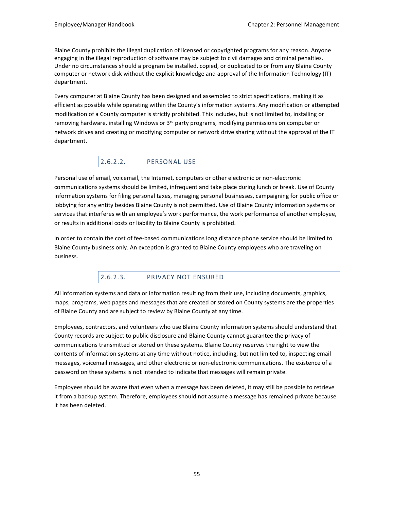Blaine County prohibits the illegal duplication of licensed or copyrighted programs for any reason. Anyone engaging in the illegal reproduction of software may be subject to civil damages and criminal penalties. Under no circumstances should a program be installed, copied, or duplicated to or from any Blaine County computer or network disk without the explicit knowledge and approval of the Information Technology (IT) department.

Every computer at Blaine County has been designed and assembled to strict specifications, making it as efficient as possible while operating within the County's information systems. Any modification or attempted modification of a County computer is strictly prohibited. This includes, but is not limited to, installing or removing hardware, installing Windows or 3<sup>rd</sup> party programs, modifying permissions on computer or network drives and creating or modifying computer or network drive sharing without the approval of the IT department.

# 2.6.2.2. PERSONAL USE

Personal use of email, voicemail, the Internet, computers or other electronic or non-electronic communications systems should be limited, infrequent and take place during lunch or break. Use of County information systems for filing personal taxes, managing personal businesses, campaigning for public office or lobbying for any entity besides Blaine County is not permitted. Use of Blaine County information systems or services that interferes with an employee's work performance, the work performance of another employee, or results in additional costs or liability to Blaine County is prohibited.

In order to contain the cost of fee-based communications long distance phone service should be limited to Blaine County business only. An exception is granted to Blaine County employees who are traveling on business.

# 2.6.2.3. PRIVACY NOT ENSURED

All information systems and data or information resulting from their use, including documents, graphics, maps, programs, web pages and messages that are created or stored on County systems are the properties of Blaine County and are subject to review by Blaine County at any time.

Employees, contractors, and volunteers who use Blaine County information systems should understand that County records are subject to public disclosure and Blaine County cannot guarantee the privacy of communications transmitted or stored on these systems. Blaine County reserves the right to view the contents of information systems at any time without notice, including, but not limited to, inspecting email messages, voicemail messages, and other electronic or non-electronic communications. The existence of a password on these systems is not intended to indicate that messages will remain private.

Employees should be aware that even when a message has been deleted, it may still be possible to retrieve it from a backup system. Therefore, employees should not assume a message has remained private because it has been deleted.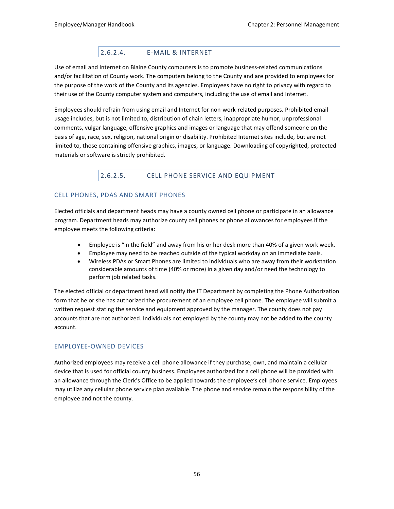# 2.6.2.4. E-MAIL & INTERNET

Use of email and Internet on Blaine County computers is to promote business-related communications and/or facilitation of County work. The computers belong to the County and are provided to employees for the purpose of the work of the County and its agencies. Employees have no right to privacy with regard to their use of the County computer system and computers, including the use of email and Internet.

Employees should refrain from using email and Internet for non-work-related purposes. Prohibited email usage includes, but is not limited to, distribution of chain letters, inappropriate humor, unprofessional comments, vulgar language, offensive graphics and images or language that may offend someone on the basis of age, race, sex, religion, national origin or disability. Prohibited Internet sites include, but are not limited to, those containing offensive graphics, images, or language. Downloading of copyrighted, protected materials or software is strictly prohibited.

# 2.6.2.5. CELL PHONE SERVICE AND EQUIPMENT

### CELL PHONES, PDAS AND SMART PHONES

Elected officials and department heads may have a county owned cell phone or participate in an allowance program. Department heads may authorize county cell phones or phone allowances for employees if the employee meets the following criteria:

- Employee is "in the field" and away from his or her desk more than 40% of a given work week.
- Employee may need to be reached outside of the typical workday on an immediate basis.
- Wireless PDAs or Smart Phones are limited to individuals who are away from their workstation considerable amounts of time (40% or more) in a given day and/or need the technology to perform job related tasks.

The elected official or department head will notify the IT Department by completing the Phone Authorization form that he or she has authorized the procurement of an employee cell phone. The employee will submit a written request stating the service and equipment approved by the manager. The county does not pay accounts that are not authorized. Individuals not employed by the county may not be added to the county account.

# EMPLOYEE-OWNED DEVICES

Authorized employees may receive a cell phone allowance if they purchase, own, and maintain a cellular device that is used for official county business. Employees authorized for a cell phone will be provided with an allowance through the Clerk's Office to be applied towards the employee's cell phone service. Employees may utilize any cellular phone service plan available. The phone and service remain the responsibility of the employee and not the county.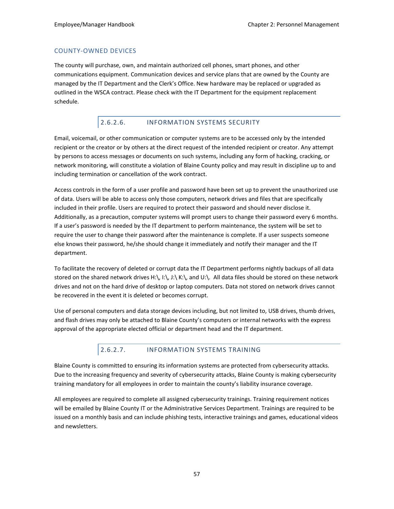### COUNTY-OWNED DEVICES

The county will purchase, own, and maintain authorized cell phones, smart phones, and other communications equipment. Communication devices and service plans that are owned by the County are managed by the IT Department and the Clerk's Office. New hardware may be replaced or upgraded as outlined in the WSCA contract. Please check with the IT Department for the equipment replacement schedule.

# 2.6.2.6. INFORMATION SYSTEMS SECURITY

Email, voicemail, or other communication or computer systems are to be accessed only by the intended recipient or the creator or by others at the direct request of the intended recipient or creator. Any attempt by persons to access messages or documents on such systems, including any form of hacking, cracking, or network monitoring, will constitute a violation of Blaine County policy and may result in discipline up to and including termination or cancellation of the work contract.

Access controls in the form of a user profile and password have been set up to prevent the unauthorized use of data. Users will be able to access only those computers, network drives and files that are specifically included in their profile. Users are required to protect their password and should never disclose it. Additionally, as a precaution, computer systems will prompt users to change their password every 6 months. If a user's password is needed by the IT department to perform maintenance, the system will be set to require the user to change their password after the maintenance is complete. If a user suspects someone else knows their password, he/she should change it immediately and notify their manager and the IT department.

To facilitate the recovery of deleted or corrupt data the IT Department performs nightly backups of all data stored on the shared network drives H:\, I:\, J:\ K:\, and U:\. All data files should be stored on these network drives and not on the hard drive of desktop or laptop computers. Data not stored on network drives cannot be recovered in the event it is deleted or becomes corrupt.

Use of personal computers and data storage devices including, but not limited to, USB drives, thumb drives, and flash drives may only be attached to Blaine County's computers or internal networks with the express approval of the appropriate elected official or department head and the IT department.

# 2.6.2.7. INFORMATION SYSTEMS TRAINING

Blaine County is committed to ensuring its information systems are protected from cybersecurity attacks. Due to the increasing frequency and severity of cybersecurity attacks, Blaine County is making cybersecurity training mandatory for all employees in order to maintain the county's liability insurance coverage.

All employees are required to complete all assigned cybersecurity trainings. Training requirement notices will be emailed by Blaine County IT or the Administrative Services Department. Trainings are required to be issued on a monthly basis and can include phishing tests, interactive trainings and games, educational videos and newsletters.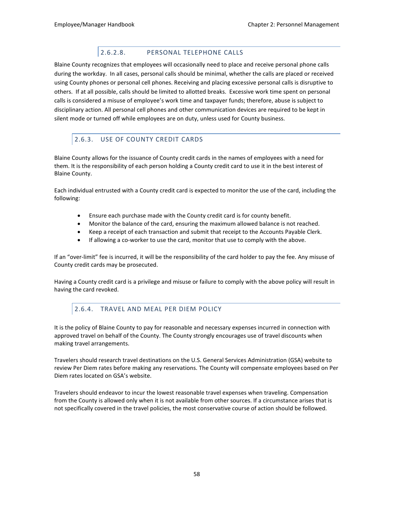# 2.6.2.8. PERSONAL TELEPHONE CALLS

Blaine County recognizes that employees will occasionally need to place and receive personal phone calls during the workday. In all cases, personal calls should be minimal, whether the calls are placed or received using County phones or personal cell phones. Receiving and placing excessive personal calls is disruptive to others. If at all possible, calls should be limited to allotted breaks. Excessive work time spent on personal calls is considered a misuse of employee's work time and taxpayer funds; therefore, abuse is subject to disciplinary action. All personal cell phones and other communication devices are required to be kept in silent mode or turned off while employees are on duty, unless used for County business.

# 2.6.3. USE OF COUNTY CREDIT CARDS

Blaine County allows for the issuance of County credit cards in the names of employees with a need for them. It is the responsibility of each person holding a County credit card to use it in the best interest of Blaine County.

Each individual entrusted with a County credit card is expected to monitor the use of the card, including the following:

- Ensure each purchase made with the County credit card is for county benefit.
- Monitor the balance of the card, ensuring the maximum allowed balance is not reached.
- Keep a receipt of each transaction and submit that receipt to the Accounts Payable Clerk.
- If allowing a co-worker to use the card, monitor that use to comply with the above.

If an "over-limit" fee is incurred, it will be the responsibility of the card holder to pay the fee. Any misuse of County credit cards may be prosecuted.

Having a County credit card is a privilege and misuse or failure to comply with the above policy will result in having the card revoked.

# 2.6.4. TRAVEL AND MEAL PER DIEM POLICY

It is the policy of Blaine County to pay for reasonable and necessary expenses incurred in connection with approved travel on behalf of the County. The County strongly encourages use of travel discounts when making travel arrangements.

Travelers should research travel destinations on the U.S. General Services Administration (GSA) website to review Per Diem rates before making any reservations. The County will compensate employees based on Per Diem rates located on GSA's website.

Travelers should endeavor to incur the lowest reasonable travel expenses when traveling. Compensation from the County is allowed only when it is not available from other sources. If a circumstance arises that is not specifically covered in the travel policies, the most conservative course of action should be followed.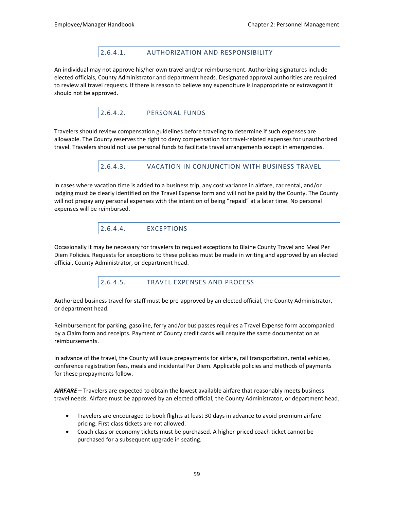# 2.6.4.1. AUTHORIZATION AND RESPONSIBILITY

An individual may not approve his/her own travel and/or reimbursement. Authorizing signatures include elected officials, County Administrator and department heads. Designated approval authorities are required to review all travel requests. If there is reason to believe any expenditure is inappropriate or extravagant it should not be approved.

# 2.6.4.2. PERSONAL FUNDS

Travelers should review compensation guidelines before traveling to determine if such expenses are allowable. The County reserves the right to deny compensation for travel-related expenses for unauthorized travel. Travelers should not use personal funds to facilitate travel arrangements except in emergencies.

# 2.6.4.3. VACATION IN CONJUNCTION WITH BUSINESS TRAVEL

In cases where vacation time is added to a business trip, any cost variance in airfare, car rental, and/or lodging must be clearly identified on the Travel Expense form and will not be paid by the County. The County will not prepay any personal expenses with the intention of being "repaid" at a later time. No personal expenses will be reimbursed.

2.6.4.4. EXCEPTIONS

Occasionally it may be necessary for travelers to request exceptions to Blaine County Travel and Meal Per Diem Policies. Requests for exceptions to these policies must be made in writing and approved by an elected official, County Administrator, or department head.

2.6.4.5. TRAVEL EXPENSES AND PROCESS

Authorized business travel for staff must be pre-approved by an elected official, the County Administrator, or department head.

Reimbursement for parking, gasoline, ferry and/or bus passes requires a Travel Expense form accompanied by a Claim form and receipts. Payment of County credit cards will require the same documentation as reimbursements.

In advance of the travel, the County will issue prepayments for airfare, rail transportation, rental vehicles, conference registration fees, meals and incidental Per Diem. Applicable policies and methods of payments for these prepayments follow.

*AIRFARE* **–** Travelers are expected to obtain the lowest available airfare that reasonably meets business travel needs. Airfare must be approved by an elected official, the County Administrator, or department head.

- Travelers are encouraged to book flights at least 30 days in advance to avoid premium airfare pricing. First class tickets are not allowed.
- Coach class or economy tickets must be purchased. A higher-priced coach ticket cannot be purchased for a subsequent upgrade in seating.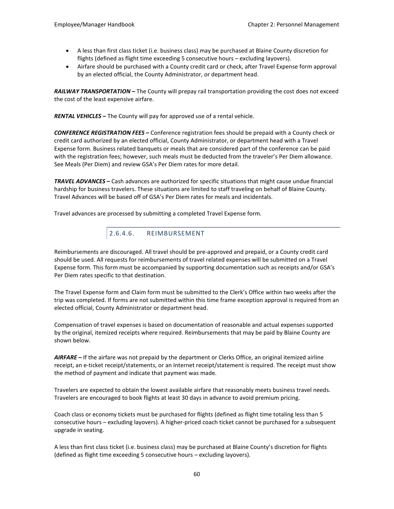- A less than first class ticket (i.e. business class) may be purchased at Blaine County discretion for flights (defined as flight time exceeding 5 consecutive hours – excluding layovers).
- Airfare should be purchased with a County credit card or check, after Travel Expense form approval by an elected official, the County Administrator, or department head.

*RAILWAY TRANSPORTATION* **–** The County will prepay rail transportation providing the cost does not exceed the cost of the least expensive airfare.

*RENTAL VEHICLES* **–** The County will pay for approved use of a rental vehicle.

*CONFERENCE REGISTRATION FEES* **–** Conference registration fees should be prepaid with a County check or credit card authorized by an elected official, County Administrator, or department head with a Travel Expense form. Business related banquets or meals that are considered part of the conference can be paid with the registration fees; however, such meals must be deducted from the traveler's Per Diem allowance. See Meals (Per Diem) and review GSA's Per Diem rates for more detail.

*TRAVEL ADVANCES* **–** Cash advances are authorized for specific situations that might cause undue financial hardship for business travelers. These situations are limited to staff traveling on behalf of Blaine County. Travel Advances will be based off of GSA's Per Diem rates for meals and incidentals.

Travel advances are processed by submitting a completed Travel Expense form.



Reimbursements are discouraged. All travel should be pre-approved and prepaid, or a County credit card should be used. All requests for reimbursements of travel related expenses will be submitted on a Travel Expense form. This form must be accompanied by supporting documentation such as receipts and/or GSA's Per Diem rates specific to that destination.

The Travel Expense form and Claim form must be submitted to the Clerk's Office within two weeks after the trip was completed. If forms are not submitted within this time frame exception approval is required from an elected official, County Administrator or department head.

Compensation of travel expenses is based on documentation of reasonable and actual expenses supported by the original, itemized receipts where required. Reimbursements that may be paid by Blaine County are shown below.

*AIRFARE* **–** If the airfare was not prepaid by the department or Clerks Office, an original itemized airline receipt, an e-ticket receipt/statements, or an Internet receipt/statement is required. The receipt must show the method of payment and indicate that payment was made.

Travelers are expected to obtain the lowest available airfare that reasonably meets business travel needs. Travelers are encouraged to book flights at least 30 days in advance to avoid premium pricing.

Coach class or economy tickets must be purchased for flights (defined as flight time totaling less than 5 consecutive hours – excluding layovers). A higher-priced coach ticket cannot be purchased for a subsequent upgrade in seating.

A less than first class ticket (i.e. business class) may be purchased at Blaine County's discretion for flights (defined as flight time exceeding 5 consecutive hours – excluding layovers).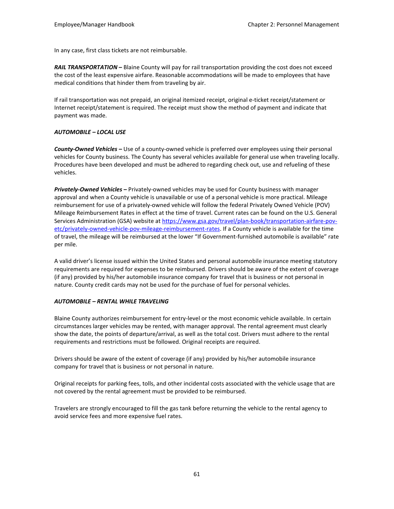In any case, first class tickets are not reimbursable.

*RAIL TRANSPORTATION* **–** Blaine County will pay for rail transportation providing the cost does not exceed the cost of the least expensive airfare. Reasonable accommodations will be made to employees that have medical conditions that hinder them from traveling by air.

If rail transportation was not prepaid, an original itemized receipt, original e-ticket receipt/statement or Internet receipt/statement is required. The receipt must show the method of payment and indicate that payment was made.

#### *AUTOMOBILE – LOCAL USE*

*County-Owned Vehicles –* Use of a county-owned vehicle is preferred over employees using their personal vehicles for County business. The County has several vehicles available for general use when traveling locally. Procedures have been developed and must be adhered to regarding check out, use and refueling of these vehicles.

*Privately-Owned Vehicles* **–** Privately-owned vehicles may be used for County business with manager approval and when a County vehicle is unavailable or use of a personal vehicle is more practical. Mileage reimbursement for use of a privately-owned vehicle will follow the federal Privately Owned Vehicle (POV) Mileage Reimbursement Rates in effect at the time of travel. Current rates can be found on the U.S. General Services Administration (GSA) website at [https://www.gsa.gov/travel/plan-book/transportation-airfare-pov](https://www.gsa.gov/travel/plan-book/transportation-airfare-pov-etc/privately-owned-vehicle-pov-mileage-reimbursement-rates)[etc/privately-owned-vehicle-pov-mileage-reimbursement-rates.](https://www.gsa.gov/travel/plan-book/transportation-airfare-pov-etc/privately-owned-vehicle-pov-mileage-reimbursement-rates) If a County vehicle is available for the time of travel, the mileage will be reimbursed at the lower "If Government-furnished automobile is available" rate per mile.

A valid driver's license issued within the United States and personal automobile insurance meeting statutory requirements are required for expenses to be reimbursed. Drivers should be aware of the extent of coverage (if any) provided by his/her automobile insurance company for travel that is business or not personal in nature. County credit cards may not be used for the purchase of fuel for personal vehicles.

#### *AUTOMOBILE – RENTAL WHILE TRAVELING*

Blaine County authorizes reimbursement for entry-level or the most economic vehicle available. In certain circumstances larger vehicles may be rented, with manager approval. The rental agreement must clearly show the date, the points of departure/arrival, as well as the total cost. Drivers must adhere to the rental requirements and restrictions must be followed. Original receipts are required.

Drivers should be aware of the extent of coverage (if any) provided by his/her automobile insurance company for travel that is business or not personal in nature.

Original receipts for parking fees, tolls, and other incidental costs associated with the vehicle usage that are not covered by the rental agreement must be provided to be reimbursed.

Travelers are strongly encouraged to fill the gas tank before returning the vehicle to the rental agency to avoid service fees and more expensive fuel rates.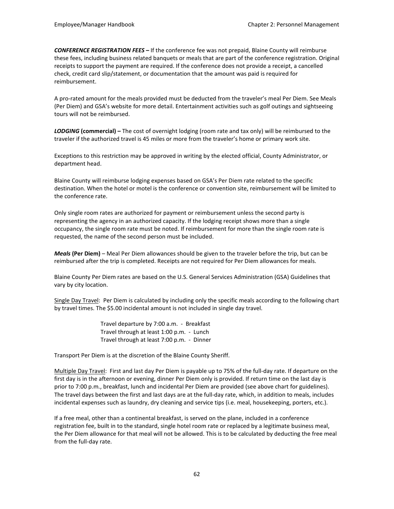*CONFERENCE REGISTRATION FEES* **–** If the conference fee was not prepaid, Blaine County will reimburse these fees, including business related banquets or meals that are part of the conference registration. Original receipts to support the payment are required. If the conference does not provide a receipt, a cancelled check, credit card slip/statement, or documentation that the amount was paid is required for reimbursement.

A pro-rated amount for the meals provided must be deducted from the traveler's meal Per Diem. See Meals (Per Diem) and GSA's website for more detail. Entertainment activities such as golf outings and sightseeing tours will not be reimbursed.

*LODGING* **(commercial) –** The cost of overnight lodging (room rate and tax only) will be reimbursed to the traveler if the authorized travel is 45 miles or more from the traveler's home or primary work site.

Exceptions to this restriction may be approved in writing by the elected official, County Administrator, or department head.

Blaine County will reimburse lodging expenses based on GSA's Per Diem rate related to the specific destination. When the hotel or motel is the conference or convention site, reimbursement will be limited to the conference rate.

Only single room rates are authorized for payment or reimbursement unless the second party is representing the agency in an authorized capacity. If the lodging receipt shows more than a single occupancy, the single room rate must be noted. If reimbursement for more than the single room rate is requested, the name of the second person must be included.

*Meals* **(Per Diem)** – Meal Per Diem allowances should be given to the traveler before the trip, but can be reimbursed after the trip is completed. Receipts are not required for Per Diem allowances for meals.

Blaine County Per Diem rates are based on the U.S. General Services Administration (GSA) Guidelines that vary by city location.

Single Day Travel: Per Diem is calculated by including only the specific meals according to the following chart by travel times. The \$5.00 incidental amount is not included in single day travel.

> Travel departure by 7:00 a.m. - Breakfast Travel through at least 1:00 p.m. - Lunch Travel through at least 7:00 p.m. - Dinner

Transport Per Diem is at the discretion of the Blaine County Sheriff.

Multiple Day Travel: First and last day Per Diem is payable up to 75% of the full-day rate. If departure on the first day is in the afternoon or evening, dinner Per Diem only is provided. If return time on the last day is prior to 7:00 p.m., breakfast, lunch and incidental Per Diem are provided (see above chart for guidelines). The travel days between the first and last days are at the full-day rate, which, in addition to meals, includes incidental expenses such as laundry, dry cleaning and service tips (i.e. meal, housekeeping, porters, etc.).

If a free meal, other than a continental breakfast, is served on the plane, included in a conference registration fee, built in to the standard, single hotel room rate or replaced by a legitimate business meal, the Per Diem allowance for that meal will not be allowed. This is to be calculated by deducting the free meal from the full-day rate.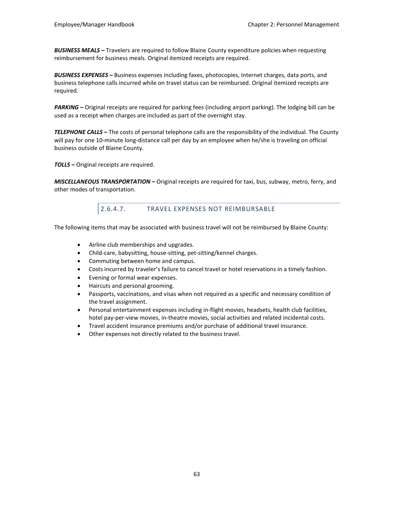*BUSINESS MEALS* **–** Travelers are required to follow Blaine County expenditure policies when requesting reimbursement for business meals. Original itemized receipts are required.

*BUSINESS EXPENSES* **–** Business expenses including faxes, photocopies, Internet charges, data ports, and business telephone calls incurred while on travel status can be reimbursed. Original itemized receipts are required.

*PARKING* **–** Original receipts are required for parking fees (including airport parking). The lodging bill can be used as a receipt when charges are included as part of the overnight stay.

*TELEPHONE CALLS* **–** The costs of personal telephone calls are the responsibility of the individual. The County will pay for one 10-minute long-distance call per day by an employee when he/she is traveling on official business outside of Blaine County.

*TOLLS* **–** Original receipts are required.

*MISCELLANEOUS TRANSPORTATION* **–** Original receipts are required for taxi, bus, subway, metro, ferry, and other modes of transportation.

# 2.6.4.7. TRAVEL EXPENSES NOT REIMBURSABLE

The following items that may be associated with business travel will not be reimbursed by Blaine County:

- Airline club memberships and upgrades.
- Child-care, babysitting, house-sitting, pet-sitting/kennel charges.
- Commuting between home and campus.
- Costs incurred by traveler's failure to cancel travel or hotel reservations in a timely fashion.
- Evening or formal wear expenses.
- Haircuts and personal grooming.
- Passports, vaccinations, and visas when not required as a specific and necessary condition of the travel assignment.
- Personal entertainment expenses including in-flight movies, headsets, health club facilities, hotel pay-per-view movies, in-theatre movies, social activities and related incidental costs.
- Travel accident insurance premiums and/or purchase of additional travel insurance.
- Other expenses not directly related to the business travel.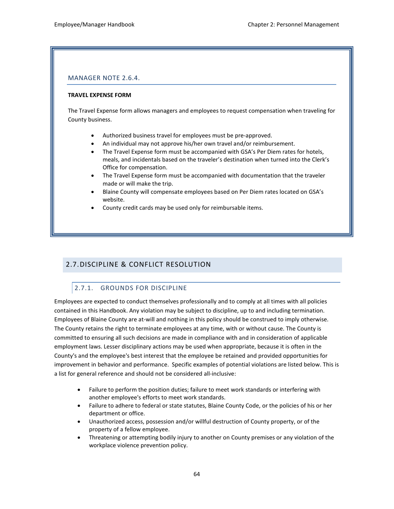### MANAGER NOTE 2.6.4.

#### **TRAVEL EXPENSE FORM**

The Travel Expense form allows managers and employees to request compensation when traveling for County business.

- Authorized business travel for employees must be pre-approved.
- An individual may not approve his/her own travel and/or reimbursement.
- The Travel Expense form must be accompanied with GSA's Per Diem rates for hotels, meals, and incidentals based on the traveler's destination when turned into the Clerk's Office for compensation.
- The Travel Expense form must be accompanied with documentation that the traveler made or will make the trip.
- Blaine County will compensate employees based on Per Diem rates located on GSA's website.
- County credit cards may be used only for reimbursable items.

# 2.7.DISCIPLINE & CONFLICT RESOLUTION

# 2.7.1. GROUNDS FOR DISCIPLINE

Employees are expected to conduct themselves professionally and to comply at all times with all policies contained in this Handbook. Any violation may be subject to discipline, up to and including termination. Employees of Blaine County are at-will and nothing in this policy should be construed to imply otherwise. The County retains the right to terminate employees at any time, with or without cause. The County is committed to ensuring all such decisions are made in compliance with and in consideration of applicable employment laws. Lesser disciplinary actions may be used when appropriate, because it is often in the County's and the employee's best interest that the employee be retained and provided opportunities for improvement in behavior and performance. Specific examples of potential violations are listed below. This is a list for general reference and should not be considered all-inclusive:

- Failure to perform the position duties; failure to meet work standards or interfering with another employee's efforts to meet work standards.
- Failure to adhere to federal or state statutes, Blaine County Code, or the policies of his or her department or office.
- Unauthorized access, possession and/or willful destruction of County property, or of the property of a fellow employee.
- Threatening or attempting bodily injury to another on County premises or any violation of the workplace violence prevention policy.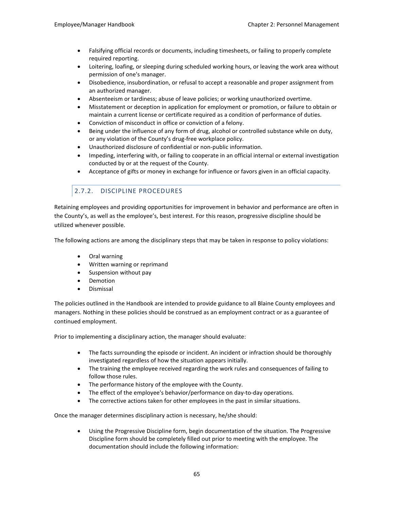- Falsifying official records or documents, including timesheets, or failing to properly complete required reporting.
- Loitering, loafing, or sleeping during scheduled working hours, or leaving the work area without permission of one's manager.
- Disobedience, insubordination, or refusal to accept a reasonable and proper assignment from an authorized manager.
- Absenteeism or tardiness; abuse of leave policies; or working unauthorized overtime.
- Misstatement or deception in application for employment or promotion, or failure to obtain or maintain a current license or certificate required as a condition of performance of duties.
- Conviction of misconduct in office or conviction of a felony.
- Being under the influence of any form of drug, alcohol or controlled substance while on duty, or any violation of the County's drug-free workplace policy.
- Unauthorized disclosure of confidential or non-public information.
- Impeding, interfering with, or failing to cooperate in an official internal or external investigation conducted by or at the request of the County.
- Acceptance of gifts or money in exchange for influence or favors given in an official capacity.

# 2.7.2. DISCIPLINE PROCEDURES

Retaining employees and providing opportunities for improvement in behavior and performance are often in the County's, as well as the employee's, best interest. For this reason, progressive discipline should be utilized whenever possible.

The following actions are among the disciplinary steps that may be taken in response to policy violations:

- Oral warning
- Written warning or reprimand
- Suspension without pay
- Demotion
- Dismissal

The policies outlined in the Handbook are intended to provide guidance to all Blaine County employees and managers. Nothing in these policies should be construed as an employment contract or as a guarantee of continued employment.

Prior to implementing a disciplinary action, the manager should evaluate:

- The facts surrounding the episode or incident. An incident or infraction should be thoroughly investigated regardless of how the situation appears initially.
- The training the employee received regarding the work rules and consequences of failing to follow those rules.
- The performance history of the employee with the County.
- The effect of the employee's behavior/performance on day-to-day operations.
- The corrective actions taken for other employees in the past in similar situations.

Once the manager determines disciplinary action is necessary, he/she should:

• Using the Progressive Discipline form, begin documentation of the situation. The Progressive Discipline form should be completely filled out prior to meeting with the employee. The documentation should include the following information: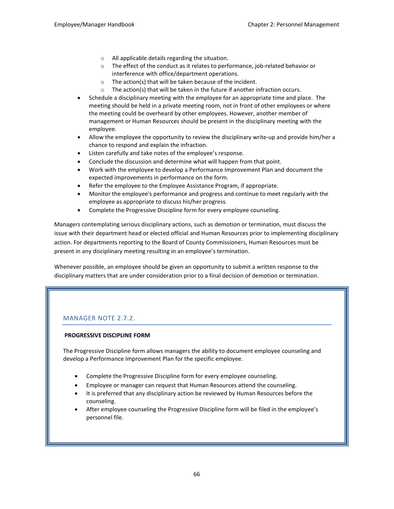- o All applicable details regarding the situation.
- o The effect of the conduct as it relates to performance, job-related behavior or interference with office/department operations.
- o The action(s) that will be taken because of the incident.
- $\circ$  The action(s) that will be taken in the future if another infraction occurs.
- Schedule a disciplinary meeting with the employee for an appropriate time and place. The meeting should be held in a private meeting room, not in front of other employees or where the meeting could be overheard by other employees. However, another member of management or Human Resources should be present in the disciplinary meeting with the employee.
- Allow the employee the opportunity to review the disciplinary write-up and provide him/her a chance to respond and explain the infraction.
- Listen carefully and take notes of the employee's response.
- Conclude the discussion and determine what will happen from that point.
- Work with the employee to develop a Performance Improvement Plan and document the expected improvements in performance on the form.
- Refer the employee to the Employee Assistance Program, if appropriate.
- Monitor the employee's performance and progress and continue to meet regularly with the employee as appropriate to discuss his/her progress.
- Complete the Progressive Discipline form for every employee counseling.

Managers contemplating serious disciplinary actions, such as demotion or termination, must discuss the issue with their department head or elected official and Human Resources prior to implementing disciplinary action. For departments reporting to the Board of County Commissioners, Human Resources must be present in any disciplinary meeting resulting in an employee's termination.

Whenever possible, an employee should be given an opportunity to submit a written response to the disciplinary matters that are under consideration prior to a final decision of demotion or termination.

# MANAGER NOTE 2.7.2.

#### **PROGRESSIVE DISCIPLINE FORM**

The Progressive Discipline form allows managers the ability to document employee counseling and develop a Performance Improvement Plan for the specific employee.

- Complete the Progressive Discipline form for every employee counseling.
- Employee or manager can request that Human Resources attend the counseling.
- It is preferred that any disciplinary action be reviewed by Human Resources before the counseling.
- After employee counseling the Progressive Discipline form will be filed in the employee's personnel file.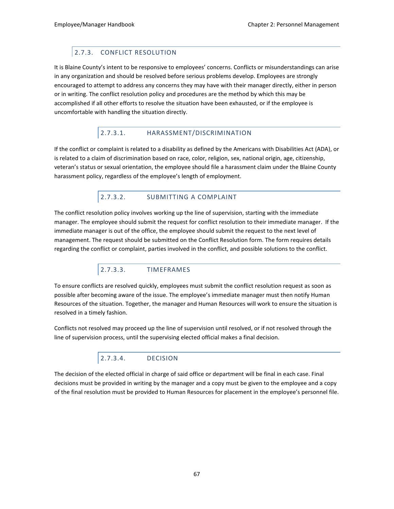# 2.7.3. CONFLICT RESOLUTION

It is Blaine County's intent to be responsive to employees' concerns. Conflicts or misunderstandings can arise in any organization and should be resolved before serious problems develop. Employees are strongly encouraged to attempt to address any concerns they may have with their manager directly, either in person or in writing. The conflict resolution policy and procedures are the method by which this may be accomplished if all other efforts to resolve the situation have been exhausted, or if the employee is uncomfortable with handling the situation directly.

# 2.7.3.1. HARASSMENT/DISCRIMINATION

If the conflict or complaint is related to a disability as defined by the Americans with Disabilities Act (ADA), or is related to a claim of discrimination based on race, color, religion, sex, national origin, age, citizenship, veteran's status or sexual orientation, the employee should file a harassment claim under the Blaine County harassment policy, regardless of the employee's length of employment.

# 2.7.3.2. SUBMITTING A COMPLAINT

The conflict resolution policy involves working up the line of supervision, starting with the immediate manager. The employee should submit the request for conflict resolution to their immediate manager. If the immediate manager is out of the office, the employee should submit the request to the next level of management. The request should be submitted on the Conflict Resolution form. The form requires details regarding the conflict or complaint, parties involved in the conflict, and possible solutions to the conflict.

# 2.7.3.3. TIMEFRAMES

To ensure conflicts are resolved quickly, employees must submit the conflict resolution request as soon as possible after becoming aware of the issue. The employee's immediate manager must then notify Human Resources of the situation. Together, the manager and Human Resources will work to ensure the situation is resolved in a timely fashion.

Conflicts not resolved may proceed up the line of supervision until resolved, or if not resolved through the line of supervision process, until the supervising elected official makes a final decision.

# 2.7.3.4. DECISION

The decision of the elected official in charge of said office or department will be final in each case. Final decisions must be provided in writing by the manager and a copy must be given to the employee and a copy of the final resolution must be provided to Human Resources for placement in the employee's personnel file.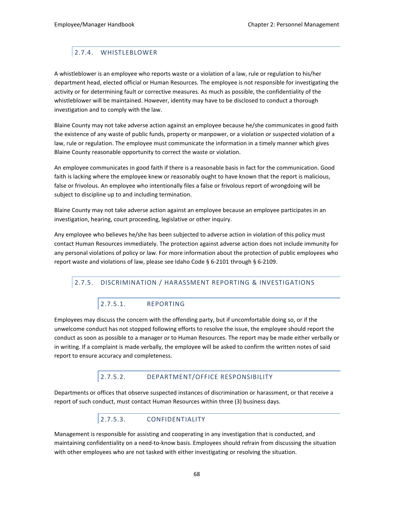# 2.7.4. WHISTLEBLOWER

A whistleblower is an employee who reports waste or a violation of a law, rule or regulation to his/her department head, elected official or Human Resources. The employee is not responsible for investigating the activity or for determining fault or corrective measures. As much as possible, the confidentiality of the whistleblower will be maintained. However, identity may have to be disclosed to conduct a thorough investigation and to comply with the law.

Blaine County may not take adverse action against an employee because he/she communicates in good faith the existence of any waste of public funds, property or manpower, or a violation or suspected violation of a law, rule or regulation. The employee must communicate the information in a timely manner which gives Blaine County reasonable opportunity to correct the waste or violation.

An employee communicates in good faith if there is a reasonable basis in fact for the communication. Good faith is lacking where the employee knew or reasonably ought to have known that the report is malicious, false or frivolous. An employee who intentionally files a false or frivolous report of wrongdoing will be subject to discipline up to and including termination.

Blaine County may not take adverse action against an employee because an employee participates in an investigation, hearing, court proceeding, legislative or other inquiry.

Any employee who believes he/she has been subjected to adverse action in violation of this policy must contact Human Resources immediately. The protection against adverse action does not include immunity for any personal violations of policy or law. For more information about the protection of public employees who report waste and violations of law, please see Idaho Code § 6-2101 through § 6-2109.

#### 2.7.5. DISCRIMINATION / HARASSMENT REPORTING & INVESTIGATIONS

# 2.7.5.1. REPORTING

Employees may discuss the concern with the offending party, but if uncomfortable doing so, or if the unwelcome conduct has not stopped following efforts to resolve the issue, the employee should report the conduct as soon as possible to a manager or to Human Resources. The report may be made either verbally or in writing. If a complaint is made verbally, the employee will be asked to confirm the written notes of said report to ensure accuracy and completeness.

#### 2.7.5.2. DEPARTMENT/OFFICE RESPONSIBILITY

Departments or offices that observe suspected instances of discrimination or harassment, or that receive a report of such conduct, must contact Human Resources within three (3) business days.

# 2.7.5.3. CONFIDENTIALITY

Management is responsible for assisting and cooperating in any investigation that is conducted, and maintaining confidentiality on a need-to-know basis. Employees should refrain from discussing the situation with other employees who are not tasked with either investigating or resolving the situation.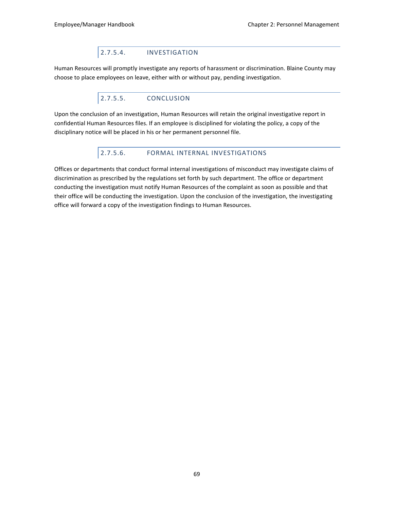# 2.7.5.4. INVESTIGATION

Human Resources will promptly investigate any reports of harassment or discrimination. Blaine County may choose to place employees on leave, either with or without pay, pending investigation.

# 2.7.5.5. CONCLUSION

Upon the conclusion of an investigation, Human Resources will retain the original investigative report in confidential Human Resources files. If an employee is disciplined for violating the policy, a copy of the disciplinary notice will be placed in his or her permanent personnel file.

### 2.7.5.6. FORMAL INTERNAL INVESTIGATIONS

Offices or departments that conduct formal internal investigations of misconduct may investigate claims of discrimination as prescribed by the regulations set forth by such department. The office or department conducting the investigation must notify Human Resources of the complaint as soon as possible and that their office will be conducting the investigation. Upon the conclusion of the investigation, the investigating office will forward a copy of the investigation findings to Human Resources.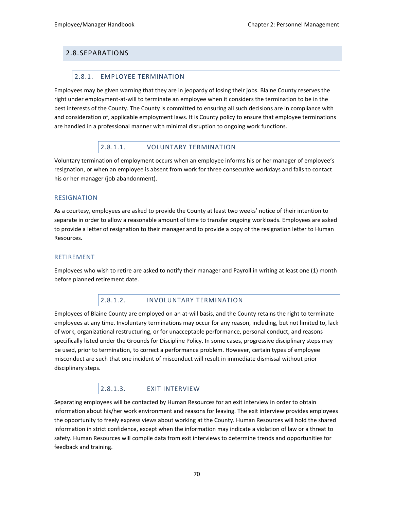### 2.8.SEPARATIONS

#### 2.8.1. EMPLOYEE TERMINATION

Employees may be given warning that they are in jeopardy of losing their jobs. Blaine County reserves the right under employment-at-will to terminate an employee when it considers the termination to be in the best interests of the County. The County is committed to ensuring all such decisions are in compliance with and consideration of, applicable employment laws. It is County policy to ensure that employee terminations are handled in a professional manner with minimal disruption to ongoing work functions.

#### 2.8.1.1. VOLUNTARY TERMINATION

Voluntary termination of employment occurs when an employee informs his or her manager of employee's resignation, or when an employee is absent from work for three consecutive workdays and fails to contact his or her manager (job abandonment).

#### RESIGNATION

As a courtesy, employees are asked to provide the County at least two weeks' notice of their intention to separate in order to allow a reasonable amount of time to transfer ongoing workloads. Employees are asked to provide a letter of resignation to their manager and to provide a copy of the resignation letter to Human Resources.

#### RETIREMENT

Employees who wish to retire are asked to notify their manager and Payroll in writing at least one (1) month before planned retirement date.

#### 2.8.1.2. INVOLUNTARY TERMINATION

Employees of Blaine County are employed on an at-will basis, and the County retains the right to terminate employees at any time. Involuntary terminations may occur for any reason, including, but not limited to, lack of work, organizational restructuring, or for unacceptable performance, personal conduct, and reasons specifically listed under the Grounds for Discipline Policy. In some cases, progressive disciplinary steps may be used, prior to termination, to correct a performance problem. However, certain types of employee misconduct are such that one incident of misconduct will result in immediate dismissal without prior disciplinary steps.

#### 2.8.1.3. EXIT INTERVIEW

Separating employees will be contacted by Human Resources for an exit interview in order to obtain information about his/her work environment and reasons for leaving. The exit interview provides employees the opportunity to freely express views about working at the County. Human Resources will hold the shared information in strict confidence, except when the information may indicate a violation of law or a threat to safety. Human Resources will compile data from exit interviews to determine trends and opportunities for feedback and training.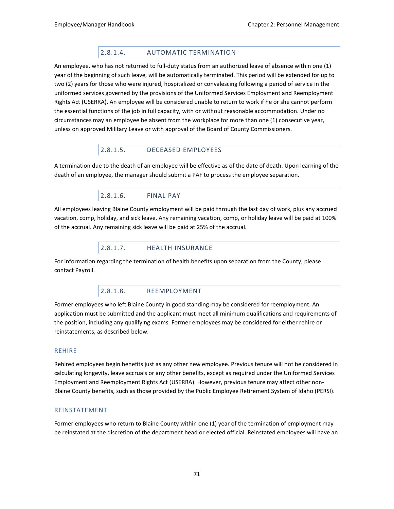### 2.8.1.4. AUTOMATIC TERMINATION

An employee, who has not returned to full-duty status from an authorized leave of absence within one (1) year of the beginning of such leave, will be automatically terminated. This period will be extended for up to two (2) years for those who were injured, hospitalized or convalescing following a period of service in the uniformed services governed by the provisions of the Uniformed Services Employment and Reemployment Rights Act (USERRA). An employee will be considered unable to return to work if he or she cannot perform the essential functions of the job in full capacity, with or without reasonable accommodation. Under no circumstances may an employee be absent from the workplace for more than one (1) consecutive year, unless on approved Military Leave or with approval of the Board of County Commissioners.

# 2.8.1.5. DECEASED EMPLOYEES

A termination due to the death of an employee will be effective as of the date of death. Upon learning of the death of an employee, the manager should submit a PAF to process the employee separation.

#### 2.8.1.6. FINAL PAY

All employees leaving Blaine County employment will be paid through the last day of work, plus any accrued vacation, comp, holiday, and sick leave. Any remaining vacation, comp, or holiday leave will be paid at 100% of the accrual. Any remaining sick leave will be paid at 25% of the accrual.

### 2.8.1.7. HEALTH INSURANCE

For information regarding the termination of health benefits upon separation from the County, please contact Payroll.

#### 2.8.1.8. REEMPLOYMENT

Former employees who left Blaine County in good standing may be considered for reemployment. An application must be submitted and the applicant must meet all minimum qualifications and requirements of the position, including any qualifying exams. Former employees may be considered for either rehire or reinstatements, as described below.

#### REHIRE

Rehired employees begin benefits just as any other new employee. Previous tenure will not be considered in calculating longevity, leave accruals or any other benefits, except as required under the Uniformed Services Employment and Reemployment Rights Act (USERRA). However, previous tenure may affect other non-Blaine County benefits, such as those provided by the Public Employee Retirement System of Idaho (PERSI).

#### REINSTATEMENT

Former employees who return to Blaine County within one (1) year of the termination of employment may be reinstated at the discretion of the department head or elected official. Reinstated employees will have an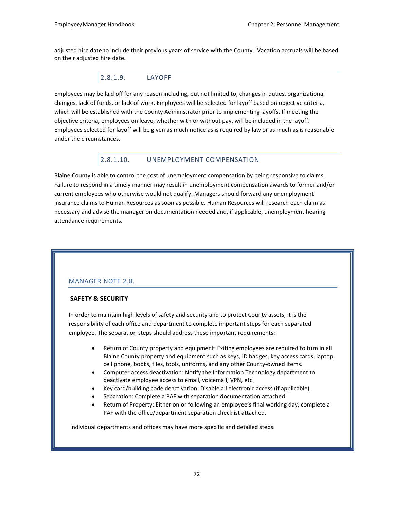adjusted hire date to include their previous years of service with the County. Vacation accruals will be based on their adjusted hire date.

#### 2.8.1.9. LAYOFF

Employees may be laid off for any reason including, but not limited to, changes in duties, organizational changes, lack of funds, or lack of work. Employees will be selected for layoff based on objective criteria, which will be established with the County Administrator prior to implementing layoffs. If meeting the objective criteria, employees on leave, whether with or without pay, will be included in the layoff. Employees selected for layoff will be given as much notice as is required by law or as much as is reasonable under the circumstances.

# 2.8.1.10. UNEMPLOYMENT COMPENSATION

Blaine County is able to control the cost of unemployment compensation by being responsive to claims. Failure to respond in a timely manner may result in unemployment compensation awards to former and/or current employees who otherwise would not qualify. Managers should forward any unemployment insurance claims to Human Resources as soon as possible. Human Resources will research each claim as necessary and advise the manager on documentation needed and, if applicable, unemployment hearing attendance requirements.

#### MANAGER NOTE 2.8.

#### **SAFETY & SECURITY**

In order to maintain high levels of safety and security and to protect County assets, it is the responsibility of each office and department to complete important steps for each separated employee. The separation steps should address these important requirements:

- Return of County property and equipment: Exiting employees are required to turn in all Blaine County property and equipment such as keys, ID badges, key access cards, laptop, cell phone, books, files, tools, uniforms, and any other County-owned items.
- Computer access deactivation: Notify the Information Technology department to deactivate employee access to email, voicemail, VPN, etc.
- Key card/building code deactivation: Disable all electronic access (if applicable).
- Separation: Complete a PAF with separation documentation attached.
- Return of Property: Either on or following an employee's final working day, complete a PAF with the office/department separation checklist attached.

Individual departments and offices may have more specific and detailed steps.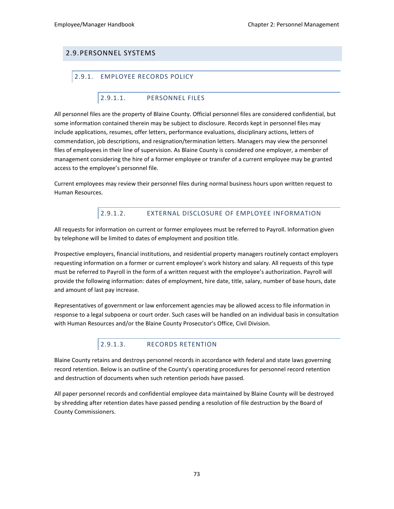# 2.9.PERSONNEL SYSTEMS

#### 2.9.1. EMPLOYEE RECORDS POLICY

#### 2.9.1.1. PERSONNEL FILES

All personnel files are the property of Blaine County. Official personnel files are considered confidential, but some information contained therein may be subject to disclosure. Records kept in personnel files may include applications, resumes, offer letters, performance evaluations, disciplinary actions, letters of commendation, job descriptions, and resignation/termination letters. Managers may view the personnel files of employees in their line of supervision. As Blaine County is considered one employer, a member of management considering the hire of a former employee or transfer of a current employee may be granted access to the employee's personnel file.

Current employees may review their personnel files during normal business hours upon written request to Human Resources.

# 2.9.1.2. EXTERNAL DISCLOSURE OF EMPLOYEE INFORMATION

All requests for information on current or former employees must be referred to Payroll. Information given by telephone will be limited to dates of employment and position title.

Prospective employers, financial institutions, and residential property managers routinely contact employers requesting information on a former or current employee's work history and salary. All requests of this type must be referred to Payroll in the form of a written request with the employee's authorization. Payroll will provide the following information: dates of employment, hire date, title, salary, number of base hours, date and amount of last pay increase.

Representatives of government or law enforcement agencies may be allowed access to file information in response to a legal subpoena or court order. Such cases will be handled on an individual basis in consultation with Human Resources and/or the Blaine County Prosecutor's Office, Civil Division.

# 2.9.1.3. RECORDS RETENTION

Blaine County retains and destroys personnel records in accordance with federal and state laws governing record retention. Below is an outline of the County's operating procedures for personnel record retention and destruction of documents when such retention periods have passed.

All paper personnel records and confidential employee data maintained by Blaine County will be destroyed by shredding after retention dates have passed pending a resolution of file destruction by the Board of County Commissioners.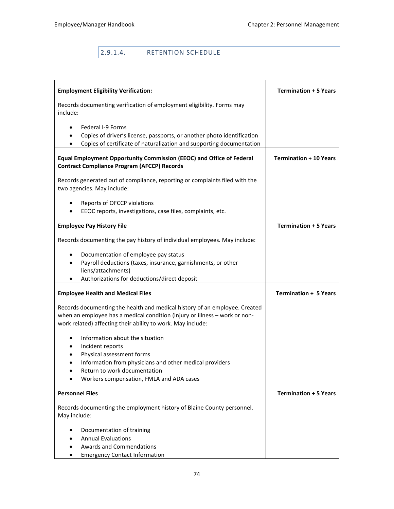# 2.9.1.4. RETENTION SCHEDULE

| <b>Employment Eligibility Verification:</b>                                                                                                                      | <b>Termination + 5 Years</b>  |
|------------------------------------------------------------------------------------------------------------------------------------------------------------------|-------------------------------|
| Records documenting verification of employment eligibility. Forms may<br>include:                                                                                |                               |
| Federal I-9 Forms<br>$\bullet$                                                                                                                                   |                               |
| Copies of driver's license, passports, or another photo identification<br>٠<br>Copies of certificate of naturalization and supporting documentation<br>$\bullet$ |                               |
|                                                                                                                                                                  |                               |
| Equal Employment Opportunity Commission (EEOC) and Office of Federal<br><b>Contract Compliance Program (AFCCP) Records</b>                                       | <b>Termination + 10 Years</b> |
| Records generated out of compliance, reporting or complaints filed with the<br>two agencies. May include:                                                        |                               |
| Reports of OFCCP violations<br>$\bullet$                                                                                                                         |                               |
| EEOC reports, investigations, case files, complaints, etc.<br>$\bullet$                                                                                          |                               |
| <b>Employee Pay History File</b>                                                                                                                                 | <b>Termination + 5 Years</b>  |
| Records documenting the pay history of individual employees. May include:                                                                                        |                               |
| Documentation of employee pay status<br>٠                                                                                                                        |                               |
| Payroll deductions (taxes, insurance, garnishments, or other                                                                                                     |                               |
| liens/attachments)<br>Authorizations for deductions/direct deposit                                                                                               |                               |
|                                                                                                                                                                  |                               |
| <b>Employee Health and Medical Files</b>                                                                                                                         | <b>Termination + 5 Years</b>  |
| Records documenting the health and medical history of an employee. Created                                                                                       |                               |
| when an employee has a medical condition (injury or illness - work or non-                                                                                       |                               |
| work related) affecting their ability to work. May include:                                                                                                      |                               |
| Information about the situation<br>$\bullet$                                                                                                                     |                               |
| Incident reports<br>$\bullet$                                                                                                                                    |                               |
| Physical assessment forms<br>$\bullet$<br>Information from physicians and other medical providers<br>$\bullet$                                                   |                               |
| Return to work documentation                                                                                                                                     |                               |
| Workers compensation, FMLA and ADA cases                                                                                                                         |                               |
| <b>Personnel Files</b>                                                                                                                                           | <b>Termination + 5 Years</b>  |
| Records documenting the employment history of Blaine County personnel.                                                                                           |                               |
| May include:                                                                                                                                                     |                               |
| Documentation of training                                                                                                                                        |                               |
| <b>Annual Evaluations</b>                                                                                                                                        |                               |
| <b>Awards and Commendations</b>                                                                                                                                  |                               |
| <b>Emergency Contact Information</b>                                                                                                                             |                               |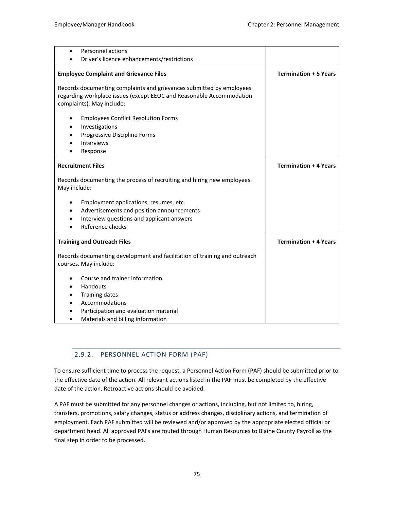| Personnel actions<br>٠                                                                                                                                                    |                              |
|---------------------------------------------------------------------------------------------------------------------------------------------------------------------------|------------------------------|
| Driver's licence enhancements/restrictions                                                                                                                                |                              |
| <b>Employee Complaint and Grievance Files</b>                                                                                                                             | <b>Termination + 5 Years</b> |
| Records documenting complaints and grievances submitted by employees<br>regarding workplace issues (except EEOC and Reasonable Accommodation<br>complaints). May include: |                              |
| <b>Employees Conflict Resolution Forms</b><br>Investigations<br>Progressive Discipline Forms<br>Interviews<br>Response                                                    |                              |
| <b>Recruitment Files</b>                                                                                                                                                  | <b>Termination + 4 Years</b> |
| Records documenting the process of recruiting and hiring new employees.<br>May include:                                                                                   |                              |
| Employment applications, resumes, etc.<br>٠<br>Advertisements and position announcements<br>٠<br>Interview questions and applicant answers<br>٠<br>Reference checks       |                              |
| <b>Training and Outreach Files</b>                                                                                                                                        | <b>Termination + 4 Years</b> |
| Records documenting development and facilitation of training and outreach<br>courses. May include:                                                                        |                              |
| Course and trainer information<br>Handouts<br><b>Training dates</b><br>Accommodations<br>Participation and evaluation material<br>Materials and billing information       |                              |

# 2.9.2. PERSONNEL ACTION FORM (PAF)

To ensure sufficient time to process the request, a Personnel Action Form (PAF) should be submitted prior to the effective date of the action. All relevant actions listed in the PAF must be completed by the effective date of the action. Retroactive actions should be avoided.

A PAF must be submitted for any personnel changes or actions, including, but not limited to, hiring, transfers, promotions, salary changes, status or address changes, disciplinary actions, and termination of employment. Each PAF submitted will be reviewed and/or approved by the appropriate elected official or department head. All approved PAFs are routed through Human Resources to Blaine County Payroll as the final step in order to be processed.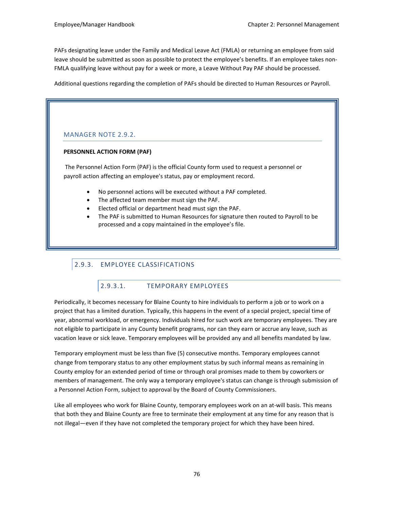PAFs designating leave under the Family and Medical Leave Act (FMLA) or returning an employee from said leave should be submitted as soon as possible to protect the employee's benefits. If an employee takes non-FMLA qualifying leave without pay for a week or more, a Leave Without Pay PAF should be processed.

Additional questions regarding the completion of PAFs should be directed to Human Resources or Payroll.

#### MANAGER NOTE 2.9.2.

#### **PERSONNEL ACTION FORM (PAF)**

The Personnel Action Form (PAF) is the official County form used to request a personnel or payroll action affecting an employee's status, pay or employment record.

- No personnel actions will be executed without a PAF completed.
- The affected team member must sign the PAF.
- Elected official or department head must sign the PAF.
- The PAF is submitted to Human Resources for signature then routed to Payroll to be processed and a copy maintained in the employee's file.

# 2.9.3. EMPLOYEE CLASSIFICATIONS

# 2.9.3.1. TEMPORARY EMPLOYEES

Periodically, it becomes necessary for Blaine County to hire individuals to perform a job or to work on a project that has a limited duration. Typically, this happens in the event of a special project, special time of year, abnormal workload, or emergency. Individuals hired for such work are temporary employees. They are not eligible to participate in any County benefit programs, nor can they earn or accrue any leave, such as vacation leave or sick leave. Temporary employees will be provided any and all benefits mandated by law.

Temporary employment must be less than five (5) consecutive months. Temporary employees cannot change from temporary status to any other employment status by such informal means as remaining in County employ for an extended period of time or through oral promises made to them by coworkers or members of management. The only way a temporary employee's status can change is through submission of a Personnel Action Form, subject to approval by the Board of County Commissioners.

Like all employees who work for Blaine County, temporary employees work on an at-will basis. This means that both they and Blaine County are free to terminate their employment at any time for any reason that is not illegal—even if they have not completed the temporary project for which they have been hired.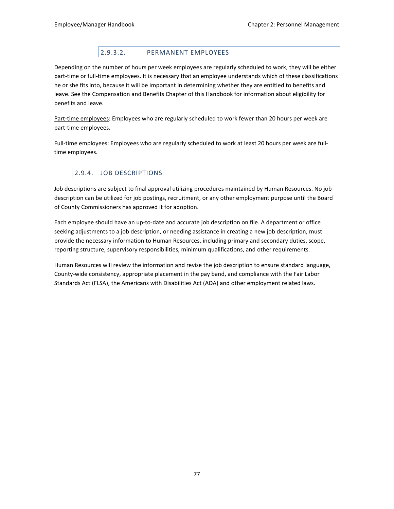# 2.9.3.2. PERMANENT EMPLOYEES

Depending on the number of hours per week employees are regularly scheduled to work, they will be either part-time or full-time employees. It is necessary that an employee understands which of these classifications he or she fits into, because it will be important in determining whether they are entitled to benefits and leave. See the Compensation and Benefits Chapter of this Handbook for information about eligibility for benefits and leave.

Part-time employees: Employees who are regularly scheduled to work fewer than 20 hours per week are part-time employees.

Full-time employees: Employees who are regularly scheduled to work at least 20 hours per week are fulltime employees.

# 2.9.4. JOB DESCRIPTIONS

Job descriptions are subject to final approval utilizing procedures maintained by Human Resources. No job description can be utilized for job postings, recruitment, or any other employment purpose until the Board of County Commissioners has approved it for adoption.

Each employee should have an up-to-date and accurate job description on file. A department or office seeking adjustments to a job description, or needing assistance in creating a new job description, must provide the necessary information to Human Resources, including primary and secondary duties, scope, reporting structure, supervisory responsibilities, minimum qualifications, and other requirements.

Human Resources will review the information and revise the job description to ensure standard language, County-wide consistency, appropriate placement in the pay band, and compliance with the Fair Labor Standards Act (FLSA), the Americans with Disabilities Act (ADA) and other employment related laws.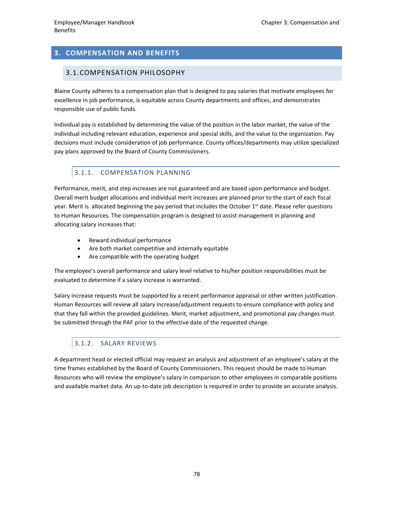# **3. COMPENSATION AND BENEFITS**

#### 3.1.COMPENSATION PHILOSOPHY

Blaine County adheres to a compensation plan that is designed to pay salaries that motivate employees for excellence in job performance, is equitable across County departments and offices, and demonstrates responsible use of public funds.

Individual pay is established by determining the value of the position in the labor market, the value of the individual including relevant education, experience and special skills, and the value to the organization. Pay decisions must include consideration of job performance. County offices/departments may utilize specialized pay plans approved by the Board of County Commissioners.

# 3.1.1. COMPENSATION PLANNING

Performance, merit, and step increases are not guaranteed and are based upon performance and budget. Overall merit budget allocations and individual merit increases are planned prior to the start of each fiscal year. Merit is allocated beginning the pay period that includes the October 1<sup>st</sup> date. Please refer questions to Human Resources. The compensation program is designed to assist management in planning and allocating salary increases that:

- Reward individual performance
- Are both market competitive and internally equitable
- Are compatible with the operating budget

The employee's overall performance and salary level relative to his/her position responsibilities must be evaluated to determine if a salary increase is warranted.

Salary increase requests must be supported by a recent performance appraisal or other written justification. Human Resources will review all salary increase/adjustment requests to ensure compliance with policy and that they fall within the provided guidelines. Merit, market adjustment, and promotional pay changes must be submitted through the PAF prior to the effective date of the requested change.

# 3.1.2. SALARY REVIEWS

A department head or elected official may request an analysis and adjustment of an employee's salary at the time frames established by the Board of County Commissioners. This request should be made to Human Resources who will review the employee's salary in comparison to other employees in comparable positions and available market data. An up-to-date job description is required in order to provide an accurate analysis.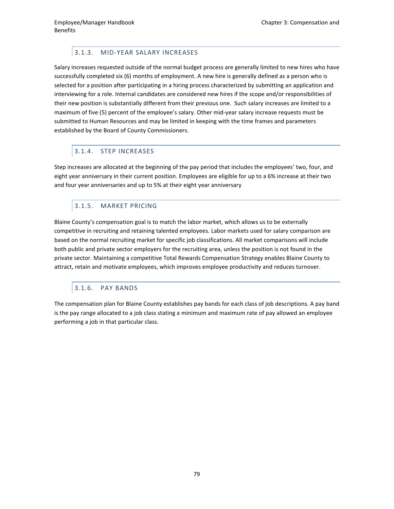# 3.1.3. MID-YEAR SALARY INCREASES

Salary increases requested outside of the normal budget process are generally limited to new hires who have successfully completed six (6) months of employment. A new hire is generally defined as a person who is selected for a position after participating in a hiring process characterized by submitting an application and interviewing for a role. Internal candidates are considered new hires if the scope and/or responsibilities of their new position is substantially different from their previous one. Such salary increases are limited to a maximum of five (5) percent of the employee's salary. Other mid-year salary increase requests must be submitted to Human Resources and may be limited in keeping with the time frames and parameters established by the Board of County Commissioners.

# 3.1.4. STEP INCREASES

Step increases are allocated at the beginning of the pay period that includes the employees' two, four, and eight year anniversary in their current position. Employees are eligible for up to a 6% increase at their two and four year anniversaries and up to 5% at their eight year anniversary

# 3.1.5. MARKET PRICING

Blaine County's compensation goal is to match the labor market, which allows us to be externally competitive in recruiting and retaining talented employees. Labor markets used for salary comparison are based on the normal recruiting market for specific job classifications. All market comparisons will include both public and private sector employers for the recruiting area, unless the position is not found in the private sector. Maintaining a competitive Total Rewards Compensation Strategy enables Blaine County to attract, retain and motivate employees, which improves employee productivity and reduces turnover.

# 3.1.6. PAY BANDS

The compensation plan for Blaine County establishes pay bands for each class of job descriptions. A pay band is the pay range allocated to a job class stating a minimum and maximum rate of pay allowed an employee performing a job in that particular class.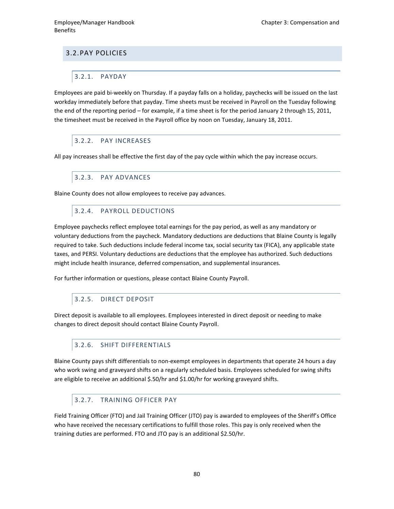# 3.2.PAY POLICIES

### 3.2.1. PAYDAY

Employees are paid bi-weekly on Thursday. If a payday falls on a holiday, paychecks will be issued on the last workday immediately before that payday. Time sheets must be received in Payroll on the Tuesday following the end of the reporting period – for example, if a time sheet is for the period January 2 through 15, 2011, the timesheet must be received in the Payroll office by noon on Tuesday, January 18, 2011.

# 3.2.2. PAY INCREASES

All pay increases shall be effective the first day of the pay cycle within which the pay increase occurs.

#### 3.2.3. PAY ADVANCES

Blaine County does not allow employees to receive pay advances.

#### 3.2.4. PAYROLL DEDUCTIONS

Employee paychecks reflect employee total earnings for the pay period, as well as any mandatory or voluntary deductions from the paycheck. Mandatory deductions are deductions that Blaine County is legally required to take. Such deductions include federal income tax, social security tax (FICA), any applicable state taxes, and PERSI. Voluntary deductions are deductions that the employee has authorized. Such deductions might include health insurance, deferred compensation, and supplemental insurances.

For further information or questions, please contact Blaine County Payroll.

# 3.2.5. DIRECT DEPOSIT

Direct deposit is available to all employees. Employees interested in direct deposit or needing to make changes to direct deposit should contact Blaine County Payroll.

# 3.2.6. SHIFT DIFFERENTIALS

Blaine County pays shift differentials to non-exempt employees in departments that operate 24 hours a day who work swing and graveyard shifts on a regularly scheduled basis. Employees scheduled for swing shifts are eligible to receive an additional \$.50/hr and \$1.00/hr for working graveyard shifts.

#### 3.2.7. TRAINING OFFICER PAY

Field Training Officer (FTO) and Jail Training Officer (JTO) pay is awarded to employees of the Sheriff's Office who have received the necessary certifications to fulfill those roles. This pay is only received when the training duties are performed. FTO and JTO pay is an additional \$2.50/hr.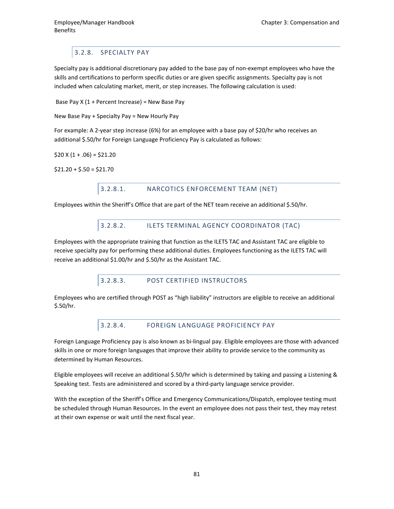# 3.2.8. SPECIALTY PAY

Specialty pay is additional discretionary pay added to the base pay of non-exempt employees who have the skills and certifications to perform specific duties or are given specific assignments. Specialty pay is not included when calculating market, merit, or step increases. The following calculation is used:

Base Pay X (1 + Percent Increase) = New Base Pay

New Base Pay + Specialty Pay = New Hourly Pay

For example: A 2-year step increase (6%) for an employee with a base pay of \$20/hr who receives an additional \$.50/hr for Foreign Language Proficiency Pay is calculated as follows:

 $$20 X (1 + .06) = $21.20$ 

 $$21.20 + $.50 = $21.70$ 

#### 3.2.8.1. NARCOTICS ENFORCEMENT TEAM (NET)

Employees within the Sheriff's Office that are part of the NET team receive an additional \$.50/hr.

#### 3.2.8.2. ILETS TERMINAL AGENCY COORDINATOR (TAC)

Employees with the appropriate training that function as the ILETS TAC and Assistant TAC are eligible to receive specialty pay for performing these additional duties. Employees functioning as the ILETS TAC will receive an additional \$1.00/hr and \$.50/hr as the Assistant TAC.

# 3.2.8.3. POST CERTIFIED INSTRUCTORS

Employees who are certified through POST as "high liability" instructors are eligible to receive an additional \$.50/hr.

# 3.2.8.4. FOREIGN LANGUAGE PROFICIENCY PAY

Foreign Language Proficiency pay is also known as bi-lingual pay. Eligible employees are those with advanced skills in one or more foreign languages that improve their ability to provide service to the community as determined by Human Resources.

Eligible employees will receive an additional \$.50/hr which is determined by taking and passing a Listening & Speaking test. Tests are administered and scored by a third-party language service provider.

With the exception of the Sheriff's Office and Emergency Communications/Dispatch, employee testing must be scheduled through Human Resources. In the event an employee does not pass their test, they may retest at their own expense or wait until the next fiscal year.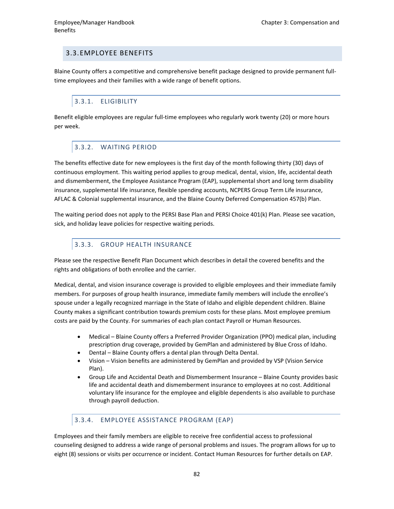# 3.3.EMPLOYEE BENEFITS

Blaine County offers a competitive and comprehensive benefit package designed to provide permanent fulltime employees and their families with a wide range of benefit options.

# 3.3.1. ELIGIBILITY

Benefit eligible employees are regular full-time employees who regularly work twenty (20) or more hours per week.

#### 3.3.2. WAITING PERIOD

The benefits effective date for new employees is the first day of the month following thirty (30) days of continuous employment. This waiting period applies to group medical, dental, vision, life, accidental death and dismemberment, the Employee Assistance Program (EAP), supplemental short and long term disability insurance, supplemental life insurance, flexible spending accounts, NCPERS Group Term Life insurance, AFLAC & Colonial supplemental insurance, and the Blaine County Deferred Compensation 457(b) Plan.

The waiting period does not apply to the PERSI Base Plan and PERSI Choice 401(k) Plan. Please see vacation, sick, and holiday leave policies for respective waiting periods.

#### 3.3.3. GROUP HEALTH INSURANCE

Please see the respective Benefit Plan Document which describes in detail the covered benefits and the rights and obligations of both enrollee and the carrier.

Medical, dental, and vision insurance coverage is provided to eligible employees and their immediate family members. For purposes of group health insurance, immediate family members will include the enrollee's spouse under a legally recognized marriage in the State of Idaho and eligible dependent children. Blaine County makes a significant contribution towards premium costs for these plans. Most employee premium costs are paid by the County. For summaries of each plan contact Payroll or Human Resources.

- Medical Blaine County offers a Preferred Provider Organization (PPO) medical plan, including prescription drug coverage, provided by GemPlan and administered by Blue Cross of Idaho.
- Dental Blaine County offers a dental plan through Delta Dental.
- Vision Vision benefits are administered by GemPlan and provided by VSP (Vision Service Plan).
- Group Life and Accidental Death and Dismemberment Insurance Blaine County provides basic life and accidental death and dismemberment insurance to employees at no cost. Additional voluntary life insurance for the employee and eligible dependents is also available to purchase through payroll deduction.

# 3.3.4. EMPLOYEE ASSISTANCE PROGRAM (EAP)

Employees and their family members are eligible to receive free confidential access to professional counseling designed to address a wide range of personal problems and issues. The program allows for up to eight (8) sessions or visits per occurrence or incident. Contact Human Resources for further details on EAP.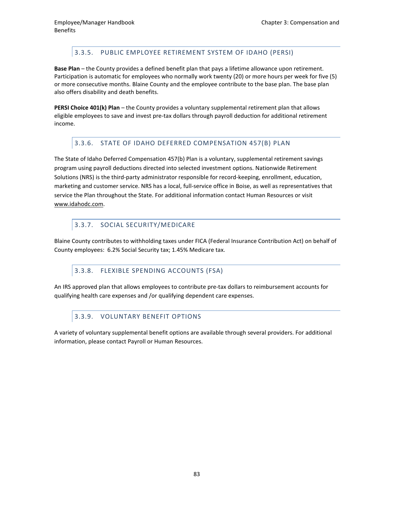# 3.3.5. PUBLIC EMPLOYEE RETIREMENT SYSTEM OF IDAHO (PERSI)

**Base Plan** – the County provides a defined benefit plan that pays a lifetime allowance upon retirement. Participation is automatic for employees who normally work twenty (20) or more hours per week for five (5) or more consecutive months. Blaine County and the employee contribute to the base plan. The base plan also offers disability and death benefits.

**PERSI Choice 401(k) Plan** – the County provides a voluntary supplemental retirement plan that allows eligible employees to save and invest pre-tax dollars through payroll deduction for additional retirement income.

#### 3.3.6. STATE OF IDAHO DEFERRED COMPENSATION 457(B) PLAN

The State of Idaho Deferred Compensation 457(b) Plan is a voluntary, supplemental retirement savings program using payroll deductions directed into selected investment options. Nationwide Retirement Solutions (NRS) is the third-party administrator responsible for record-keeping, enrollment, education, marketing and customer service. NRS has a local, full-service office in Boise, as well as representatives that service the Plan throughout the State. For additional information contact Human Resources or visit [www.idahodc.com.](http://www.idahodc.com/)

#### 3.3.7. SOCIAL SECURITY/MEDICARE

Blaine County contributes to withholding taxes under FICA (Federal Insurance Contribution Act) on behalf of County employees: 6.2% Social Security tax; 1.45% Medicare tax.

# 3.3.8. FLEXIBLE SPENDING ACCOUNTS (FSA)

An IRS approved plan that allows employees to contribute pre-tax dollars to reimbursement accounts for qualifying health care expenses and /or qualifying dependent care expenses.

#### 3.3.9. VOLUNTARY BENEFIT OPTIONS

A variety of voluntary supplemental benefit options are available through several providers. For additional information, please contact Payroll or Human Resources.